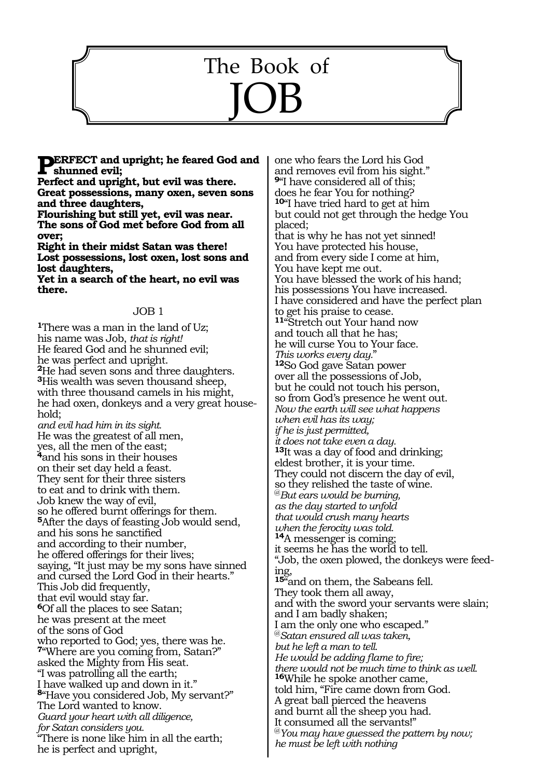# 642 The Book of JOB

**PERFECT** and upright; he feared God and **shunned evil;** 

**Perfect and upright, but evil was there. Great possessions, many oxen, seven sons and three daughters,** 

**Flourishing but still yet, evil was near. The sons of God met before God from all over;** 

**Right in their midst Satan was there! Lost possessions, lost oxen, lost sons and lost daughters,** 

**Yet in a search of the heart, no evil was there.** 

#### JOB 1

**<sup>1</sup>**There was a man in the land of Uz; his name was Job, *that is right!* He feared God and he shunned evil; he was perfect and upright. **<sup>2</sup>**He had seven sons and three daughters. **<sup>3</sup>**His wealth was seven thousand sheep, with three thousand camels in his might, he had oxen, donkeys and a very great household; *and evil had him in its sight.*  He was the greatest of all men, yes, all the men of the east; **<sup>4</sup>**and his sons in their houses on their set day held a feast. They sent for their three sisters to eat and to drink with them. Job knew the way of evil, so he offered burnt offerings for them. **<sup>5</sup>**After the days of feasting Job would send, and his sons he sanctified and according to their number, he offered offerings for their lives; saying, "It just may be my sons have sinned and cursed the Lord God in their hearts." This Job did frequently, that evil would stay far. **<sup>6</sup>**Of all the places to see Satan; he was present at the meet of the sons of God who reported to God; yes, there was he. **<sup>7</sup>**"Where are you coming from, Satan?" asked the Mighty from His seat. "I was patrolling all the earth; I have walked up and down in it." **<sup>8</sup>**"Have you considered Job, My servant?" The Lord wanted to know. *Guard your heart with all diligence, for Satan considers you.*  "There is none like him in all the earth; he is perfect and upright,

one who fears the Lord his God and removes evil from his sight." **<sup>9</sup>**"I have considered all of this; does he fear You for nothing? **<sup>10</sup>**"I have tried hard to get at him but could not get through the hedge You placed; that is why he has not yet sinned! You have protected his house, and from every side I come at him, You have kept me out. You have blessed the work of his hand; his possessions You have increased. I have considered and have the perfect plan to get his praise to cease. **<sup>11</sup>**"Stretch out Your hand now and touch all that he has; he will curse You to Your face. *This works every day.*" **<sup>12</sup>**So God gave Satan power over all the possessions of Job, but he could not touch his person, so from God's presence he went out. *Now the earth will see what happens when evil has its way; if he is just permitted, it does not take even a day.* **<sup>13</sup>**It was a day of food and drinking; eldest brother, it is your time. They could not discern the day of evil, so they relished the taste of wine. @*But ears would be burning, as the day started to unfold that would crush many hearts when the ferocity was told.*  **<sup>14</sup>**A messenger is coming; it seems he has the world to tell. "Job, the oxen plowed, the donkeys were feeding, 15<sup>"and</sup> on them, the Sabeans fell. They took them all away, and with the sword your servants were slain; and I am badly shaken; I am the only one who escaped." @*Satan ensured all was taken, but he left a man to tell. He would be adding flame to fire; there would not be much time to think as well.* **<sup>16</sup>**While he spoke another came, told him, "Fire came down from God. A great ball pierced the heavens and burnt all the sheep you had. It consumed all the servants!" @*You may have guessed the pattern by now; he must be left with nothing*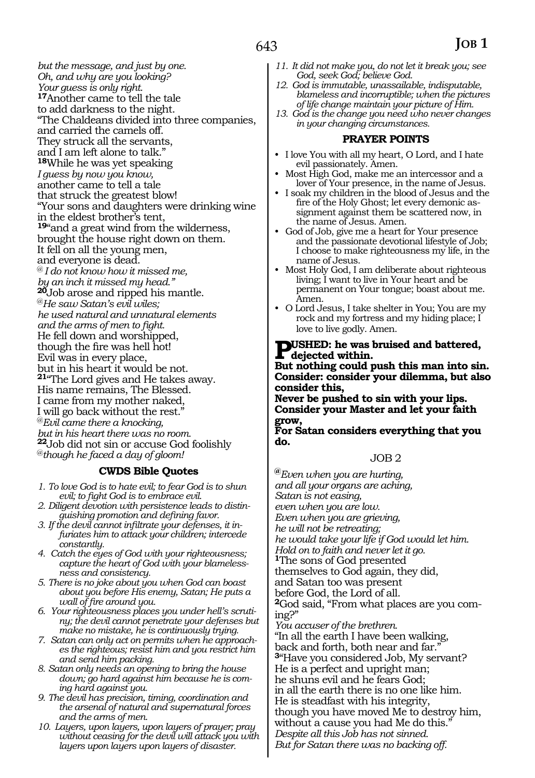*but the message, and just by one. Oh, and why are you looking? Your guess is only right.*  **<sup>17</sup>**Another came to tell the tale to add darkness to the night. "The Chaldeans divided into three companies, and carried the camels off. They struck all the servants, and I am left alone to talk." **<sup>18</sup>**While he was yet speaking *I guess by now you know,*  another came to tell a tale that struck the greatest blow! "Your sons and daughters were drinking wine in the eldest brother's tent, **<sup>19</sup>**"and a great wind from the wilderness, brought the house right down on them. It fell on all the young men, and everyone is dead. @ *I do not know how it missed me, by an inch it missed my head."*  **<sup>20</sup>**Job arose and ripped his mantle. @*He saw Satan's evil wiles; he used natural and unnatural elements and the arms of men to fight.*  He fell down and worshipped, though the fire was hell hot! Evil was in every place, but in his heart it would be not. **<sup>21</sup>**"The Lord gives and He takes away. His name remains, The Blessed. I came from my mother naked, I will go back without the rest." @*Evil came there a knocking, but in his heart there was no room.*  **<sup>22</sup>**Job did not sin or accuse God foolishly @*though he faced a day of gloom!* 

#### **CWDS Bible Quotes**

- *1. To love God is to hate evil; to fear God is to shun evil; to fight God is to embrace evil.*
- *2. Diligent devotion with persistence leads to distinguishing promotion and defining favor.*
- *3. If the devil cannot infiltrate your defenses, it infuriates him to attack your children; intercede constantly.*
- *4. Catch the eyes of God with your righteousness; capture the heart of God with your blamelessness and consistency.*
- *5. There is no joke about you when God can boast about you before His enemy, Satan; He puts a wall of fire around you.*
- *6. Your righteousness places you under hell's scrutiny; the devil cannot penetrate your defenses but make no mistake, he is continuously trying.*
- *7. Satan can only act on permits when he approaches the righteous; resist him and you restrict him and send him packing.*
- *8. Satan only needs an opening to bring the house down; go hard against him because he is coming hard against you.*
- *9. The devil has precision, timing, coordination and the arsenal of natural and supernatural forces and the arms of men.*
- *10. Layers, upon layers, upon layers of prayer; pray without ceasing for the devil will attack you with layers upon layers upon layers of disaster.*
- *11. It did not make you, do not let it break you; see God, seek God; believe God.*
- *12. God is immutable, unassailable, indisputable, blameless and incorruptible; when the pictures of life change maintain your picture of Him.*
- *13. God is the change you need who never changes in your changing circumstances.*

# **PRAYER POINTS**

- I love You with all my heart, O Lord, and I hate evil passionately. Amen.
- Most High God, make me an intercessor and a lover of Your presence, in the name of Jesus.
- I soak my children in the blood of Jesus and the fire of the Holy Ghost; let every demonic assignment against them be scattered now, in the name of Jesus. Amen.
- God of Job, give me a heart for Your presence and the passionate devotional lifestyle of Job; I choose to make righteousness my life, in the name of Jesus.
- Most Holy God, I am deliberate about righteous living; I want to live in Your heart and be permanent on Your tongue; boast about me. Amen.
- O Lord Jesus, I take shelter in You; You are my rock and my fortress and my hiding place; I love to live godly. Amen.

# **PUSHED:** he was bruised and battered, **dejected within.**

**But nothing could push this man into sin. Consider: consider your dilemma, but also consider this,** 

**Never be pushed to sin with your lips. Consider your Master and let your faith grow,** 

**For Satan considers everything that you do.** 

#### JOB 2

**@***Even when you are hurting, and all your organs are aching, Satan is not easing, even when you are low. Even when you are grieving, he will not be retreating; he would take your life if God would let him. Hold on to faith and never let it go.*  **<sup>1</sup>**The sons of God presented themselves to God again, they did, and Satan too was present before God, the Lord of all. **2**God said, "From what places are you coming?" *You accuser of the brethren.* "In all the earth I have been walking, back and forth, both near and far. **<sup>3</sup>**"Have you considered Job, My servant? He is a perfect and upright man; he shuns evil and he fears God; in all the earth there is no one like him. He is steadfast with his integrity, though you have moved Me to destroy him, without a cause you had Me do this." *Despite all this Job has not sinned. But for Satan there was no backing off.*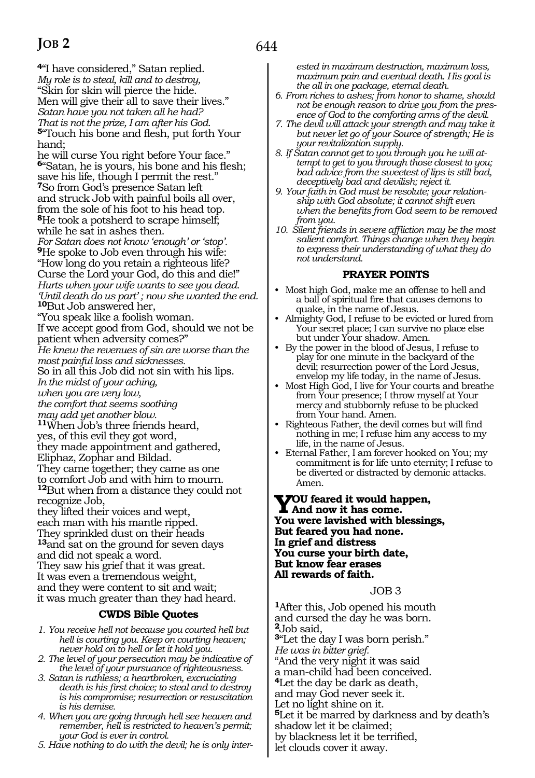**<sup>4</sup>**"I have considered," Satan replied. *My role is to steal, kill and to destroy,*  "Skin for skin will pierce the hide. Men will give their all to save their lives." *Satan have you not taken all he had? That is not the prize, I am after his God.*  **<sup>5</sup>**"Touch his bone and flesh, put forth Your hand;

he will curse You right before Your face." **<sup>6</sup>**"Satan, he is yours, his bone and his flesh; save his life, though I permit the rest." **<sup>7</sup>**So from God's presence Satan left and struck Job with painful boils all over, from the sole of his foot to his head top. **<sup>8</sup>**He took a potsherd to scrape himself; while he sat in ashes then.

*For Satan does not know 'enough' or 'stop'.* **<sup>9</sup>**He spoke to Job even through his wife: "How long do you retain a righteous life? Curse the Lord your God, do this and die!" *Hurts when your wife wants to see you dead. 'Until death do us part' ; now she wanted the end.* **<sup>10</sup>**But Job answered her,

"You speak like a foolish woman.

If we accept good from God, should we not be patient when adversity comes?"

*He knew the revenues of sin are worse than the most painful loss and sicknesses.*

So in all this Job did not sin with his lips.

*In the midst of your aching,* 

*when you are very low,* 

*the comfort that seems soothing* 

*may add yet another blow.* **<sup>11</sup>**When Job's three friends heard,

yes, of this evil they got word,

they made appointment and gathered,

Eliphaz, Zophar and Bildad. They came together; they came as one to comfort Job and with him to mourn.

**<sup>12</sup>**But when from a distance they could not recognize Job,

they lifted their voices and wept, each man with his mantle ripped. They sprinkled dust on their heads **<sup>13</sup>**and sat on the ground for seven days and did not speak a word. They saw his grief that it was great. It was even a tremendous weight, and they were content to sit and wait; it was much greater than they had heard.

# **CWDS Bible Quotes**

- *1. You receive hell not because you courted hell but hell is courting you. Keep on courting heaven; never hold on to hell or let it hold you.*
- *2. The level of your persecution may be indicative of the level of your pursuance of righteousness.*
- *3. Satan is ruthless; a heartbroken, excruciating death is his first choice; to steal and to destroy is his compromise; resurrection or resuscitation is his demise.*
- *4. When you are going through hell see heaven and remember, hell is restricted to heaven's permit; your God is ever in control.*
- *5. Have nothing to do with the devil; he is only inter-*

*ested in maximum destruction, maximum loss, maximum pain and eventual death. His goal is the all in one package, eternal death.*

- *6. From riches to ashes; from honor to shame, should not be enough reason to drive you from the presence of God to the comforting arms of the devil.*
- *7. The devil will attack your strength and may take it but never let go of your Source of strength; He is your revitalization supply.*
- *8. If Satan cannot get to you through you he will attempt to get to you through those closest to you; bad advice from the sweetest of lips is still bad, deceptively bad and devilish; reject it.*
- *9. Your faith in God must be resolute; your relationship with God absolute; it cannot shift even when the benefits from God seem to be removed from you.*
- *10. Silent friends in severe affliction may be the most salient comfort. Things change when they begin to express their understanding of what they do not understand.*

# **PRAYER POINTS**

- Most high God, make me an offense to hell and a ball of spiritual fire that causes demons to quake, in the name of Jesus.
- Almighty God, I refuse to be evicted or lured from Your secret place; I can survive no place else but under Your shadow. Amen.
- By the power in the blood of Jesus, I refuse to play for one minute in the backyard of the devil; resurrection power of the Lord Jesus, envelop my life today, in the name of Jesus.
- Most High God, I live for Your courts and breathe from Your presence; I throw myself at Your mercy and stubbornly refuse to be plucked from Your hand. Amen.
- Righteous Father, the devil comes but will find nothing in me; I refuse him any access to my life, in the name of Jesus.
- Eternal Father, I am forever hooked on You; my commitment is for life unto eternity; I refuse to be diverted or distracted by demonic attacks. Amen.

**You feared it would happen, And now it has come. You were lavished with blessings, But feared you had none. In grief and distress You curse your birth date, But know fear erases All rewards of faith.**

#### JOB 3

**<sup>1</sup>**After this, Job opened his mouth and cursed the day he was born. **<sup>2</sup>**Job said, **<sup>3</sup>**"Let the day I was born perish." *He was in bitter grief.* "And the very night it was said a man-child had been conceived. **<sup>4</sup>**Let the day be dark as death, and may God never seek it. Let no light shine on it. **<sup>5</sup>**Let it be marred by darkness and by death's shadow let it be claimed; by blackness let it be terrified, let clouds cover it away.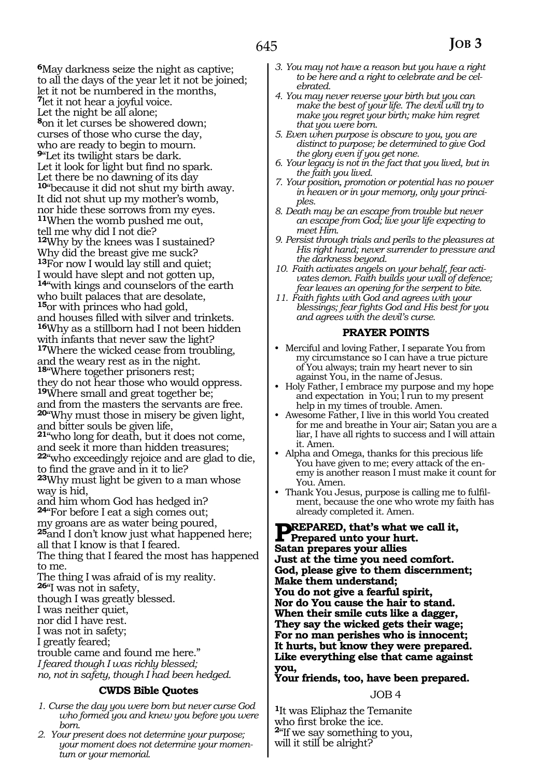**<sup>6</sup>**May darkness seize the night as captive; to all the days of the year let it not be joined; let it not be numbered in the months, **<sup>7</sup>**let it not hear a joyful voice. Let the night be all alone; **<sup>8</sup>**on it let curses be showered down; curses of those who curse the day, who are ready to begin to mourn. **<sup>9</sup>**"Let its twilight stars be dark. Let it look for light but find no spark. Let there be no dawning of its day **<sup>10</sup>**"because it did not shut my birth away. It did not shut up my mother's womb, nor hide these sorrows from my eyes. **<sup>11</sup>**When the womb pushed me out, tell me why did I not die? **<sup>12</sup>**Why by the knees was I sustained? Why did the breast give me suck? **<sup>13</sup>**For now I would lay still and quiet; I would have slept and not gotten up, **<sup>14</sup>**"with kings and counselors of the earth who built palaces that are desolate, **<sup>15</sup>**or with princes who had gold, and houses filled with silver and trinkets. **<sup>16</sup>**Why as a stillborn had I not been hidden with infants that never saw the light? **<sup>17</sup>**Where the wicked cease from troubling, and the weary rest as in the night. **<sup>18</sup>**"Where together prisoners rest; they do not hear those who would oppress. **<sup>19</sup>**Where small and great together be; and from the masters the servants are free. **<sup>20</sup>**"Why must those in misery be given light, and bitter souls be given life, **<sup>21</sup>**"who long for death, but it does not come, and seek it more than hidden treasures; **<sup>22</sup>**"who exceedingly rejoice and are glad to die, to find the grave and in it to lie? **23**Why must light be given to a man whose way is hid, and him whom God has hedged in? **<sup>24</sup>**"For before I eat a sigh comes out; my groans are as water being poured, **<sup>25</sup>**and I don't know just what happened here; all that I know is that I feared. The thing that I feared the most has happened to me. The thing I was afraid of is my reality. **<sup>26</sup>**"I was not in safety, though I was greatly blessed. I was neither quiet, nor did I have rest. I was not in safety; I greatly feared; trouble came and found me here." *I feared though I was richly blessed; no, not in safety, though I had been hedged.*

#### **CWDS Bible Quotes**

- *1. Curse the day you were born but never curse God who formed you and knew you before you were born.*
- *2. Your present does not determine your purpose; your moment does not determine your momentum or your memorial.*
- *3. You may not have a reason but you have a right to be here and a right to celebrate and be celebrated.*
- *4. You may never reverse your birth but you can make the best of your life. The devil will try to make you regret your birth; make him regret that you were born.*
- *5. Even when purpose is obscure to you, you are distinct to purpose; be determined to give God the glory even if you get none.*
- *6. Your legacy is not in the fact that you lived, but in the faith you lived.*
- *7. Your position, promotion or potential has no power in heaven or in your memory, only your principles.*
- *8. Death may be an escape from trouble but never an escape from God; live your life expecting to meet Him.*
- *9. Persist through trials and perils to the pleasures at His right hand; never surrender to pressure and the darkness beyond.*
- *10. Faith activates angels on your behalf, fear activates demon. Faith builds your wall of defence; fear leaves an opening for the serpent to bite.*
- *11. Faith fights with God and agrees with your blessings; fear fights God and His best for you and agrees with the devil's curse.*

#### **PRAYER POINTS**

- Merciful and loving Father, I separate You from my circumstance so I can have a true picture of You always; train my heart never to sin against You, in the name of Jesus.
- Holy Father, I embrace my purpose and my hope and expectation in You; I run to my present help in my times of trouble. Amen.
- Awesome Father, I live in this world You created for me and breathe in Your air; Satan you are a liar, I have all rights to success and I will attain it. Amen.
- Alpha and Omega, thanks for this precious life You have given to me; every attack of the enemy is another reason I must make it count for You. Amen.
- Thank You Jesus, purpose is calling me to fulfilment, because the one who wrote my faith has already completed it. Amen.

#### **PREPARED, that's what we call it,<br>
Prepared unto your hurt. Satan prepares your allies Just at the time you need comfort. God, please give to them discernment; Make them understand; You do not give a fearful spirit, Nor do You cause the hair to stand. When their smile cuts like a dagger, They say the wicked gets their wage; For no man perishes who is innocent; It hurts, but know they were prepared. Like everything else that came against you,**

**Your friends, too, have been prepared.** 

#### JOB 4

**<sup>1</sup>**It was Eliphaz the Temanite who first broke the ice. **<sup>2</sup>**"If we say something to you, will it still be alright?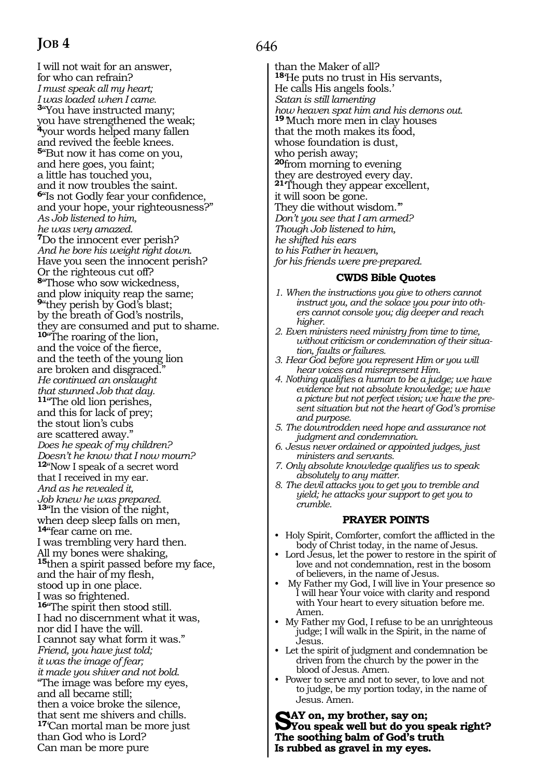I will not wait for an answer, for who can refrain? *I must speak all my heart; I was loaded when I came.*  **<sup>3</sup>**"You have instructed many; you have strengthened the weak; **<sup>4</sup>**your words helped many fallen and revived the feeble knees. **<sup>5</sup>**"But now it has come on you, and here goes, you faint; a little has touched you, and it now troubles the saint. **<sup>6</sup>**"Is not Godly fear your confidence, and your hope, your righteousness?" *As Job listened to him, he was very amazed.*  **<sup>7</sup>**Do the innocent ever perish? *And he bore his weight right down.*  Have you seen the innocent perish? Or the righteous cut off? **<sup>8</sup>**"Those who sow wickedness, and plow iniquity reap the same; **<sup>9</sup>**"they perish by God's blast; by the breath of God's nostrils, they are consumed and put to shame. **<sup>10</sup>**"The roaring of the lion, and the voice of the fierce, and the teeth of the young lion are broken and disgraced." *He continued an onslaught that stunned Job that day.*  **<sup>11</sup>**"The old lion perishes, and this for lack of prey; the stout lion's cubs are scattered away." *Does he speak of my children? Doesn't he know that I now mourn?*  **<sup>12</sup>**"Now I speak of a secret word that I received in my ear. *And as he revealed it, Job knew he was prepared.* **<sup>13</sup>**"In the vision of the night, when deep sleep falls on men, **<sup>14</sup>**"fear came on me. I was trembling very hard then. All my bones were shaking, **<sup>15</sup>**then a spirit passed before my face, and the hair of my flesh, stood up in one place. I was so frightened. **<sup>16</sup>**"The spirit then stood still. I had no discernment what it was, nor did I have the will. I cannot say what form it was." *Friend, you have just told; it was the image of fear; it made you shiver and not bold.*  "The image was before my eyes, and all became still; then a voice broke the silence, that sent me shivers and chills. **<sup>17</sup>**'Can mortal man be more just than God who is Lord? Can man be more pure

# 646

than the Maker of all? **<sup>18</sup>**'He puts no trust in His servants, He calls His angels fools.' *Satan is still lamenting how heaven spat him and his demons out.* **<sup>19</sup>***'*Much more men in clay houses that the moth makes its food, whose foundation is dust, who perish away; **<sup>20</sup>**from morning to evening they are destroyed every day. **<sup>21</sup>**'Though they appear excellent, it will soon be gone. They die without wisdom.'" *Don't you see that I am armed? Though Job listened to him, he shifted his ears to his Father in heaven, for his friends were pre-prepared.*

#### **CWDS Bible Quotes**

- *1. When the instructions you give to others cannot instruct you, and the solace you pour into others cannot console you; dig deeper and reach higher.*
- *2. Even ministers need ministry from time to time, without criticism or condemnation of their situation, faults or failures.*
- *3. Hear God before you represent Him or you will hear voices and misrepresent Him.*
- *4. Nothing qualifies a human to be a judge; we have evidence but not absolute knowledge; we have a picture but not perfect vision; we have the present situation but not the heart of God's promise and purpose.*
- *5. The downtrodden need hope and assurance not judgment and condemnation.*
- *6. Jesus never ordained or appointed judges, just ministers and servants.*
- *7. Only absolute knowledge qualifies us to speak absolutely to any matter.*
- *8. The devil attacks you to get you to tremble and yield; he attacks your support to get you to crumble.*

#### **PRAYER POINTS**

- Holy Spirit, Comforter, comfort the afflicted in the body of Christ today, in the name of Jesus.
- Lord Jesus, let the power to restore in the spirit of love and not condemnation, rest in the bosom of believers, in the name of Jesus.
- My Father my God, I will live in Your presence so I will hear Your voice with clarity and respond with Your heart to every situation before me. Amen.
- My Father my God, I refuse to be an unrighteous judge; I will walk in the Spirit, in the name of Jesus.
- Let the spirit of judgment and condemnation be driven from the church by the power in the blood of Jesus. Amen.
- Power to serve and not to sever, to love and not to judge, be my portion today, in the name of Jesus. Amen.

Say on, my brother, say on;<br> **S**You speak well but do you speak right? **The soothing balm of God's truth Is rubbed as gravel in my eyes.**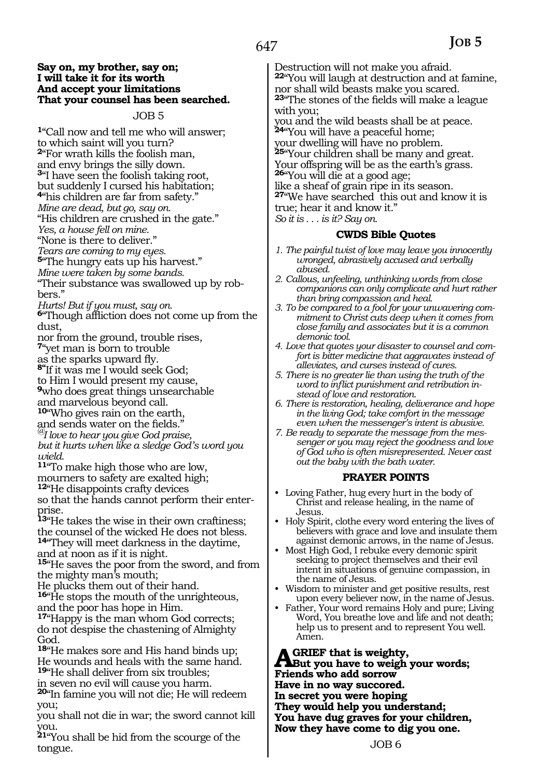#### **Say on, my brother, say on; I will take it for its worth And accept your limitations That your counsel has been searched.**

#### JOB 5

**<sup>1</sup>**"Call now and tell me who will answer; to which saint will you turn? **<sup>2</sup>**"For wrath kills the foolish man, and envy brings the silly down. **<sup>3</sup>**"I have seen the foolish taking root, but suddenly I cursed his habitation; **<sup>4</sup>**"his children are far from safety." *Mine are dead, but go, say on.*  "His children are crushed in the gate." *Yes, a house fell on mine.* 

"None is there to deliver."

*Tears are coming to my eyes.* 

**<sup>5</sup>**"The hungry eats up his harvest."

*Mine were taken by some bands.* 

"Their substance was swallowed up by robbers."

*Hurts! But if you must, say on.* 

**<sup>6</sup>**"Though affliction does not come up from the dust,

nor from the ground, trouble rises, **<sup>7</sup>**"yet man is born to trouble

as the sparks upward fly.

**8"**If it was me I would seek God;

to Him I would present my cause,

**<sup>9</sup>**who does great things unsearchable and marvelous beyond call.

**<sup>10</sup>**"Who gives rain on the earth,

and sends water on the fields." *@I love to hear you give God praise,* 

*but it hurts when like a sledge God's word you wield.* 

**<sup>11</sup>**"To make high those who are low, mourners to safety are exalted high;

**<sup>12</sup>**"He disappoints crafty devices

so that the hands cannot perform their enterprise.

**<sup>13</sup>**"He takes the wise in their own craftiness; the counsel of the wicked He does not bless.

**<sup>14</sup>**"They will meet darkness in the daytime, and at noon as if it is night.

**<sup>15</sup>**"He saves the poor from the sword, and from the mighty man's mouth;

He plucks them out of their hand.

**<sup>16</sup>**"He stops the mouth of the unrighteous, and the poor has hope in Him.

**<sup>17</sup>**"Happy is the man whom God corrects; do not despise the chastening of Almighty God.

**<sup>18</sup>**"He makes sore and His hand binds up; He wounds and heals with the same hand. **<sup>19</sup>**"He shall deliver from six troubles;

in seven no evil will cause you harm.

**<sup>20</sup>**"In famine you will not die; He will redeem you;

you shall not die in war; the sword cannot kill you.

**<sup>21</sup>**"You shall be hid from the scourge of the tongue.

Destruction will not make you afraid. **<sup>22</sup>**"You will laugh at destruction and at famine, nor shall wild beasts make you scared. **<sup>23</sup>**"The stones of the fields will make a league with you; you and the wild beasts shall be at peace. **<sup>24</sup>**"You will have a peaceful home; your dwelling will have no problem. **<sup>25</sup>**"Your children shall be many and great. Your offspring will be as the earth's grass. **<sup>26</sup>**"You will die at a good age; like a sheaf of grain ripe in its season. **<sup>27</sup>**"We have searched this out and know it is true; hear it and know it." *So it is . . . is it? Say on.*

### **CWDS Bible Quotes**

- *1. The painful twist of love may leave you innocently wronged, abrasively accused and verbally abused.*
- *2. Callous, unfeeling, unthinking words from close companions can only complicate and hurt rather than bring compassion and heal.*
- *3. To be compared to a fool for your unwavering commitment to Christ cuts deep when it comes from close family and associates but it is a common demonic tool.*
- *4. Love that quotes your disaster to counsel and comfort is bitter medicine that aggravates instead of alleviates, and curses instead of cures.*
- *5. There is no greater lie than using the truth of the word to inflict punishment and retribution instead of love and restoration.*
- *6. There is restoration, healing, deliverance and hope in the living God; take comfort in the message even when the messenger's intent is abusive.*
- *7. Be ready to separate the message from the messenger or you may reject the goodness and love of God who is often misrepresented. Never cast out the baby with the bath water.*

#### **PRAYER POINTS**

- Loving Father, hug every hurt in the body of Christ and release healing, in the name of Jesus.
- Holy Spirit, clothe every word entering the lives of believers with grace and love and insulate them against demonic arrows, in the name of Jesus.
- Most High God, I rebuke every demonic spirit seeking to project themselves and their evil intent in situations of genuine compassion, in the name of Jesus.
- Wisdom to minister and get positive results, rest upon every believer now, in the name of Jesus.
- Father, Your word remains Holy and pure; Living Word, You breathe love and life and not death; help us to present and to represent You well. Amen.

**A** GRIEF that is weighty,<br>But you have to weigh your words;<br>**Existed** a manufacture **Friends who add sorrow Have in no way succored. In secret you were hoping They would help you understand; You have dug graves for your children, Now they have come to dig you one.**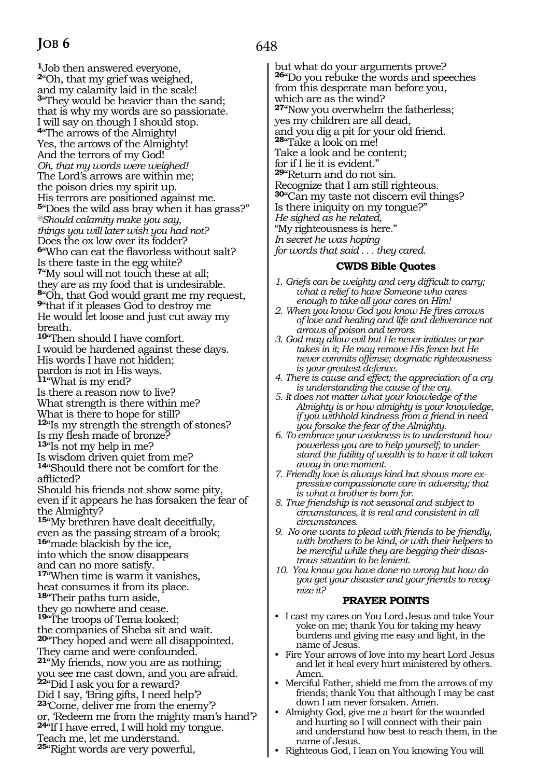**<sup>1</sup>**Job then answered everyone, **<sup>2</sup>**"Oh, that my grief was weighed, and my calamity laid in the scale! **<sup>3</sup>**"They would be heavier than the sand; that is why my words are so passionate. I will say on though I should stop. **<sup>4</sup>**"The arrows of the Almighty! Yes, the arrows of the Almighty! And the terrors of my God! *Oh, that my words were weighed!*  The Lord's arrows are within me; the poison dries my spirit up. His terrors are positioned against me. **<sup>5</sup>**"Does the wild ass bray when it has grass?" *@Should calamity make you say, things you will later wish you had not?*  Does the ox low over its fodder? **<sup>6</sup>**"Who can eat the flavorless without salt? Is there taste in the egg white? **<sup>7</sup>**"My soul will not touch these at all; they are as my food that is undesirable. **<sup>8</sup>**"Oh, that God would grant me my request, **<sup>9</sup>**"that if it pleases God to destroy me He would let loose and just cut away my breath. **<sup>10</sup>**"Then should I have comfort. I would be hardened against these days. His words I have not hidden; pardon is not in His ways. **<sup>11</sup>**"What is my end? Is there a reason now to live? What strength is there within me? What is there to hope for still? **<sup>12</sup>**"Is my strength the strength of stones? Is my flesh made of bronze? **<sup>13</sup>**"Is not my help in me? Is wisdom driven quiet from me? **<sup>14</sup>**"Should there not be comfort for the afflicted? Should his friends not show some pity, even if it appears he has forsaken the fear of the Almighty? **<sup>15</sup>**"My brethren have dealt deceitfully, even as the passing stream of a brook; **<sup>16</sup>**"made blackish by the ice, into which the snow disappears and can no more satisfy. **<sup>17</sup>**"When time is warm it vanishes, heat consumes it from its place. **<sup>18</sup>**"Their paths turn aside, they go nowhere and cease. **<sup>19</sup>**"The troops of Tema looked; the companies of Sheba sit and wait. **<sup>20</sup>**"They hoped and were all disappointed. They came and were confounded. **<sup>21</sup>**"My friends, now you are as nothing; you see me cast down, and you are afraid. **<sup>22</sup>**"Did I ask you for a reward? Did I say, 'Bring gifts, I need help'? **<sup>23</sup>**'Come, deliver me from the enemy'? or, 'Redeem me from the mighty man's hand'? **<sup>24</sup>**"If I have erred, I will hold my tongue. Teach me, let me understand. **<sup>25</sup>**"Right words are very powerful,

# 648

but what do your arguments prove? **<sup>26</sup>**"Do you rebuke the words and speeches from this desperate man before you, which are as the wind? **<sup>27</sup>**"Now you overwhelm the fatherless; yes my children are all dead, and you dig a pit for your old friend. **<sup>28</sup>**"Take a look on me! Take a look and be content; for if I lie it is evident." **<sup>29</sup>**"Return and do not sin. Recognize that I am still righteous. **<sup>30</sup>**"Can my taste not discern evil things? Is there iniquity on my tongue?" *He sighed as he related,*  "My righteousness is here." *In secret he was hoping for words that said . . . they cared.*

#### **CWDS Bible Quotes**

- *1. Griefs can be weighty and very difficult to carry; what a relief to have Someone who cares enough to take all your cares on Him!*
- *2. When you know God you know He fires arrows of love and healing and life and deliverance not arrows of poison and terrors.*
- *3. God may allow evil but He never initiates or partakes in it; He may remove His fence but He never commits offense; dogmatic righteousness is your greatest defence.*
- *4. There is cause and effect; the appreciation of a cry is understanding the cause of the cry.*
- *5. It does not matter what your knowledge of the Almighty is or how almighty is your knowledge, if you withhold kindness from a friend in need you forsake the fear of the Almighty.*
- *6. To embrace your weakness is to understand how powerless you are to help yourself; to understand the futility of wealth is to have it all taken away in one moment.*
- *7. Friendly love is always kind but shows more expressive compassionate care in adversity; that is what a brother is born for.*
- *8. True friendship is not seasonal and subject to circumstances, it is real and consistent in all circumstances.*
- *9. No one wants to plead with friends to be friendly, with brothers to be kind, or with their helpers to be merciful while they are begging their disastrous situation to be lenient.*
- *10. You know you have done no wrong but how do you get your disaster and your friends to recognize it?*

# **PRAYER POINTS**

- I cast my cares on You Lord Jesus and take Your yoke on me; thank You for taking my heavy burdens and giving me easy and light, in the name of Jesus.
- Fire Your arrows of love into my heart Lord Jesus and let it heal every hurt ministered by others. Amen.
- Merciful Father, shield me from the arrows of my friends; thank You that although I may be cast down I am never forsaken. Amen.
- Almighty God, give me a heart for the wounded and hurting so I will connect with their pain and understand how best to reach them, in the name of Jesus.
- Righteous God, I lean on You knowing You will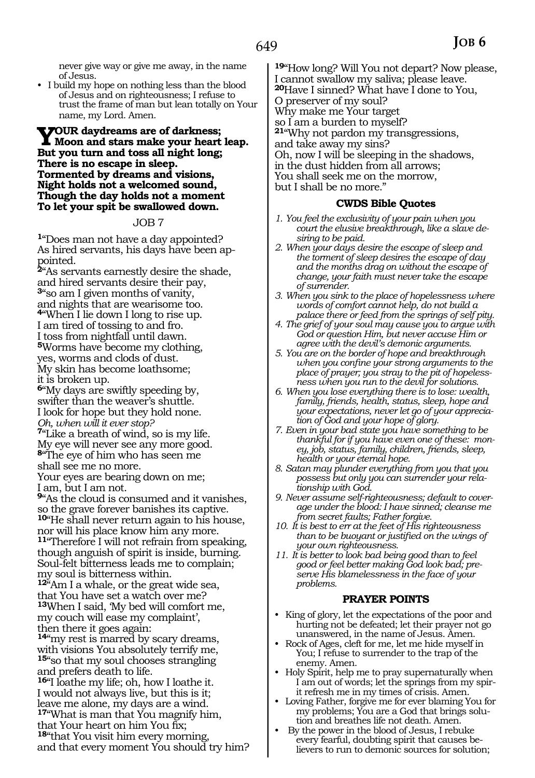never give way or give me away, in the name of Jesus.

• I build my hope on nothing less than the blood of Jesus and on righteousness; I refuse to trust the frame of man but lean totally on Your name, my Lord. Amen.

### **Your daydreams are of darkness; Moon and stars make your heart leap. But you turn and toss all night long; There is no escape in sleep. Tormented by dreams and visions, Night holds not a welcomed sound, Though the day holds not a moment To let your spit be swallowed down.**

#### JOB 7

**<sup>1</sup>**"Does man not have a day appointed? As hired servants, his days have been appointed.

**<sup>2</sup>**"As servants earnestly desire the shade, and hired servants desire their pay, **<sup>3</sup>**"so am I given months of vanity, and nights that are wearisome too. **<sup>4</sup>**"When I lie down I long to rise up. I am tired of tossing to and fro. I toss from nightfall until dawn. **<sup>5</sup>**Worms have become my clothing, yes, worms and clods of dust. My skin has become loathsome; it is broken up. **<sup>6</sup>**"My days are swiftly speeding by, swifter than the weaver's shuttle.

I look for hope but they hold none. *Oh, when will it ever stop?*  **<sup>7</sup>**"Like a breath of wind, so is my life. My eye will never see any more good.

**<sup>8</sup>**"The eye of him who has seen me

shall see me no more.

Your eyes are bearing down on me; I am, but I am not.

**<sup>9</sup>**"As the cloud is consumed and it vanishes, so the grave forever banishes its captive. **<sup>10</sup>**"He shall never return again to his house, nor will his place know him any more. **<sup>11</sup>**"Therefore I will not refrain from speaking, though anguish of spirit is inside, burning.

Soul-felt bitterness leads me to complain; my soul is bitterness within. **<sup>12</sup>**"Am I a whale, or the great wide sea,

that You have set a watch over me? **<sup>13</sup>**When I said, 'My bed will comfort me, my couch will ease my complaint', then there it goes again:

**<sup>14</sup>**"my rest is marred by scary dreams, with visions You absolutely terrify me, **<sup>15</sup>**"so that my soul chooses strangling and prefers death to life.

**<sup>16</sup>**"I loathe my life; oh, how I loathe it. I would not always live, but this is it; leave me alone, my days are a wind. **<sup>17</sup>**"What is man that You magnify him, that Your heart on him You fix;

**<sup>18</sup>**"that You visit him every morning, and that every moment You should try him? **<sup>19</sup>**"How long? Will You not depart? Now please, I cannot swallow my saliva; please leave. **<sup>20</sup>**Have I sinned? What have I done to You, O preserver of my soul? Why make me Your target so I am a burden to myself? **<sup>21</sup>**"Why not pardon my transgressions, and take away my sins? Oh, now I will be sleeping in the shadows, in the dust hidden from all arrows; You shall seek me on the morrow, but I shall be no more."

#### **CWDS Bible Quotes**

- *1. You feel the exclusivity of your pain when you court the elusive breakthrough, like a slave desiring to be paid.*
- *2. When your days desire the escape of sleep and the torment of sleep desires the escape of day and the months drag on without the escape of change, your faith must never take the escape of surrender.*
- *3. When you sink to the place of hopelessness where words of comfort cannot help, do not build a palace there or feed from the springs of self pity.*
- *4. The grief of your soul may cause you to argue with God or question Him, but never accuse Him or agree with the devil's demonic arguments.*
- *5. You are on the border of hope and breakthrough when you confine your strong arguments to the place of prayer; you stray to the pit of hopelessness when you run to the devil for solutions.*
- *6. When you lose everything there is to lose: wealth, family, friends, health, status, sleep, hope and your expectations, never let go of your appreciation of God and your hope of glory.*
- *7. Even in your bad state you have something to be thankful for if you have even one of these: money, job, status, family, children, friends, sleep, health or your eternal hope.*
- *8. Satan may plunder everything from you that you possess but only you can surrender your relationship with God.*
- *9. Never assume self-righteousness; default to coverage under the blood: I have sinned; cleanse me from secret faults; Father forgive.*
- *10. It is best to err at the feet of His righteousness than to be buoyant or justified on the wings of your own righteousness.*
- *11. It is better to look bad being good than to feel good or feel better making God look bad; preserve His blamelessness in the face of your problems.*

#### **PRAYER POINTS**

- King of glory, let the expectations of the poor and hurting not be defeated; let their prayer not go unanswered, in the name of Jesus. Amen.
- Rock of Ages, cleft for me, let me hide myself in You; I refuse to surrender to the trap of the enemy. Amen.
- Holy Spirit, help me to pray supernaturally when I am out of words; let the springs from my spirit refresh me in my times of crisis. Amen.
- Loving Father, forgive me for ever blaming You for my problems; You are a God that brings solution and breathes life not death. Amen.
- By the power in the blood of Jesus, I rebuke every fearful, doubting spirit that causes believers to run to demonic sources for solution;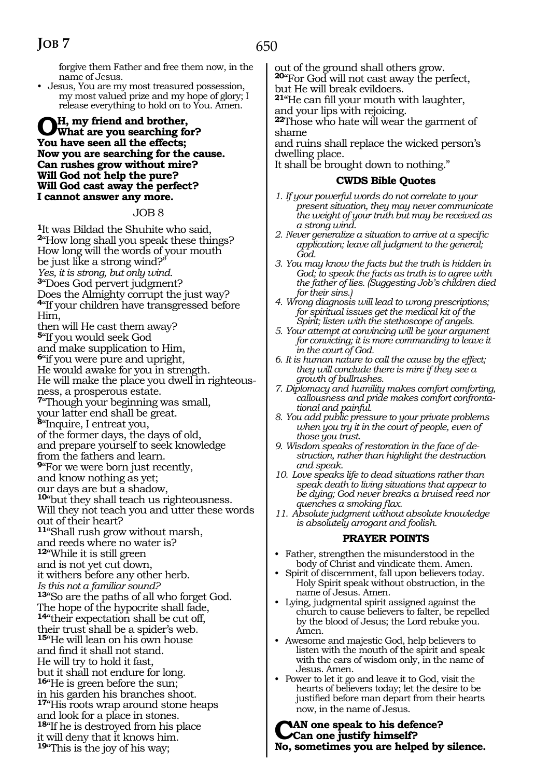forgive them Father and free them now, in the name of Jesus.

• Jesus, You are my most treasured possession, my most valued prize and my hope of glory; I release everything to hold on to You. Amen.

#### **Oh, my friend and brother, What are you searching for? You have seen all the effects; Now you are searching for the cause. Can rushes grow without mire? Will God not help the pure? Will God cast away the perfect? I cannot answer any more.**

#### JOB 8

**<sup>1</sup>**It was Bildad the Shuhite who said, **<sup>2</sup>**"How long shall you speak these things? How long will the words of your mouth be just like a strong wind?" *Yes, it is strong, but only wind.*  **<sup>3</sup>**"Does God pervert judgment? Does the Almighty corrupt the just way? **<sup>4</sup>**"If your children have transgressed before Him, then will He cast them away? **<sup>5</sup>**"If you would seek God and make supplication to Him, **<sup>6</sup>**"if you were pure and upright, He would awake for you in strength. He will make the place you dwell in righteousness, a prosperous estate. **<sup>7</sup>**"Though your beginning was small, your latter end shall be great. **<sup>8</sup>**"Inquire, I entreat you, of the former days, the days of old, and prepare yourself to seek knowledge from the fathers and learn. **<sup>9</sup>**"For we were born just recently, and know nothing as yet; our days are but a shadow, **<sup>10</sup>**"but they shall teach us righteousness. Will they not teach you and utter these words out of their heart? **<sup>11</sup>**"Shall rush grow without marsh, and reeds where no water is? **<sup>12</sup>**"While it is still green and is not yet cut down, it withers before any other herb. *Is this not a familiar sound?* **<sup>13</sup>**"So are the paths of all who forget God. The hope of the hypocrite shall fade, **<sup>14</sup>**"their expectation shall be cut off, their trust shall be a spider's web. **<sup>15</sup>**"He will lean on his own house and find it shall not stand. He will try to hold it fast, but it shall not endure for long. **<sup>16</sup>**"He is green before the sun; in his garden his branches shoot. **<sup>17</sup>**"His roots wrap around stone heaps

and look for a place in stones. **<sup>18</sup>**"If he is destroyed from his place it will deny that it knows him. **<sup>19</sup>**"This is the joy of his way;

out of the ground shall others grow.

**<sup>20</sup>**"For God will not cast away the perfect, but He will break evildoers.

**<sup>21</sup>**"He can fill your mouth with laughter, and your lips with rejoicing.

**<sup>22</sup>**Those who hate will wear the garment of shame

and ruins shall replace the wicked person's dwelling place.

It shall be brought down to nothing."

#### **CWDS Bible Quotes**

- *1. If your powerful words do not correlate to your present situation, they may never communicate the weight of your truth but may be received as a strong wind.*
- *2. Never generalize a situation to arrive at a specific application; leave all judgment to the general; God.*
- *3. You may know the facts but the truth is hidden in God; to speak the facts as truth is to agree with the father of lies. (Suggesting Job's children died for their sins.)*
- *4. Wrong diagnosis will lead to wrong prescriptions; for spiritual issues get the medical kit of the Spirit; listen with the stethoscope of angels.*
- *5. Your attempt at convincing will be your argument for convicting; it is more commanding to leave it in the court of God.*
- *6. It is human nature to call the cause by the effect; they will conclude there is mire if they see a growth of bullrushes.*
- *7. Diplomacy and humility makes comfort comforting, callousness and pride makes comfort confrontational and painful.*
- *8. You add public pressure to your private problems when you try it in the court of people, even of those you trust.*
- *9. Wisdom speaks of restoration in the face of destruction, rather than highlight the destruction and speak.*
- *10. Love speaks life to dead situations rather than speak death to living situations that appear to be dying; God never breaks a bruised reed nor quenches a smoking flax.*
- *11. Absolute judgment without absolute knowledge is absolutely arrogant and foolish.*

#### **PRAYER POINTS**

- Father, strengthen the misunderstood in the body of Christ and vindicate them. Amen.
- Spirit of discernment, fall upon believers today. Holy Spirit speak without obstruction, in the name of Jesus. Amen.
- Lying, judgmental spirit assigned against the church to cause believers to falter, be repelled by the blood of Jesus; the Lord rebuke you. Amen.
- Awesome and majestic God, help believers to listen with the mouth of the spirit and speak with the ears of wisdom only, in the name of Jesus. Amen.
- Power to let it go and leave it to God, visit the hearts of believers today; let the desire to be justified before man depart from their hearts now, in the name of Jesus.

**Can one speak to his defence? Can one justify himself? No, sometimes you are helped by silence.**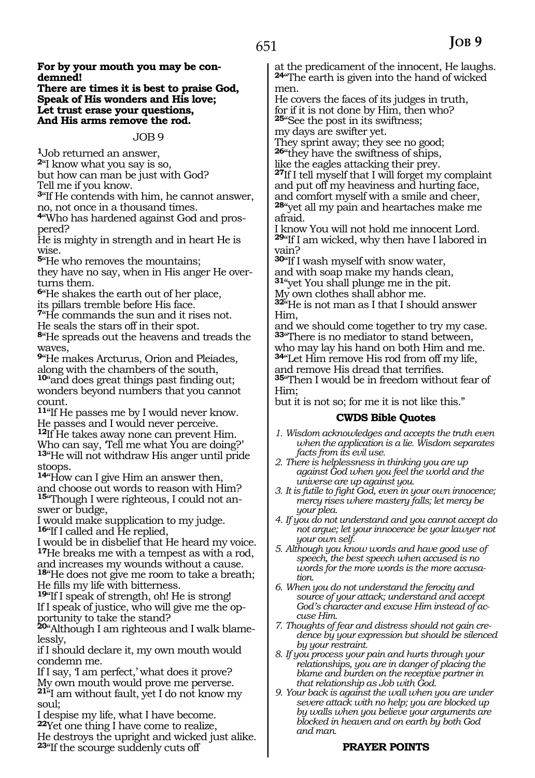**There are times it is best to praise God, Speak of His wonders and His love; Let trust erase your questions, And His arms remove the rod.** 

#### JOB 9

**<sup>1</sup>**Job returned an answer,

**<sup>2</sup>**"I know what you say is so, but how can man be just with God?

Tell me if you know.

**<sup>3</sup>**"If He contends with him, he cannot answer, no, not once in a thousand times.

**4**"Who has hardened against God and prospered?

He is mighty in strength and in heart He is wise.

**<sup>5</sup>**"He who removes the mountains;

they have no say, when in His anger He overturns them.

**<sup>6</sup>**"He shakes the earth out of her place, its pillars tremble before His face.

**<sup>7</sup>**"He commands the sun and it rises not. He seals the stars off in their spot.

**<sup>8</sup>**"He spreads out the heavens and treads the waves,

**<sup>9</sup>**"He makes Arcturus, Orion and Pleiades, along with the chambers of the south,

**<sup>10</sup>**"and does great things past finding out; wonders beyond numbers that you cannot count.

**<sup>11</sup>**"If He passes me by I would never know. He passes and I would never perceive. **<sup>12</sup>**If He takes away none can prevent Him. Who can say, 'Tell me what You are doing?' **<sup>13</sup>**"He will not withdraw His anger until pride stoops.

**<sup>14</sup>**"How can I give Him an answer then, and choose out words to reason with Him? **15**"Though I were righteous, I could not answer or budge,

I would make supplication to my judge. **<sup>16</sup>**"If I called and He replied,

I would be in disbelief that He heard my voice. **<sup>17</sup>**He breaks me with a tempest as with a rod, and increases my wounds without a cause. **<sup>18</sup>**"He does not give me room to take a breath; He fills my life with bitterness.

**<sup>19</sup>**"If I speak of strength, oh! He is strong! If I speak of justice, who will give me the opportunity to take the stand?

**20**"Although I am righteous and I walk blamelessly,

if I should declare it, my own mouth would condemn me.

If I say, 'I am perfect,' what does it prove? My own mouth would prove me perverse. **<sup>21</sup>**"I am without fault, yet I do not know my soul;

I despise my life, what I have become. **<sup>22</sup>**Yet one thing I have come to realize, He destroys the upright and wicked just alike. **<sup>23</sup>**"If the scourge suddenly cuts off

at the predicament of the innocent, He laughs. **<sup>24</sup>**"The earth is given into the hand of wicked men.

He covers the faces of its judges in truth, for if it is not done by Him, then who? **<sup>25</sup>**"See the post in its swiftness;

my days are swifter yet.

They sprint away; they see no good; **<sup>26</sup>**"they have the swiftness of ships,

like the eagles attacking their prey.

**<sup>27</sup>**If I tell myself that I will forget my complaint and put off my heaviness and hurting face, and comfort myself with a smile and cheer, **<sup>28</sup>**"yet all my pain and heartaches make me afraid.

I know You will not hold me innocent Lord. **<sup>29</sup>**"If I am wicked, why then have I labored in vain?

**<sup>30</sup>**"If I wash myself with snow water, and with soap make my hands clean, **<sup>31</sup>**"yet You shall plunge me in the pit.

My own clothes shall abhor me.

**<sup>32</sup>**"He is not man as I that I should answer Him,

and we should come together to try my case. **<sup>33</sup>**"There is no mediator to stand between, who may lay his hand on both Him and me. **<sup>34</sup>**"Let Him remove His rod from off my life,

and remove His dread that terrifies. **<sup>35</sup>**"Then I would be in freedom without fear of

Him; but it is not so; for me it is not like this."

#### **CWDS Bible Quotes**

- *1. Wisdom acknowledges and accepts the truth even when the application is a lie. Wisdom separates facts from its evil use.*
- *2. There is helplessness in thinking you are up against God when you feel the world and the universe are up against you.*
- *3. It is futile to fight God, even in your own innocence; mercy rises where mastery falls; let mercy be your plea.*
- *4. If you do not understand and you cannot accept do not argue; let your innocence be your lawyer not your own self.*
- *5. Although you know words and have good use of speech, the best speech when accused is no words for the more words is the more accusation.*
- *6. When you do not understand the ferocity and source of your attack; understand and accept God's character and excuse Him instead of accuse Him.*
- *7. Thoughts of fear and distress should not gain credence by your expression but should be silenced by your restraint.*
- *8. If you process your pain and hurts through your relationships, you are in danger of placing the blame and burden on the receptive partner in that relationship as Job with God.*
- *9. Your back is against the wall when you are under severe attack with no help; you are blocked up by walls when you believe your arguments are blocked in heaven and on earth by both God and man.*

# **PRAYER POINTS**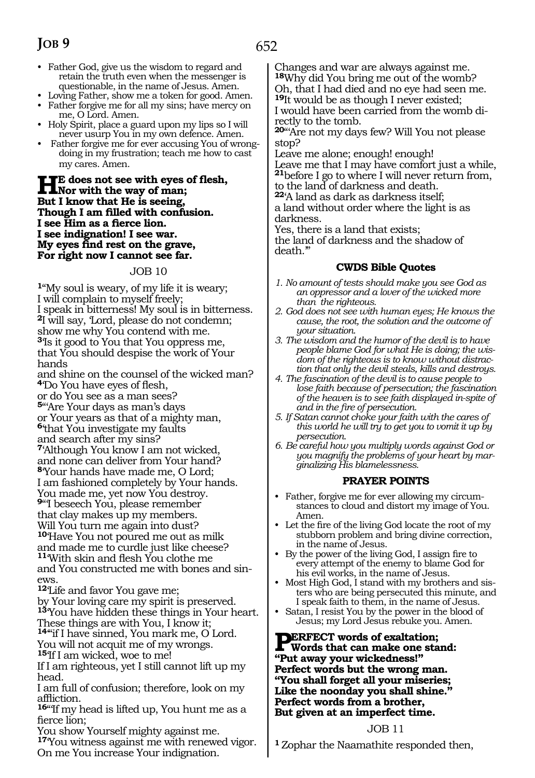- Father God, give us the wisdom to regard and retain the truth even when the messenger is questionable, in the name of Jesus. Amen.
- Loving Father, show me a token for good. Amen.
- Father forgive me for all my sins; have mercy on me, O Lord. Amen.
- Holy Spirit, place a guard upon my lips so I will never usurp You in my own defence. Amen.
- Father forgive me for ever accusing You of wrongdoing in my frustration; teach me how to cast my cares. Amen.

### **He does not see with eyes of flesh,**<br> **Nor with the way of man;**<br> **Dut** I linear that He is a script. **But I know that He is seeing, Though I am filled with confusion. I see Him as a fierce lion. I see indignation! I see war. My eyes find rest on the grave, For right now I cannot see far.**

#### JOB 10

**<sup>1</sup>**"My soul is weary, of my life it is weary; I will complain to myself freely; I speak in bitterness! My soul is in bitterness. **<sup>2</sup>**I will say, 'Lord, please do not condemn; show me why You contend with me. **<sup>3</sup>**'Is it good to You that You oppress me, that You should despise the work of Your hands

and shine on the counsel of the wicked man? **<sup>4</sup>**'Do You have eyes of flesh, or do You see as a man sees?

**<sup>5</sup>**"'Are Your days as man's days

or Your years as that of a mighty man,

**<sup>6</sup>**'that You investigate my faults

and search after my sins?

**<sup>7</sup>**'Although You know I am not wicked, and none can deliver from Your hand? **<sup>8</sup>**'Your hands have made me, O Lord; I am fashioned completely by Your hands. You made me, yet now You destroy. **<sup>9</sup>**"'I beseech You, please remember that clay makes up my members. Will You turn me again into dust? **<sup>10</sup>**'Have You not poured me out as milk and made me to curdle just like cheese?

**<sup>11</sup>**'With skin and flesh You clothe me and You constructed me with bones and sinews.

**<sup>12</sup>**'Life and favor You gave me;

by Your loving care my spirit is preserved. **<sup>13</sup>**'You have hidden these things in Your heart. These things are with You, I know it;

**<sup>14</sup>**'"if I have sinned, You mark me, O Lord. You will not acquit me of my wrongs. **<sup>15</sup>**'If I am wicked, woe to me!

If I am righteous, yet I still cannot lift up my head.

I am full of confusion; therefore, look on my affliction.

**<sup>16</sup>**"'If my head is lifted up, You hunt me as a fierce lion;

You show Yourself mighty against me. **<sup>17</sup>**'You witness against me with renewed vigor. On me You increase Your indignation.

Changes and war are always against me. **<sup>18</sup>**Why did You bring me out of the womb? Oh, that I had died and no eye had seen me. **<sup>19</sup>**It would be as though I never existed;

I would have been carried from the womb directly to the tomb.

**<sup>20</sup>**"'Are not my days few? Will You not please stop?

Leave me alone; enough! enough!

Leave me that I may have comfort just a while, **<sup>21</sup>**before I go to where I will never return from, to the land of darkness and death.

**<sup>22</sup>**'A land as dark as darkness itself;

a land without order where the light is as darkness.

Yes, there is a land that exists;

the land of darkness and the shadow of death.'"

# **CWDS Bible Quotes**

- *1. No amount of tests should make you see God as an oppressor and a lover of the wicked more than the righteous.*
- *2. God does not see with human eyes; He knows the cause, the root, the solution and the outcome of your situation.*
- *3. The wisdom and the humor of the devil is to have people blame God for what He is doing; the wisdom of the righteous is to know without distraction that only the devil steals, kills and destroys.*
- *4. The fascination of the devil is to cause people to lose faith because of persecution; the fascination of the heaven is to see faith displayed in-spite of and in the fire of persecution.*
- *5. If Satan cannot choke your faith with the cares of this world he will try to get you to vomit it up by persecution.*
- *6. Be careful how you multiply words against God or you magnify the problems of your heart by marginalizing His blamelessness.*

# **PRAYER POINTS**

- Father, forgive me for ever allowing my circumstances to cloud and distort my image of You. Amen.
- Let the fire of the living God locate the root of my stubborn problem and bring divine correction, in the name of Jesus.
- By the power of the living God, I assign fire to every attempt of the enemy to blame God for his evil works, in the name of Jesus.
- Most High God, I stand with my brothers and sisters who are being persecuted this minute, and I speak faith to them, in the name of Jesus.
- Satan, I resist You by the power in the blood of Jesus; my Lord Jesus rebuke you. Amen.

**PERFECT words of exaltation; Words that can make one stand: "Put away your wickedness!" Perfect words but the wrong man. "You shall forget all your miseries; Like the noonday you shall shine." Perfect words from a brother, But given at an imperfect time.** 

#### JOB 11

**<sup>1</sup>**Zophar the Naamathite responded then,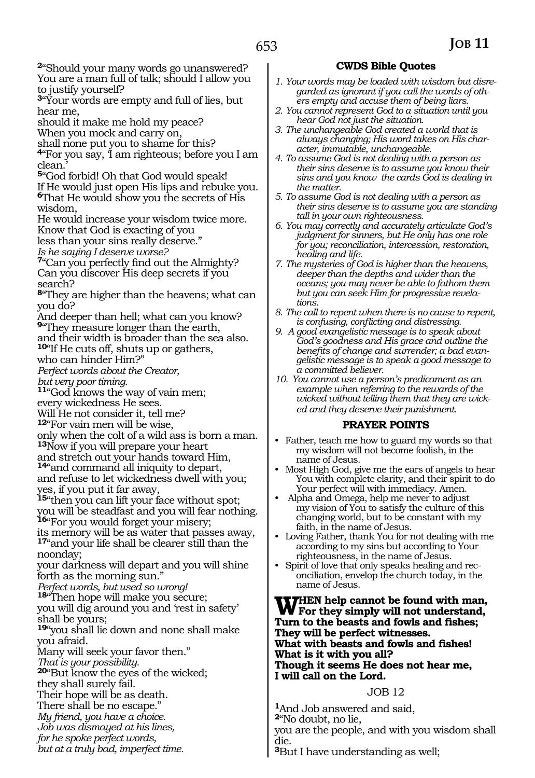**<sup>2</sup>**"Should your many words go unanswered? You are a man full of talk; should I allow you to justify yourself?

**<sup>3</sup>**"Your words are empty and full of lies, but hear me,

should it make me hold my peace?

When you mock and carry on,

shall none put you to shame for this?

**<sup>4</sup>**"For you say, 'I am righteous; before you I am clean.'

**<sup>5</sup>**"God forbid! Oh that God would speak!

If He would just open His lips and rebuke you. **<sup>6</sup>**That He would show you the secrets of His wisdom,

He would increase your wisdom twice more. Know that God is exacting of you

less than your sins really deserve."

*Is he saying I deserve worse?*

**<sup>7</sup>**"Can you perfectly find out the Almighty? Can you discover His deep secrets if you search?

**<sup>8</sup>**"They are higher than the heavens; what can you do?

And deeper than hell; what can you know? **<sup>9</sup>**"They measure longer than the earth,

and their width is broader than the sea also. **<sup>10</sup>**"If He cuts off, shuts up or gathers,

who can hinder Him?"

*Perfect words about the Creator, but very poor timing.* 

**<sup>11</sup>**"God knows the way of vain men; every wickedness He sees.

Will He not consider it, tell me?

**<sup>12</sup>**"For vain men will be wise,

only when the colt of a wild ass is born a man. **<sup>13</sup>**Now if you will prepare your heart

and stretch out your hands toward Him,

**<sup>14</sup>**"and command all iniquity to depart, and refuse to let wickedness dwell with you; yes, if you put it far away,

**<sup>15</sup>**"then you can lift your face without spot; you will be steadfast and you will fear nothing. **<sup>16</sup>**"For you would forget your misery;

its memory will be as water that passes away, **<sup>17</sup>**"and your life shall be clearer still than the noonday;

your darkness will depart and you will shine forth as the morning sun."

*Perfect words, but used so wrong!* 

**<sup>18</sup>**"Then hope will make you secure; you will dig around you and 'rest in safety' shall be yours;

**<sup>19</sup>**"you shall lie down and none shall make you afraid.

Many will seek your favor then."

*That is your possibility.*

**<sup>20</sup>**"But know the eyes of the wicked; they shall surely fail.

Their hope will be as death. There shall be no escape."

*My friend, you have a choice.* 

*Job was dismayed at his lines,* 

*for he spoke perfect words,* 

*but at a truly bad, imperfect time.*

### **CWDS Bible Quotes**

- *1. Your words may be loaded with wisdom but disregarded as ignorant if you call the words of others empty and accuse them of being liars.*
- *2. You cannot represent God to a situation until you hear God not just the situation.*
- *3. The unchangeable God created a world that is always changing; His word takes on His character, immutable, unchangeable.*
- *4. To assume God is not dealing with a person as their sins deserve is to assume you know their sins and you know the cards God is dealing in the matter.*
- *5. To assume God is not dealing with a person as their sins deserve is to assume you are standing tall in your own righteousness.*
- *6. You may correctly and accurately articulate God's judgment for sinners, but He only has one role for you; reconciliation, intercession, restoration, healing and life.*
- *7. The mysteries of God is higher than the heavens, deeper than the depths and wider than the oceans; you may never be able to fathom them but you can seek Him for progressive revelations.*
- *8. The call to repent when there is no cause to repent, is confusing, conflicting and distressing.*
- *9. A good evangelistic message is to speak about God's goodness and His grace and outline the benefits of change and surrender; a bad evangelistic message is to speak a good message to a committed believer.*
- *10. You cannot use a person's predicament as an example when referring to the rewards of the wicked without telling them that they are wicked and they deserve their punishment.*

#### **PRAYER POINTS**

- Father, teach me how to guard my words so that my wisdom will not become foolish, in the name of Jesus.
- Most High God, give me the ears of angels to hear You with complete clarity, and their spirit to do Your perfect will with immediacy. Amen.
- Alpha and Omega, help me never to adjust my vision of You to satisfy the culture of this changing world, but to be constant with my faith, in the name of Jesus.
- Loving Father, thank You for not dealing with me according to my sins but according to Your righteousness, in the name of Jesus.
- Spirit of love that only speaks healing and reconciliation, envelop the church today, in the name of Jesus.

**When help cannot be found with man, For they simply will not understand, Turn to the beasts and fowls and fishes; They will be perfect witnesses. What with beasts and fowls and fishes! What is it with you all? Though it seems He does not hear me, I will call on the Lord.**

#### JOB 12

**<sup>1</sup>**And Job answered and said, **<sup>2</sup>**"No doubt, no lie, you are the people, and with you wisdom shall die. **<sup>3</sup>**But I have understanding as well;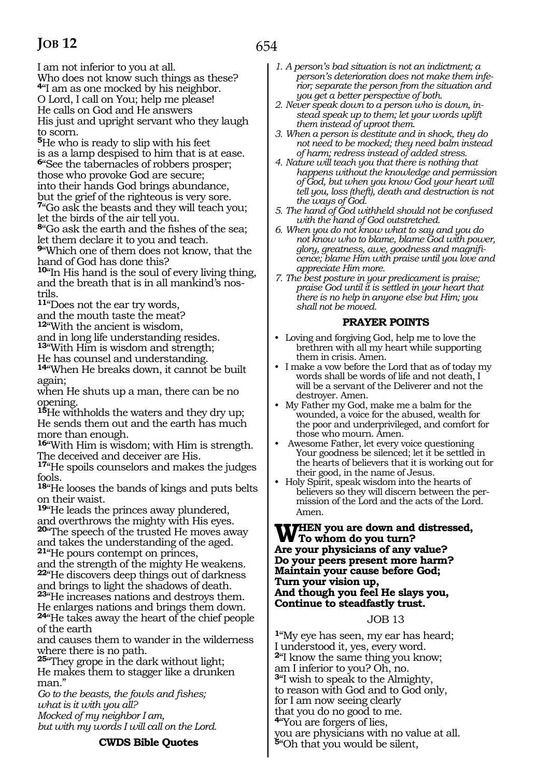I am not inferior to you at all. Who does not know such things as these? **<sup>4</sup>**"I am as one mocked by his neighbor. O Lord, I call on You; help me please! He calls on God and He answers His just and upright servant who they laugh to scorn.

**<sup>5</sup>**He who is ready to slip with his feet is as a lamp despised to him that is at ease. **<sup>6</sup>**"See the tabernacles of robbers prosper; those who provoke God are secure; into their hands God brings abundance, but the grief of the righteous is very sore. **<sup>7</sup>**"Go ask the beasts and they will teach you;

let the birds of the air tell you.

**<sup>8</sup>**"Go ask the earth and the fishes of the sea; let them declare it to you and teach.

**<sup>9</sup>**"Which one of them does not know, that the hand of God has done this?

**<sup>10</sup>**"In His hand is the soul of every living thing, and the breath that is in all mankind's nostrils.

**<sup>11</sup>**"Does not the ear try words,

and the mouth taste the meat?

**<sup>12</sup>**"With the ancient is wisdom,

and in long life understanding resides. **<sup>13</sup>**"With Him is wisdom and strength;

He has counsel and understanding.

**<sup>14</sup>**"When He breaks down, it cannot be built again;

when He shuts up a man, there can be no opening.

**<sup>15</sup>**He withholds the waters and they dry up; He sends them out and the earth has much more than enough.

**<sup>16</sup>**"With Him is wisdom; with Him is strength. The deceived and deceiver are His.

**<sup>17</sup>**"He spoils counselors and makes the judges fools.

**<sup>18</sup>**"He looses the bands of kings and puts belts on their waist.

**<sup>19</sup>**"He leads the princes away plundered, and overthrows the mighty with His eyes. **<sup>20</sup>**"The speech of the trusted He moves away and takes the understanding of the aged. **<sup>21</sup>**"He pours contempt on princes,

and the strength of the mighty He weakens. **<sup>22</sup>**"He discovers deep things out of darkness

and brings to light the shadows of death. **<sup>23</sup>**"He increases nations and destroys them. He enlarges nations and brings them down. **<sup>24</sup>**"He takes away the heart of the chief people

of the earth and causes them to wander in the wilderness where there is no path.

**<sup>25</sup>**"They grope in the dark without light; He makes them to stagger like a drunken man."

*Go to the beasts, the fowls and fishes; what is it with you all? Mocked of my neighbor I am,* 

*but with my words I will call on the Lord.*

#### **CWDS Bible Quotes**

- *1. A person's bad situation is not an indictment; a person's deterioration does not make them inferior; separate the person from the situation and you get a better perspective of both.*
- *2. Never speak down to a person who is down, instead speak up to them; let your words uplift them instead of uproot them.*
- *3. When a person is destitute and in shock, they do not need to be mocked; they need balm instead of harm; redress instead of added stress.*
- *4. Nature will teach you that there is nothing that happens without the knowledge and permission of God, but when you know God your heart will tell you, loss (theft), death and destruction is not the ways of God.*
- *5. The hand of God withheld should not be confused with the hand of God outstretched.*
- *6. When you do not know what to say and you do not know who to blame, blame God with power, glory, greatness, awe, goodness and magnificence; blame Him with praise until you love and appreciate Him more.*
- *7. The best posture in your predicament is praise; praise God until it is settled in your heart that there is no help in anyone else but Him; you shall not be moved.*

### **PRAYER POINTS**

- Loving and forgiving God, help me to love the brethren with all my heart while supporting them in crisis. Amen.
- I make a vow before the Lord that as of today my words shall be words of life and not death, I will be a servant of the Deliverer and not the destroyer. Amen.
- My Father my God, make me a balm for the wounded, a voice for the abused, wealth for the poor and underprivileged, and comfort for those who mourn. Amen.
- Awesome Father, let every voice questioning Your goodness be silenced; let it be settled in the hearts of believers that it is working out for their good, in the name of Jesus.
- Holy Spirit, speak wisdom into the hearts of believers so they will discern between the permission of the Lord and the acts of the Lord. Amen.

#### **WHEN** you are down and distressed, **To whom do you turn? Are your physicians of any value? Do your peers present more harm? Maintain your cause before God; Turn your vision up, And though you feel He slays you, Continue to steadfastly trust.**

# JOB 13

**<sup>1</sup>**"My eye has seen, my ear has heard; I understood it, yes, every word. **<sup>2</sup>**"I know the same thing you know; am I inferior to you? Oh, no. **<sup>3</sup>**"I wish to speak to the Almighty, to reason with God and to God only, for I am now seeing clearly that you do no good to me. **<sup>4</sup>**"You are forgers of lies, you are physicians with no value at all. **<sup>5</sup>**"Oh that you would be silent,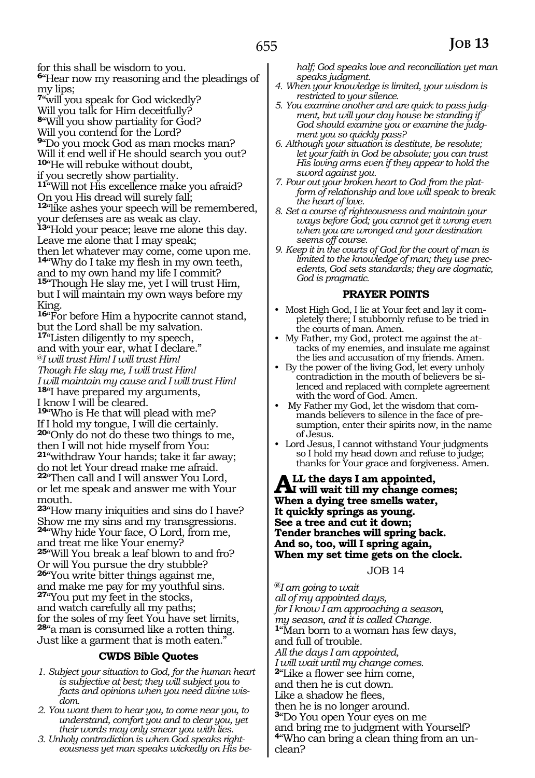for this shall be wisdom to you.

**<sup>6</sup>**"Hear now my reasoning and the pleadings of my lips;

**<sup>7</sup>**"will you speak for God wickedly?

Will you talk for Him deceitfully?

**<sup>8</sup>**"Will you show partiality for God?

Will you contend for the Lord?

**<sup>9</sup>**"Do you mock God as man mocks man? Will it end well if He should search you out?

**<sup>10</sup>**"He will rebuke without doubt,

if you secretly show partiality.

**<sup>11</sup>**"Will not His excellence make you afraid? On you His dread will surely fall;

**<sup>12</sup>**"like ashes your speech will be remembered, your defenses are as weak as clay.

**<sup>13</sup>**"Hold your peace; leave me alone this day. Leave me alone that I may speak;

then let whatever may come, come upon me. **<sup>14</sup>**"Why do I take my flesh in my own teeth,

and to my own hand my life I commit? **<sup>15</sup>**"Though He slay me, yet I will trust Him, but I will maintain my own ways before my

King. **<sup>16</sup>**"For before Him a hypocrite cannot stand,

but the Lord shall be my salvation. **<sup>17</sup>**"Listen diligently to my speech, and with your ear, what I declare." @*I will trust Him! I will trust Him!* 

*Though He slay me, I will trust Him!*

*I will maintain my cause and I will trust Him!* **<sup>18</sup>**"I have prepared my arguments,

I know I will be cleared.

**<sup>19</sup>**"Who is He that will plead with me? If I hold my tongue, I will die certainly. **<sup>20</sup>**"Only do not do these two things to me, then I will not hide myself from You: **<sup>21</sup>**"withdraw Your hands; take it far away; do not let Your dread make me afraid.

**<sup>22</sup>**"Then call and I will answer You Lord, or let me speak and answer me with Your mouth.

**<sup>23</sup>**"How many iniquities and sins do I have? Show me my sins and my transgressions. **<sup>24</sup>**"Why hide Your face, O Lord, from me, and treat me like Your enemy? **<sup>25</sup>**"Will You break a leaf blown to and fro? Or will You pursue the dry stubble? **<sup>26</sup>**"You write bitter things against me, and make me pay for my youthful sins. **<sup>27</sup>**"You put my feet in the stocks,

and watch carefully all my paths; for the soles of my feet You have set limits, **<sup>28</sup>**"a man is consumed like a rotten thing. Just like a garment that is moth eaten."

#### **CWDS Bible Quotes**

- *1. Subject your situation to God, for the human heart is subjective at best; they will subject you to facts and opinions when you need divine wisdom.*
- *2. You want them to hear you, to come near you, to understand, comfort you and to clear you, yet their words may only smear you with lies.*
- *3. Unholy contradiction is when God speaks righteousness yet man speaks wickedly on His be-*

*half; God speaks love and reconciliation yet man speaks judgment.*

*4. When your knowledge is limited, your wisdom is restricted to your silence.*

*5. You examine another and are quick to pass judgment, but will your clay house be standing if God should examine you or examine the judgment you so quickly pass?*

*6. Although your situation is destitute, be resolute; let your faith in God be absolute; you can trust His loving arms even if they appear to hold the sword against you.*

*7. Pour out your broken heart to God from the platform of relationship and love will speak to break the heart of love.* 

*8. Set a course of righteousness and maintain your ways before God; you cannot get it wrong even when you are wronged and your destination seems off course.*

*9. Keep it in the courts of God for the court of man is limited to the knowledge of man; they use precedents, God sets standards; they are dogmatic, God is pragmatic.*

#### **PRAYER POINTS**

- Most High God, I lie at Your feet and lay it completely there; I stubbornly refuse to be tried in the courts of man. Amen.
- My Father, my God, protect me against the attacks of my enemies, and insulate me against the lies and accusation of my friends. Amen.
- By the power of the living God, let every unholy contradiction in the mouth of believers be silenced and replaced with complete agreement with the word of God. Amen.
- My Father my God, let the wisdom that commands believers to silence in the face of presumption, enter their spirits now, in the name of Jesus.
- Lord Jesus, I cannot withstand Your judgments so I hold my head down and refuse to judge; thanks for Your grace and forgiveness. Amen.

ALL the days I am appointed,<br>
When a dring tree smalls unter **When a dying tree smells water, It quickly springs as young. See a tree and cut it down; Tender branches will spring back. And so, too, will I spring again, When my set time gets on the clock.**

#### JOB 14

**@***I am going to wait all of my appointed days, for I know I am approaching a season, my season, and it is called Change.*  **<sup>1</sup>**"Man born to a woman has few days, and full of trouble. *All the days I am appointed, I will wait until my change comes.*  **<sup>2</sup>**"Like a flower see him come, and then he is cut down. Like a shadow he flees, then he is no longer around. **<sup>3</sup>**"Do You open Your eyes on me and bring me to judgment with Yourself? **4**"Who can bring a clean thing from an unclean?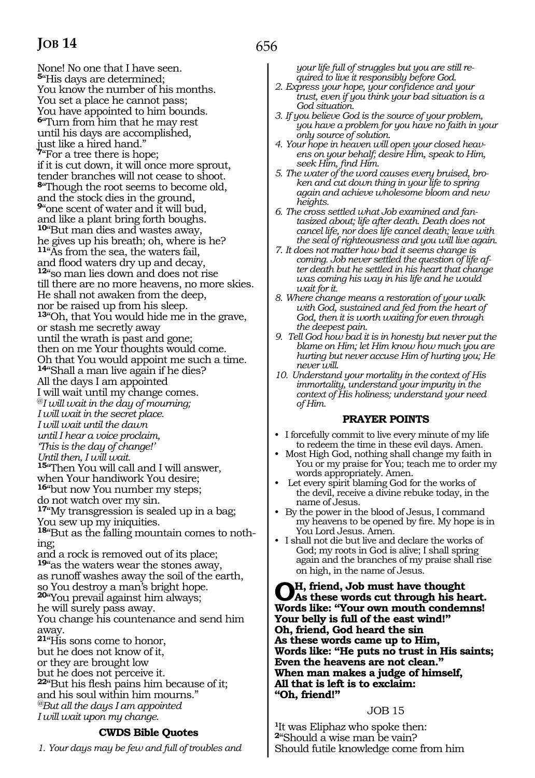None! No one that I have seen. **<sup>5</sup>**"His days are determined; You know the number of his months. You set a place he cannot pass; You have appointed to him bounds. **<sup>6</sup>**"Turn from him that he may rest until his days are accomplished, just like a hired hand." **7** For a tree there is hope; if it is cut down, it will once more sprout, tender branches will not cease to shoot. **<sup>8</sup>**"Though the root seems to become old, and the stock dies in the ground, **<sup>9</sup>**"one scent of water and it will bud, and like a plant bring forth boughs. **<sup>10</sup>**"But man dies and wastes away, he gives up his breath; oh, where is he? **<sup>11</sup>**"As from the sea, the waters fail, and flood waters dry up and decay, **12**"so man lies down and does not rise till there are no more heavens, no more skies. He shall not awaken from the deep, nor be raised up from his sleep. **<sup>13</sup>**"Oh, that You would hide me in the grave, or stash me secretly away until the wrath is past and gone; then on me Your thoughts would come. Oh that You would appoint me such a time. **<sup>14</sup>**"Shall a man live again if he dies? All the days I am appointed I will wait until my change comes. @*I will wait in the day of mourning; I will wait in the secret place. I will wait until the dawn until I hear a voice proclaim, 'This is the day of change!' Until then, I will wait.*  **<sup>15</sup>**"Then You will call and I will answer, when Your handiwork You desire; **<sup>16</sup>**"but now You number my steps; do not watch over my sin. **<sup>17</sup>**"My transgression is sealed up in a bag; You sew up my iniquities. **18**"But as the falling mountain comes to nothing; and a rock is removed out of its place; **<sup>19</sup>**"as the waters wear the stones away, as runoff washes away the soil of the earth, so You destroy a man's bright hope. **<sup>20</sup>**"You prevail against him always; he will surely pass away. You change his countenance and send him away. **<sup>21</sup>**"His sons come to honor, but he does not know of it, or they are brought low but he does not perceive it. **<sup>22</sup>**"But his flesh pains him because of it; and his soul within him mourns."

*@But all the days I am appointed*

*I will wait upon my change.*

# **CWDS Bible Quotes**

*1. Your days may be few and full of troubles and* 

*your life full of struggles but you are still required to live it responsibly before God.*

- *2. Express your hope, your confidence and your trust, even if you think your bad situation is a God situation.*
- *3. If you believe God is the source of your problem, you have a problem for you have no faith in your only source of solution.*
- *4. Your hope in heaven will open your closed heavens on your behalf; desire Him, speak to Him, seek Him, find Him.*
- *5. The water of the word causes every bruised, broken and cut down thing in your life to spring again and achieve wholesome bloom and new heights.*
- *6. The cross settled what Job examined and fantasized about; life after death. Death does not cancel life, nor does life cancel death; leave with the seal of righteousness and you will live again.*
- *7. It does not matter how bad it seems change is coming. Job never settled the question of life after death but he settled in his heart that change was coming his way in his life and he would wait for it.*
- *8. Where change means a restoration of your walk with God, sustained and fed from the heart of God, then it is worth waiting for even through the deepest pain.*
- *9. Tell God how bad it is in honesty but never put the blame on Him; let Him know how much you are hurting but never accuse Him of hurting you; He never will.*
- *10. Understand your mortality in the context of His immortality, understand your impurity in the context of His holiness; understand your need of Him.*

#### **PRAYER POINTS**

- I forcefully commit to live every minute of my life to redeem the time in these evil days. Amen.
- Most High God, nothing shall change my faith in You or my praise for You; teach me to order my words appropriately. Amen.
- Let every spirit blaming God for the works of the devil, receive a divine rebuke today, in the name of Jesus.
- By the power in the blood of Jesus, I command my heavens to be opened by fire. My hope is in You Lord Jesus. Amen.
- I shall not die but live and declare the works of God; my roots in God is alive; I shall spring again and the branches of my praise shall rise on high, in the name of Jesus.

**Oh, friend, Job must have thought As these words cut through his heart. Words like: "Your own mouth condemns! Your belly is full of the east wind!" Oh, friend, God heard the sin As these words came up to Him, Words like: "He puts no trust in His saints; Even the heavens are not clean." When man makes a judge of himself, All that is left is to exclaim: "Oh, friend!"**

#### JOB 15

**<sup>1</sup>**It was Eliphaz who spoke then: **<sup>2</sup>**"Should a wise man be vain? Should futile knowledge come from him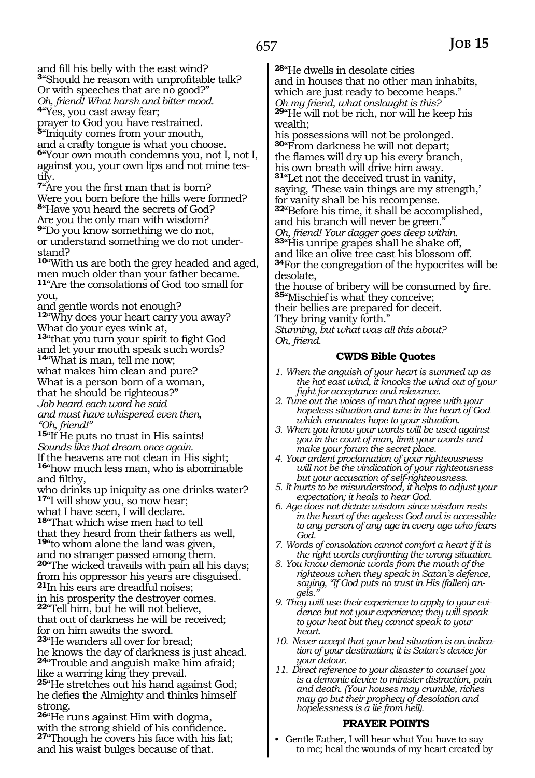and fill his belly with the east wind? **<sup>3</sup>**"Should he reason with unprofitable talk? Or with speeches that are no good?" *Oh, friend! What harsh and bitter mood.*  **<sup>4</sup>**"Yes, you cast away fear;

prayer to God you have restrained. **<sup>5</sup>**"Iniquity comes from your mouth, and a crafty tongue is what you choose. **<sup>6</sup>**"Your own mouth condemns you, not I, not I, against you, your own lips and not mine testify.

**<sup>7</sup>**"Are you the first man that is born? Were you born before the hills were formed? **<sup>8</sup>**"Have you heard the secrets of God? Are you the only man with wisdom? **<sup>9</sup>**"Do you know something we do not, or understand something we do not understand?

**<sup>10</sup>**"With us are both the grey headed and aged, men much older than your father became. **<sup>11</sup>**"Are the consolations of God too small for you,

and gentle words not enough?

**<sup>12</sup>**"Why does your heart carry you away? What do your eyes wink at,

**<sup>13</sup>**"that you turn your spirit to fight God and let your mouth speak such words? **<sup>14</sup>**"What is man, tell me now;

what makes him clean and pure?

What is a person born of a woman,

that he should be righteous?"

*Job heard each word he said*

*and must have whispered even then, "Oh, friend!"*

**<sup>15</sup>**"If He puts no trust in His saints!

*Sounds like that dream once again.*

If the heavens are not clean in His sight; **<sup>16</sup>**"how much less man, who is abominable and filthy,

who drinks up iniquity as one drinks water? **<sup>17</sup>**"I will show you, so now hear;

what I have seen, I will declare.

**<sup>18</sup>**"That which wise men had to tell

that they heard from their fathers as well, **<sup>19</sup>**"to whom alone the land was given,

and no stranger passed among them.

**<sup>20</sup>**"The wicked travails with pain all his days; from his oppressor his years are disguised.

**<sup>21</sup>**In his ears are dreadful noises; in his prosperity the destroyer comes.

**<sup>22</sup>**"Tell him, but he will not believe,

that out of darkness he will be received;

for on him awaits the sword.

**<sup>23</sup>**"He wanders all over for bread; he knows the day of darkness is just ahead. **<sup>24</sup>**"Trouble and anguish make him afraid;

like a warring king they prevail. **<sup>25</sup>**"He stretches out his hand against God;

he defies the Almighty and thinks himself strong.

**<sup>26</sup>**"He runs against Him with dogma, with the strong shield of his confidence. **<sup>27</sup>**"Though he covers his face with his fat; and his waist bulges because of that.

**<sup>28</sup>**"He dwells in desolate cities and in houses that no other man inhabits, which are just ready to become heaps." *Oh my friend, what onslaught is this?*  **<sup>29</sup>**"He will not be rich, nor will he keep his wealth;

his possessions will not be prolonged. **<sup>30</sup>**"From darkness he will not depart; the flames will dry up his every branch, his own breath will drive him away. **<sup>31</sup>**"Let not the deceived trust in vanity, saying, These vain things are my strength,' for vanity shall be his recompense. **<sup>32</sup>**"Before his time, it shall be accomplished, and his branch will never be green." *Oh, friend! Your dagger goes deep within.*  **<sup>33</sup>**"His unripe grapes shall he shake off, and like an olive tree cast his blossom off. **<sup>34</sup>**For the congregation of the hypocrites will be desolate,

the house of bribery will be consumed by fire. **<sup>35</sup>**"Mischief is what they conceive;

their bellies are prepared for deceit.

They bring vanity forth."

*Stunning, but what was all this about? Oh, friend.*

# **CWDS Bible Quotes**

- *1. When the anguish of your heart is summed up as the hot east wind, it knocks the wind out of your fight for acceptance and relevance.*
- *2. Tune out the voices of man that agree with your hopeless situation and tune in the heart of God which emanates hope to your situation.*
- *3. When you know your words will be used against you in the court of man, limit your words and make your forum the secret place.*
- *4. Your ardent proclamation of your righteousness will not be the vindication of your righteousness but your accusation of self-righteousness.*
- *5. It hurts to be misunderstood, it helps to adjust your expectation; it heals to hear God.*
- *6. Age does not dictate wisdom since wisdom rests in the heart of the ageless God and is accessible to any person of any age in every age who fears God.*
- *7. Words of consolation cannot comfort a heart if it is the right words confronting the wrong situation.*
- *8. You know demonic words from the mouth of the righteous when they speak in Satan's defence, saying, "If God puts no trust in His (fallen) angels."*
- *9. They will use their experience to apply to your evidence but not your experience; they will speak to your heat but they cannot speak to your heart.*
- *10. Never accept that your bad situation is an indication of your destination; it is Satan's device for your detour.*
- *11. Direct reference to your disaster to counsel you is a demonic device to minister distraction, pain and death. (Your houses may crumble, riches may go but their prophecy of desolation and hopelessness is a lie from hell).*

# **PRAYER POINTS**

• Gentle Father, I will hear what You have to say to me; heal the wounds of my heart created by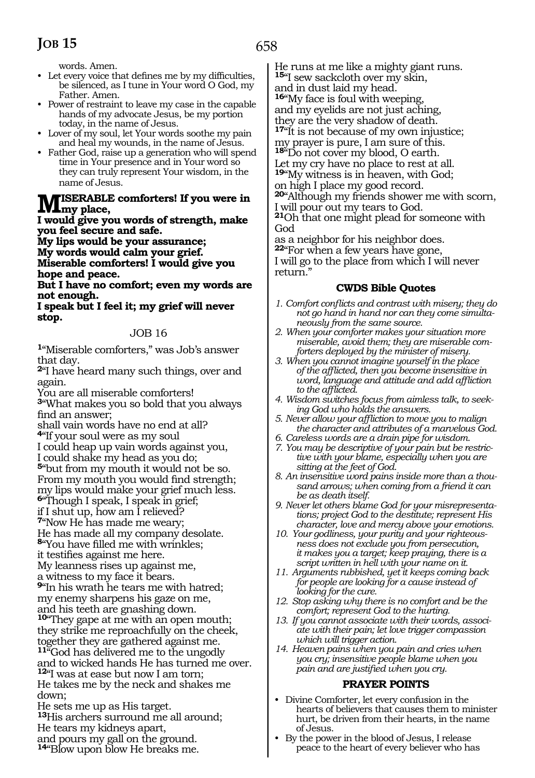658

words. Amen.

- Let every voice that defines me by my difficulties, be silenced, as I tune in Your word O God, my Father. Amen.
- Power of restraint to leave my case in the capable hands of my advocate Jesus, be my portion today, in the name of Jesus.
- Lover of my soul, let Your words soothe my pain and heal my wounds, in the name of Jesus.
- Father God, raise up a generation who will spend time in Your presence and in Your word so they can truly represent Your wisdom, in the name of Jesus.

### **Miserable comforters! If you were in**   $\textbf{IVI}_{\text{my place}}$

**I would give you words of strength, make you feel secure and safe.** 

**My lips would be your assurance; My words would calm your grief. Miserable comforters! I would give you hope and peace.** 

**But I have no comfort; even my words are not enough.** 

#### **I speak but I feel it; my grief will never stop.**

#### JOB 16

**<sup>1</sup>**"Miserable comforters," was Job's answer that day.

**<sup>2</sup>**"I have heard many such things, over and again.

You are all miserable comforters! **<sup>3</sup>**"What makes you so bold that you always find an answer;

shall vain words have no end at all? **<sup>4</sup>**"If your soul were as my soul

I could heap up vain words against you, I could shake my head as you do;

**<sup>5</sup>**"but from my mouth it would not be so.

From my mouth you would find strength;

my lips would make your grief much less.

**<sup>6</sup>**"Though I speak, I speak in grief;

if I shut up, how am I relieved?

**<sup>7</sup>**"Now He has made me weary; He has made all my company desolate.

**<sup>8</sup>**"You have filled me with wrinkles;

it testifies against me here.

My leanness rises up against me,

a witness to my face it bears.

**<sup>9</sup>**"In his wrath he tears me with hatred; my enemy sharpens his gaze on me, and his teeth are gnashing down.

**<sup>10</sup>**"They gape at me with an open mouth; they strike me reproachfully on the cheek, together they are gathered against me. **<sup>11</sup>**"God has delivered me to the ungodly and to wicked hands He has turned me over. **<sup>12</sup>**"I was at ease but now I am torn; He takes me by the neck and shakes me down;

He sets me up as His target. **<sup>13</sup>**His archers surround me all around; He tears my kidneys apart, and pours my gall on the ground. **<sup>14</sup>**"Blow upon blow He breaks me.

He runs at me like a mighty giant runs. **<sup>15</sup>**"I sew sackcloth over my skin,

and in dust laid my head.

**<sup>16</sup>**"My face is foul with weeping,

and my eyelids are not just aching, they are the very shadow of death.

**<sup>17</sup>**"It is not because of my own injustice; my prayer is pure, I am sure of this.

**<sup>18</sup>**"Do not cover my blood, O earth. Let my cry have no place to rest at all.

**<sup>19</sup>**"My witness is in heaven, with God;

on high I place my good record.

**<sup>20</sup>**"Although my friends shower me with scorn, I will pour out my tears to God.

**<sup>21</sup>**Oh that one might plead for someone with God

as a neighbor for his neighbor does. **<sup>22</sup>**"For when a few years have gone,

I will go to the place from which I will never return."

### **CWDS Bible Quotes**

- *1. Comfort conflicts and contrast with misery; they do not go hand in hand nor can they come simultaneously from the same source.*
- *2. When your comforter makes your situation more miserable, avoid them; they are miserable comforters deployed by the minister of misery.*
- *3. When you cannot imagine yourself in the place of the afflicted, then you become insensitive in word, language and attitude and add affliction to the afflicted.*
- *4. Wisdom switches focus from aimless talk, to seeking God who holds the answers.*
- *5. Never allow your affliction to move you to malign the character and attributes of a marvelous God.*
- *6. Careless words are a drain pipe for wisdom.*
- *7. You may be descriptive of your pain but be restrictive with your blame, especially when you are sitting at the feet of God.*
- *8. An insensitive word pains inside more than a thousand arrows; when coming from a friend it can be as death itself.*
- *9. Never let others blame God for your misrepresentations; project God to the destitute; represent His character, love and mercy above your emotions.*
- *10. Your godliness, your purity and your righteousness does not exclude you from persecution, it makes you a target; keep praying, there is a script written in hell with your name on it.*
- *11. Arguments rubbished, yet it keeps coming back for people are looking for a cause instead of looking for the cure.*
- *12. Stop asking why there is no comfort and be the comfort; represent God to the hurting.*
- *13. If you cannot associate with their words, associate with their pain; let love trigger compassion which will trigger action.*
- *14. Heaven pains when you pain and cries when you cry; insensitive people blame when you pain and are justified when you cry.*

# **PRAYER POINTS**

- Divine Comforter, let every confusion in the hearts of believers that causes them to minister hurt, be driven from their hearts, in the name of Jesus.
- By the power in the blood of Jesus, I release peace to the heart of every believer who has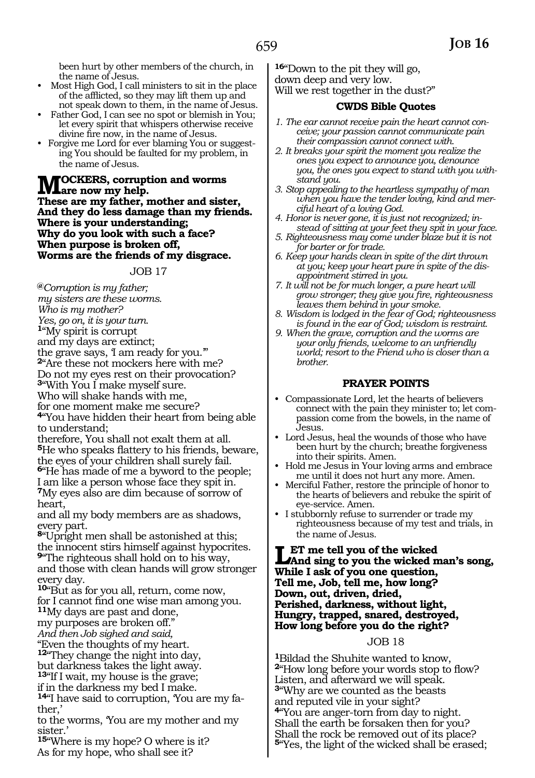been hurt by other members of the church, in the name of Jesus.

- Most High God, I call ministers to sit in the place of the afflicted, so they may lift them up and not speak down to them, in the name of Jesus.
- Father God, I can see no spot or blemish in You; let every spirit that whispers otherwise receive divine fire now, in the name of Jesus.
- Forgive me Lord for ever blaming You or suggesting You should be faulted for my problem, in the name of Jesus.

**MOCKERS, corruption and worms**<br> **These are my fatter, matter and sister These are my father, mother and sister, And they do less damage than my friends. Where is your understanding; Why do you look with such a face? When purpose is broken off, Worms are the friends of my disgrace.**

JOB 17

**@***Corruption is my father; my sisters are these worms. Who is my mother? Yes, go on, it is your turn.*  **<sup>1</sup>**"My spirit is corrupt and my days are extinct; the grave says, 'I am ready for you.'" **<sup>2</sup>**"Are these not mockers here with me? Do not my eyes rest on their provocation? **<sup>3</sup>**"With You I make myself sure. Who will shake hands with me, for one moment make me secure? **<sup>4</sup>**"You have hidden their heart from being able to understand; therefore, You shall not exalt them at all. **<sup>5</sup>**He who speaks flattery to his friends, beware, the eyes of your children shall surely fail. **<sup>6</sup>**"He has made of me a byword to the people; I am like a person whose face they spit in. **<sup>7</sup>**My eyes also are dim because of sorrow of heart,

and all my body members are as shadows, every part.

**<sup>8</sup>**"Upright men shall be astonished at this; the innocent stirs himself against hypocrites.

**<sup>9</sup>**"The righteous shall hold on to his way, and those with clean hands will grow stronger every day.

**<sup>10</sup>**"But as for you all, return, come now,

for I cannot find one wise man among you.

**<sup>11</sup>**My days are past and done,

my purposes are broken off."

*And then Job sighed and said,* 

"Even the thoughts of my heart.

**<sup>12</sup>**"They change the night into day, but darkness takes the light away.

**<sup>13</sup>**"If I wait, my house is the grave;

if in the darkness my bed I make.

**14**"I have said to corruption, 'You are my father,'

to the worms, 'You are my mother and my sister.'

**<sup>15</sup>**"Where is my hope? O where is it? As for my hope, who shall see it?

**<sup>16</sup>**"Down to the pit they will go, down deep and very low. Will we rest together in the dust?"

#### **CWDS Bible Quotes**

- *1. The ear cannot receive pain the heart cannot conceive; your passion cannot communicate pain their compassion cannot connect with.*
- *2. It breaks your spirit the moment you realize the ones you expect to announce you, denounce you, the ones you expect to stand with you withstand you.*
- *3. Stop appealing to the heartless sympathy of man when you have the tender loving, kind and merciful heart of a loving God.*
- *4. Honor is never gone, it is just not recognized; instead of sitting at your feet they spit in your face.*
- *5. Righteousness may come under blaze but it is not for barter or for trade.*
- *6. Keep your hands clean in spite of the dirt thrown at you; keep your heart pure in spite of the disappointment stirred in you.*
- *7. It will not be for much longer, a pure heart will grow stronger; they give you fire, righteousness leaves them behind in your smoke.*
- *8. Wisdom is lodged in the fear of God; righteousness is found in the ear of God; wisdom is restraint.*
- *9. When the grave, corruption and the worms are your only friends, welcome to an unfriendly world; resort to the Friend who is closer than a brother.*

#### **PRAYER POINTS**

- Compassionate Lord, let the hearts of believers connect with the pain they minister to; let compassion come from the bowels, in the name of Jesus.
- Lord Jesus, heal the wounds of those who have been hurt by the church; breathe forgiveness into their spirits. Amen.
- Hold me Jesus in Your loving arms and embrace me until it does not hurt any more. Amen.
- Merciful Father, restore the principle of honor to the hearts of believers and rebuke the spirit of eye-service. Amen.
- I stubbornly refuse to surrender or trade my righteousness because of my test and trials, in the name of Jesus.

#### **Let me tell you of the wicked And sing to you the wicked man's song, While I ask of you one question, Tell me, Job, tell me, how long? Down, out, driven, dried, Perished, darkness, without light, Hungry, trapped, snared, destroyed, How long before you do the right?**

#### JOB 18

**<sup>1</sup>**Bildad the Shuhite wanted to know, **<sup>2</sup>**"How long before your words stop to flow? Listen, and afterward we will speak. **<sup>3</sup>**"Why are we counted as the beasts and reputed vile in your sight? **<sup>4</sup>**"You are anger-torn from day to night. Shall the earth be forsaken then for you? Shall the rock be removed out of its place? **<sup>5</sup>**"Yes, the light of the wicked shall be erased;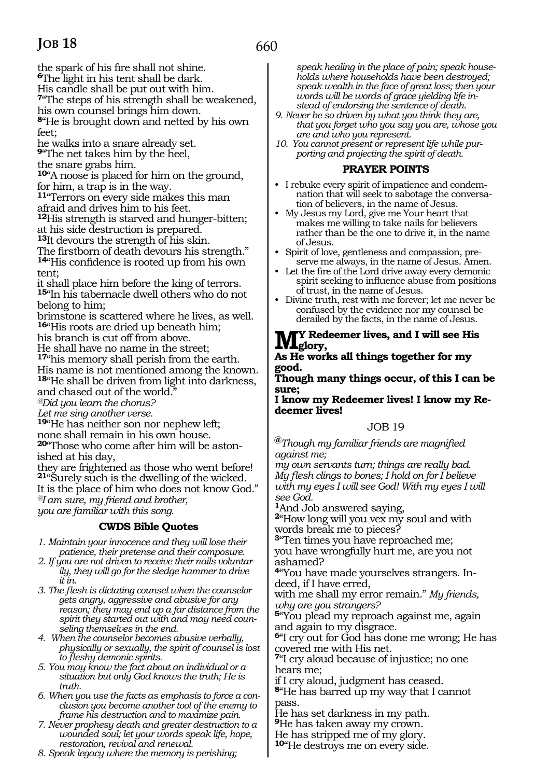the spark of his fire shall not shine.

**<sup>6</sup>**The light in his tent shall be dark.

His candle shall be put out with him.

**<sup>7</sup>**"The steps of his strength shall be weakened,

his own counsel brings him down. **<sup>8</sup>**"He is brought down and netted by his own feet;

he walks into a snare already set.

**<sup>9</sup>**"The net takes him by the heel,

the snare grabs him.

**<sup>10</sup>**"A noose is placed for him on the ground, for him, a trap is in the way.

**<sup>11</sup>**"Terrors on every side makes this man afraid and drives him to his feet.

**<sup>12</sup>**His strength is starved and hunger-bitten; at his side destruction is prepared.

**<sup>13</sup>**It devours the strength of his skin.

The firstborn of death devours his strength." **<sup>14</sup>**"His confidence is rooted up from his own tent;

it shall place him before the king of terrors. **<sup>15</sup>**"In his tabernacle dwell others who do not belong to him;

brimstone is scattered where he lives, as well. **<sup>16</sup>**"His roots are dried up beneath him;

his branch is cut off from above.

He shall have no name in the street;

**<sup>17</sup>**"his memory shall perish from the earth.

His name is not mentioned among the known. **<sup>18</sup>**"He shall be driven from light into darkness, and chased out of the world.

*@Did you learn the chorus?* 

*Let me sing another verse.* 

**<sup>19</sup>**"He has neither son nor nephew left; none shall remain in his own house.

**20**"Those who come after him will be astonished at his day,

they are frightened as those who went before! **<sup>21</sup>**"Surely such is the dwelling of the wicked. It is the place of him who does not know God." *@I am sure, my friend and brother, you are familiar with this song.*

# **CWDS Bible Quotes**

*1. Maintain your innocence and they will lose their patience, their pretense and their composure.*

*2. If you are not driven to receive their nails voluntarily, they will go for the sledge hammer to drive it in.*

*3. The flesh is dictating counsel when the counselor gets angry, aggressive and abusive for any reason; they may end up a far distance from the spirit they started out with and may need counseling themselves in the end.*

*4. When the counselor becomes abusive verbally, physically or sexually, the spirit of counsel is lost to fleshy demonic spirits.*

*5. You may know the fact about an individual or a situation but only God knows the truth; He is truth.*

*6. When you use the facts as emphasis to force a conclusion you become another tool of the enemy to frame his destruction and to maximize pain.*

*7. Never prophesy death and greater destruction to a wounded soul; let your words speak life, hope, restoration, revival and renewal.*

*8. Speak legacy where the memory is perishing;* 

*speak healing in the place of pain; speak households where households have been destroyed; speak wealth in the face of great loss; then your words will be words of grace yielding life instead of endorsing the sentence of death.*

- *9. Never be so driven by what you think they are, that you forget who you say you are, whose you are and who you represent.*
- *10. You cannot present or represent life while purporting and projecting the spirit of death.*

### **PRAYER POINTS**

- I rebuke every spirit of impatience and condemnation that will seek to sabotage the conversation of believers, in the name of Jesus.
- My Jesus my Lord, give me Your heart that makes me willing to take nails for believers rather than be the one to drive it, in the name of Jesus.
- Spirit of love, gentleness and compassion, preserve me always, in the name of Jesus. Amen.
- Let the fire of the Lord drive away every demonic spirit seeking to influence abuse from positions of trust, in the name of Jesus.
- Divine truth, rest with me forever; let me never be confused by the evidence nor my counsel be derailed by the facts, in the name of Jesus.

# **M y Redeemer lives, and I will see His**   $\blacksquare$ **WL**glory,

#### **As He works all things together for my good.**

#### **Though many things occur, of this I can be sure;**

**I know my Redeemer lives! I know my Redeemer lives!** 

# JOB 19

**@***Though my familiar friends are magnified against me;* 

*my own servants turn; things are really bad. My flesh clings to bones; I hold on for I believe with my eyes I will see God! With my eyes I will see God.* 

**<sup>1</sup>**And Job answered saying,

**<sup>2</sup>**"How long will you vex my soul and with words break me to pieces?

**<sup>3</sup>**"Ten times you have reproached me; you have wrongfully hurt me, are you not ashamed?

**4**"You have made yourselves strangers. Indeed, if I have erred,

with me shall my error remain." *My friends, why are you strangers?*

**<sup>5</sup>**"You plead my reproach against me, again and again to my disgrace.

**<sup>6</sup>**"I cry out for God has done me wrong; He has covered me with His net.

**<sup>7</sup>**"I cry aloud because of injustice; no one hears me;

if I cry aloud, judgment has ceased.

**<sup>8</sup>**"He has barred up my way that I cannot pass.

He has set darkness in my path.

**<sup>9</sup>**He has taken away my crown.

He has stripped me of my glory.

**<sup>10</sup>**"He destroys me on every side.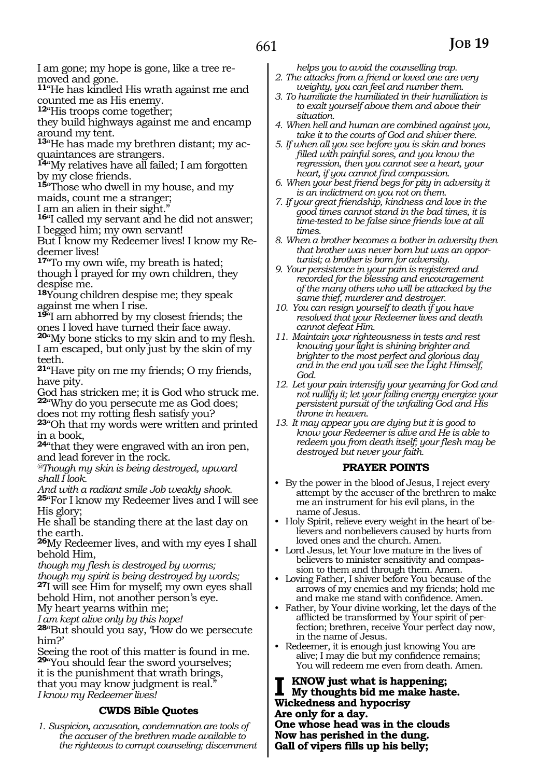I am gone; my hope is gone, like a tree re- moved and gone.

**<sup>11</sup>**"He has kindled His wrath against me and counted me as His enemy.

**<sup>12</sup>**"His troops come together;

they build highways against me and encamp around my tent.

**13**"He has made my brethren distant; my acquaintances are strangers.

**<sup>14</sup>**"My relatives have all failed; I am forgotten by my close friends.

**<sup>15</sup>**"Those who dwell in my house, and my

maids, count me a stranger; I am an alien in their sight."

**<sup>16</sup>**"I called my servant and he did not answer; I begged him; my own servant!

But I know my Redeemer lives! I know my Re- deemer lives!

**<sup>17</sup>**"To my own wife, my breath is hated; though I prayed for my own children, they despise me.

**<sup>18</sup>**Young children despise me; they speak against me when I rise.

**<sup>19</sup>**"I am abhorred by my closest friends; the ones I loved have turned their face away.

**<sup>20</sup>**"My bone sticks to my skin and to my flesh. I am escaped, but only just by the skin of my teeth.

**<sup>21</sup>**"Have pity on me my friends; O my friends, have pity.

God has stricken me; it is God who struck me. **<sup>22</sup>**"Why do you persecute me as God does;

does not my rotting flesh satisfy you?

**<sup>23</sup>**"Oh that my words were written and printed in a book,

**<sup>24</sup>**"that they were engraved with an iron pen, and lead forever in the rock.

*@Though my skin is being destroyed, upward shall I look.* 

*And with a radiant smile Job weakly shook.* 

**<sup>25</sup>**"For I know my Redeemer lives and I will see His glory;

He shall be standing there at the last day on the earth.

**<sup>26</sup>**My Redeemer lives, and with my eyes I shall behold Him,

*though my flesh is destroyed by worms;* 

*though my spirit is being destroyed by words;* 

**<sup>27</sup>**I will see Him for myself; my own eyes shall behold Him, not another person's eye.

My heart yearns within me;

*I am kept alive only by this hope!* 

**<sup>28</sup>**"But should you say, 'How do we persecute him?'

Seeing the root of this matter is found in me. **<sup>29</sup>**"You should fear the sword yourselves; it is the punishment that wrath brings, that you may know judgment is real." *I know my Redeemer lives!* 

# **CWDS Bible Quotes**

*1. Suspicion, accusation, condemnation are tools of the accuser of the brethren made available to the righteous to corrupt counseling; discernment* 

*helps you to avoid the counselling trap. 2. The attacks from a friend or loved one are very* 

- *weighty, you can feel and number them. 3. To humiliate the humiliated in their humiliation is*
- *to exalt yourself above them and above their situation.*
- *4. When hell and human are combined against you, take it to the courts of God and shiver there.*
- *5. If when all you see before you is skin and bones filled with painful sores, and you know the regression, then you cannot see a heart, your heart, if you cannot find compassion.*
- *6. When your best friend begs for pity in adversity it is an indictment on you not on them.*
- *7. If your great friendship, kindness and love in the good times cannot stand in the bad times, it is time-tested to be false since friends love at all times.*
- *8. When a brother becomes a bother in adversity then that brother was never born but was an opportunist; a brother is born for adversity.*
- *9. Your persistence in your pain is registered and recorded for the blessing and encouragement of the many others who will be attacked by the same thief, murderer and destroyer.*
- *10. You can resign yourself to death if you have resolved that your Redeemer lives and death cannot defeat Him.*
- *11. Maintain your righteousness in tests and rest knowing your light is shining brighter and brighter to the most perfect and glorious day and in the end you will see the Light Himself, God.*
- *12. Let your pain intensify your yearning for God and not nullify it; let your failing energy energize your persistent pursuit of the unfailing God and His throne in heaven.*
- *13. It may appear you are dying but it is good to know your Redeemer is alive and He is able to redeem you from death itself; your flesh may be destroyed but never your faith.*

# **PRAYER POINTS**

- By the power in the blood of Jesus, I reject every attempt by the accuser of the brethren to make me an instrument for his evil plans, in the name of Jesus.
- Holy Spirit, relieve every weight in the heart of believers and nonbelievers caused by hurts from loved ones and the church. Amen.
- Lord Jesus, let Your love mature in the lives of believers to minister sensitivity and compassion to them and through them. Amen.
- Loving Father, I shiver before You because of the arrows of my enemies and my friends; hold me and make me stand with confidence. Amen.
- Father, by Your divine working, let the days of the afflicted be transformed by Your spirit of perfection; brethren, receive Your perfect day now, in the name of Jesus.
- Redeemer, it is enough just knowing You are alive; I may die but my confidence remains; You will redeem me even from death. Amen.

**I know just what is happening; My thoughts bid me make haste. Wickedness and hypocrisy Are only for a day. One whose head was in the clouds**

**Now has perished in the dung. Gall of vipers fills up his belly;**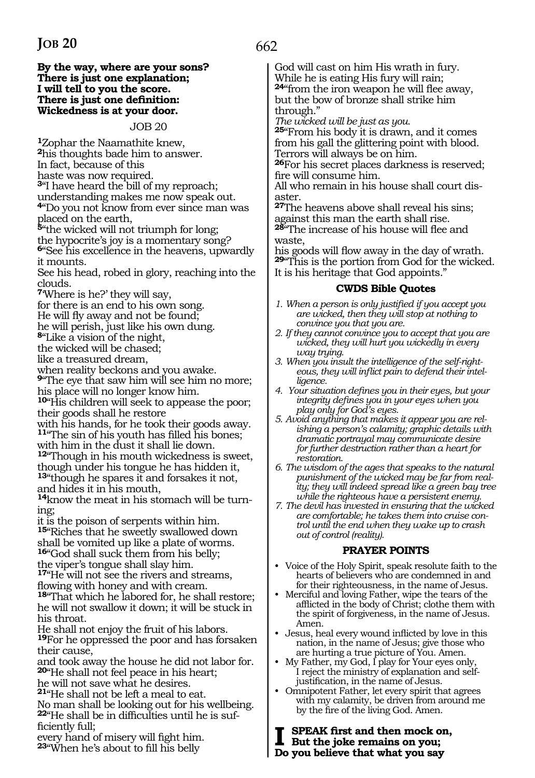#### **By the way, where are your sons? There is just one explanation; I will tell to you the score. There is just one definition: Wickedness is at your door.**

JOB 20

**<sup>1</sup>**Zophar the Naamathite knew, **<sup>2</sup>**his thoughts bade him to answer.

In fact, because of this

haste was now required.

**<sup>3</sup>**"I have heard the bill of my reproach;

understanding makes me now speak out.

**<sup>4</sup>**"Do you not know from ever since man was placed on the earth,

**<sup>5</sup>**"the wicked will not triumph for long;

the hypocrite's joy is a momentary song? **<sup>6</sup>**"See his excellence in the heavens, upwardly it mounts.

See his head, robed in glory, reaching into the clouds.

**<sup>7</sup>**'Where is he?' they will say,

for there is an end to his own song.

He will fly away and not be found;

he will perish, just like his own dung.

**<sup>8</sup>**"Like a vision of the night,

the wicked will be chased;

like a treasured dream,

when reality beckons and you awake.

**<sup>9</sup>**"The eye that saw him will see him no more; his place will no longer know him.

**<sup>10</sup>**"His children will seek to appease the poor; their goods shall he restore

with his hands, for he took their goods away. **<sup>11</sup>**"The sin of his youth has filled his bones;

with him in the dust it shall lie down. **<sup>12</sup>**"Though in his mouth wickedness is sweet, though under his tongue he has hidden it,

**<sup>13</sup>**"though he spares it and forsakes it not, and hides it in his mouth,

**14**know the meat in his stomach will be turning;

it is the poison of serpents within him.

**<sup>15</sup>**"Riches that he sweetly swallowed down shall be vomited up like a plate of worms. **<sup>16</sup>**"God shall suck them from his belly;

the viper's tongue shall slay him.

**<sup>17</sup>**"He will not see the rivers and streams, flowing with honey and with cream.

**<sup>18</sup>**"That which he labored for, he shall restore; he will not swallow it down; it will be stuck in his throat.

He shall not enjoy the fruit of his labors. **<sup>19</sup>**For he oppressed the poor and has forsaken their cause,

and took away the house he did not labor for. **<sup>20</sup>**"He shall not feel peace in his heart;

he will not save what he desires.

**<sup>21</sup>**"He shall not be left a meal to eat.

No man shall be looking out for his wellbeing. **22**"He shall be in difficulties until he is sufficiently full;

every hand of misery will fight him. **<sup>23</sup>**"When he's about to fill his belly

# 662

God will cast on him His wrath in fury. While he is eating His fury will rain; **<sup>24</sup>**"from the iron weapon he will flee away, but the bow of bronze shall strike him through."

*The wicked will be just as you.* 

**<sup>25</sup>**"From his body it is drawn, and it comes from his gall the glittering point with blood. Terrors will always be on him.

**<sup>26</sup>**For his secret places darkness is reserved; fire will consume him.

All who remain in his house shall court disaster.

**<sup>27</sup>**The heavens above shall reveal his sins; against this man the earth shall rise. **<sup>28</sup>**"The increase of his house will flee and

waste,

his goods will flow away in the day of wrath. **<sup>29</sup>**"This is the portion from God for the wicked. It is his heritage that God appoints."

#### **CWDS Bible Quotes**

- *1. When a person is only justified if you accept you are wicked, then they will stop at nothing to convince you that you are.*
- *2. If they cannot convince you to accept that you are wicked, they will hurt you wickedly in every way trying.*
- *3. When you insult the intelligence of the self-righteous, they will inflict pain to defend their intelligence.*
- *4. Your situation defines you in their eyes, but your integrity defines you in your eyes when you play only for God's eyes.*
- *5. Avoid anything that makes it appear you are relishing a person's calamity; graphic details with dramatic portrayal may communicate desire for further destruction rather than a heart for restoration.*
- *6. The wisdom of the ages that speaks to the natural punishment of the wicked may be far from reality; they will indeed spread like a green bay tree while the righteous have a persistent enemy.*
- *7. The devil has invested in ensuring that the wicked are comfortable; he takes them into cruise control until the end when they wake up to crash out of control (reality).*

#### **PRAYER POINTS**

- Voice of the Holy Spirit, speak resolute faith to the hearts of believers who are condemned in and for their righteousness, in the name of Jesus.
- Merciful and loving Father, wipe the tears of the afflicted in the body of Christ; clothe them with the spirit of forgiveness, in the name of Jesus. Amen.
- Jesus, heal every wound inflicted by love in this nation, in the name of Jesus; give those who are hurting a true picture of You. Amen.
- My Father, my God, I play for Your eyes only, I reject the ministry of explanation and selfjustification, in the name of Jesus.
- Omnipotent Father, let every spirit that agrees with my calamity, be driven from around me by the fire of the living God. Amen.

**I speak first and then mock on, But the joke remains on you; Do you believe that what you say**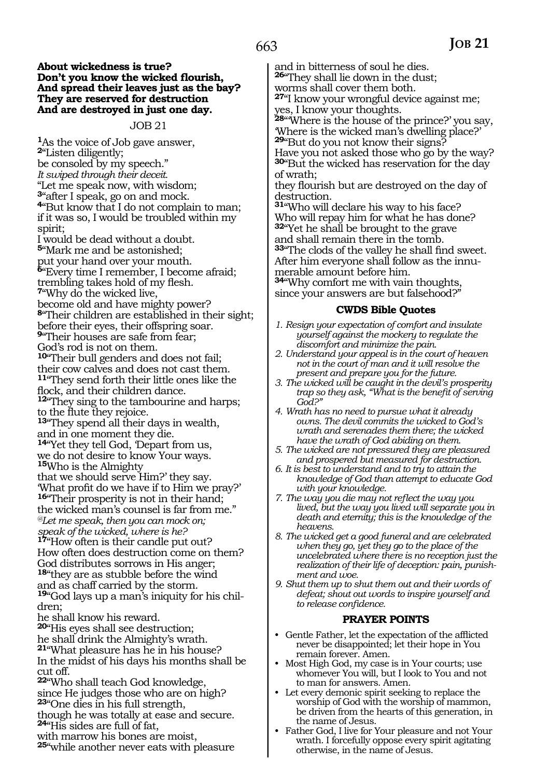#### **About wickedness is true? Don't you know the wicked flourish, And spread their leaves just as the bay? They are reserved for destruction And are destroyed in just one day.**

#### JOB 21

**<sup>1</sup>**As the voice of Job gave answer, **<sup>2</sup>**"Listen diligently; be consoled by my speech." *It swiped through their deceit.*  "Let me speak now, with wisdom; **<sup>3</sup>**"after I speak, go on and mock. **<sup>4</sup>**"But know that I do not complain to man; if it was so, I would be troubled within my spirit;

I would be dead without a doubt. **<sup>5</sup>**"Mark me and be astonished; put your hand over your mouth. **<sup>6</sup>**"Every time I remember, I become afraid; trembling takes hold of my flesh. **<sup>7</sup>**"Why do the wicked live, become old and have mighty power? **<sup>8</sup>**"Their children are established in their sight; before their eyes, their offspring soar. **<sup>9</sup>**"Their houses are safe from fear; God's rod is not on them. **<sup>10</sup>**"Their bull genders and does not fail; their cow calves and does not cast them. **<sup>11</sup>**"They send forth their little ones like the flock, and their children dance. **<sup>12</sup>**"They sing to the tambourine and harps; to the flute they rejoice. **<sup>13</sup>**"They spend all their days in wealth, and in one moment they die. 14"Yet they tell God, Depart from us, we do not desire to know Your ways. **<sup>15</sup>**Who is the Almighty that we should serve Him?' they say. 'What profit do we have if to Him we pray?' **<sup>16</sup>**"Their prosperity is not in their hand; the wicked man's counsel is far from me." *@Let me speak, then you can mock on; speak of the wicked, where is he?*  **<sup>17</sup>**"How often is their candle put out? How often does destruction come on them? God distributes sorrows in His anger;

**<sup>18</sup>**"they are as stubble before the wind and as chaff carried by the storm. **19**"God lays up a man's iniquity for his children;

he shall know his reward.

**<sup>20</sup>**"His eyes shall see destruction;

he shall drink the Almighty's wrath.

**<sup>21</sup>**"What pleasure has he in his house? In the midst of his days his months shall be cut off.

**<sup>22</sup>**"Who shall teach God knowledge, since He judges those who are on high? **<sup>23</sup>**"One dies in his full strength,

though he was totally at ease and secure. **<sup>24</sup>**"His sides are full of fat,

with marrow his bones are moist,

**<sup>25</sup>**"while another never eats with pleasure

and in bitterness of soul he dies. **<sup>26</sup>**"They shall lie down in the dust;

worms shall cover them both.

**<sup>27</sup>**"I know your wrongful device against me; yes, I know your thoughts.

**<sup>28</sup>**"'Where is the house of the prince?' you say, 'Where is the wicked man's dwelling place?' **<sup>29</sup>**"But do you not know their signs? Have you not asked those who go by the way?

**<sup>30</sup>**"But the wicked has reservation for the day of wrath;

they flourish but are destroyed on the day of destruction.

**<sup>31</sup>**"Who will declare his way to his face? Who will repay him for what he has done? **<sup>32</sup>**"Yet he shall be brought to the grave and shall remain there in the tomb. **<sup>33</sup>**"The clods of the valley he shall find sweet. After him everyone shall follow as the innumerable amount before him.

**<sup>34</sup>**"Why comfort me with vain thoughts, since your answers are but falsehood?"

#### **CWDS Bible Quotes**

- *1. Resign your expectation of comfort and insulate yourself against the mockery to regulate the discomfort and minimize the pain.*
- *2. Understand your appeal is in the court of heaven not in the court of man and it will resolve the present and prepare you for the future.*
- *3. The wicked will be caught in the devil's prosperity trap so they ask, "What is the benefit of serving God?"*
- *4. Wrath has no need to pursue what it already owns. The devil commits the wicked to God's wrath and serenades them there; the wicked have the wrath of God abiding on them.*
- *5. The wicked are not pressured they are pleasured and prospered but measured for destruction.*
- *6. It is best to understand and to try to attain the knowledge of God than attempt to educate God with your knowledge.*
- *7. The way you die may not reflect the way you lived, but the way you lived will separate you in death and eternity; this is the knowledge of the heavens.*
- *8. The wicked get a good funeral and are celebrated when they go, yet they go to the place of the uncelebrated where there is no reception just the realization of their life of deception: pain, punishment and woe.*
- *9. Shut them up to shut them out and their words of defeat; shout out words to inspire yourself and to release confidence.*

#### **PRAYER POINTS**

- Gentle Father, let the expectation of the afflicted never be disappointed; let their hope in You remain forever. Amen.
- Most High God, my case is in Your courts; use whomever You will, but I look to You and not to man for answers. Amen.
- Let every demonic spirit seeking to replace the worship of God with the worship of mammon, be driven from the hearts of this generation, in the name of Jesus.
- Father God, I live for Your pleasure and not Your wrath. I forcefully oppose every spirit agitating otherwise, in the name of Jesus.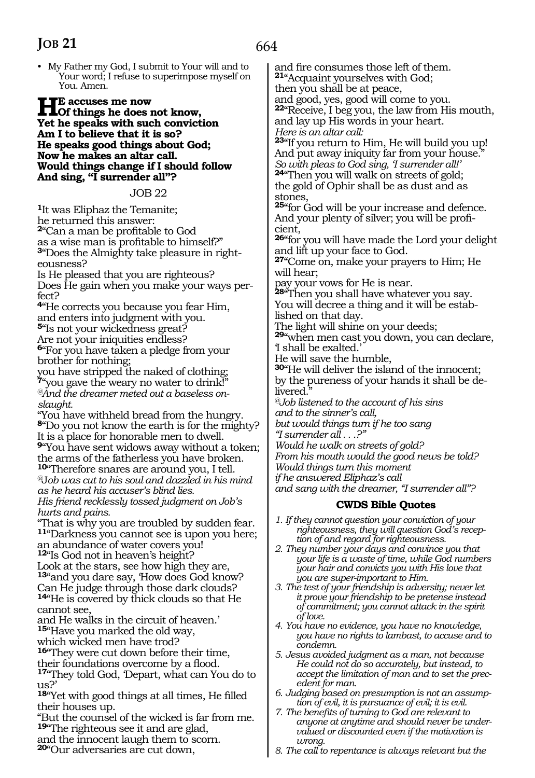• My Father my God, I submit to Your will and to Your word; I refuse to superimpose myself on You. Amen.

**HE** accuses me now<br>Of things he does not know, **Yet he speaks with such conviction Am I to believe that it is so? He speaks good things about God; Now he makes an altar call. Would things change if I should follow And sing, "I surrender all"?**

JOB 22

**<sup>1</sup>**It was Eliphaz the Temanite; he returned this answer: **<sup>2</sup>**"Can a man be profitable to God as a wise man is profitable to himself?"

**3**"Does the Almighty take pleasure in righteousness?

Is He pleased that you are righteous? Does He gain when you make your ways perfect?

**<sup>4</sup>**"He corrects you because you fear Him, and enters into judgment with you. **<sup>5</sup>**"Is not your wickedness great?

Are not your iniquities endless? **<sup>6</sup>**"For you have taken a pledge from your

brother for nothing;

you have stripped the naked of clothing; **<sup>7</sup>**"you gave the weary no water to drink!" *@And the dreamer meted out a baseless onslaught.* 

"You have withheld bread from the hungry. **<sup>8</sup>**"Do you not know the earth is for the mighty? It is a place for honorable men to dwell.

**<sup>9</sup>**"You have sent widows away without a token; the arms of the fatherless you have broken. **<sup>10</sup>**"Therefore snares are around you, I tell.

*@*J*ob was cut to his soul and dazzled in his mind as he heard his accuser's blind lies.* 

*His friend recklessly tossed judgment on Job's hurts and pains.* 

"That is why you are troubled by sudden fear. **<sup>11</sup>**"Darkness you cannot see is upon you here;

an abundance of water covers you! **<sup>12</sup>**"Is God not in heaven's height?

Look at the stars, see how high they are, **<sup>13</sup>**"and you dare say, 'How does God know?

Can He judge through those dark clouds? **<sup>14</sup>**"He is covered by thick clouds so that He cannot see,

and He walks in the circuit of heaven.' **<sup>15</sup>**"Have you marked the old way,

which wicked men have trod?

**<sup>16</sup>**"They were cut down before their time, their foundations overcome by a flood.

**<sup>17</sup>**"They told God, 'Depart, what can You do to us?'

**<sup>18</sup>**"Yet with good things at all times, He filled their houses up.

"But the counsel of the wicked is far from me. **<sup>19</sup>**"The righteous see it and are glad,

and the innocent laugh them to scorn.

**<sup>20</sup>**"Our adversaries are cut down,

and fire consumes those left of them. **<sup>21</sup>**"Acquaint yourselves with God; then you shall be at peace, and good, yes, good will come to you. **<sup>22</sup>**"Receive, I beg you, the law from His mouth, and lay up His words in your heart. *Here is an altar call:*  **<sup>23</sup>**"If you return to Him, He will build you up! And put away iniquity far from your house. *So with pleas to God sing, 'I surrender all!'*  **<sup>24</sup>**"Then you will walk on streets of gold; the gold of Ophir shall be as dust and as stones, **<sup>25</sup>**"for God will be your increase and defence. And your plenty of silver; you will be profi- cient, **<sup>26</sup>**"for you will have made the Lord your delight and lift up your face to God. **<sup>27</sup>**"Come on, make your prayers to Him; He will hear; pay your vows for He is near. **<sup>28</sup>**"Then you shall have whatever you say. You will decree a thing and it will be established on that day. The light will shine on your deeds; **<sup>29</sup>**"when men cast you down, you can declare, 'I shall be exalted.' He will save the humble, **<sup>30</sup>**"He will deliver the island of the innocent; by the pureness of your hands it shall be delivered. *@Job listened to the account of his sins and to the sinner's call, but would things turn if he too sang "I surrender all . . .?" Would he walk on streets of gold? From his mouth would the good news be told? Would things turn this moment if he answered Eliphaz's call and sang with the dreamer, "I surrender all"?* **CWDS Bible Quotes** *1. If they cannot question your conviction of your righteousness, they will question God's reception of and regard for righteousness. 2. They number your days and convince you that your life is a waste of time, while God numbers your hair and convicts you with His love that* 

*you are super-important to Him. 3. The test of your friendship is adversity; never let it prove your friendship to be pretense instead of commitment; you cannot attack in the spirit of love.*

*4. You have no evidence, you have no knowledge, you have no rights to lambast, to accuse and to condemn.*

*5. Jesus avoided judgment as a man, not because He could not do so accurately, but instead, to accept the limitation of man and to set the precedent for man.*

*6. Judging based on presumption is not an assumption of evil, it is pursuance of evil; it is evil.*

*7. The benefits of turning to God are relevant to anyone at anytime and should never be undervalued or discounted even if the motivation is wrong.*

*8. The call to repentance is always relevant but the*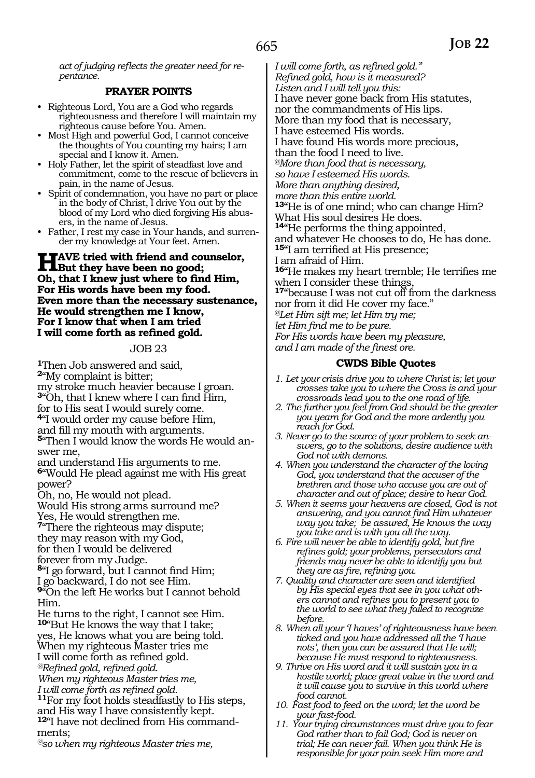*act of judging reflects the greater need for repentance.*

#### **PRAYER POINTS**

- Righteous Lord, You are a God who regards righteousness and therefore I will maintain my righteous cause before You. Amen.
- Most High and powerful God, I cannot conceive the thoughts of You counting my hairs; I am special and I know it. Amen.
- Holy Father, let the spirit of steadfast love and commitment, come to the rescue of believers in pain, in the name of Jesus.
- Spirit of condemnation, you have no part or place in the body of Christ, I drive You out by the blood of my Lord who died forgiving His abusers, in the name of Jesus.
- Father, I rest my case in Your hands, and surrender my knowledge at Your feet. Amen.

### **have tried with friend and counselor,**<br> **Charles they have been no good;**<br> **Charles they were the first lines: Oh, that I knew just where to find Him, For His words have been my food. Even more than the necessary sustenance, He would strengthen me I know, For I know that when I am tried I will come forth as refined gold.**

#### JOB 23

**<sup>1</sup>**Then Job answered and said, **<sup>2</sup>**"My complaint is bitter; my stroke much heavier because I groan. **<sup>3</sup>**"Oh, that I knew where I can find Him, for to His seat I would surely come. **<sup>4</sup>**"I would order my cause before Him, and fill my mouth with arguments. **5**"Then I would know the words He would answer me, and understand His arguments to me. **<sup>6</sup>**"Would He plead against me with His great power?

Oh, no, He would not plead.

Would His strong arms surround me? Yes, He would strengthen me.

**<sup>7</sup>**"There the righteous may dispute; they may reason with my God, for then I would be delivered

forever from my Judge.

**<sup>8</sup>**"I go forward, but I cannot find Him;

I go backward, I do not see Him.

**<sup>9</sup>**"On the left He works but I cannot behold Him.

He turns to the right, I cannot see Him. **<sup>10</sup>**"But He knows the way that I take;

yes, He knows what you are being told.

When my righteous Master tries me

I will come forth as refined gold. *@Refined gold, refined gold.* 

*When my righteous Master tries me,* 

*I will come forth as refined gold.* 

**<sup>11</sup>**For my foot holds steadfastly to His steps, and His way I have consistently kept.

**12**"I have not declined from His commandments;

*@so when my righteous Master tries me,* 

*I will come forth, as refined gold." Refined gold, how is it measured? Listen and I will tell you this:*  I have never gone back from His statutes, nor the commandments of His lips. More than my food that is necessary, I have esteemed His words. I have found His words more precious, than the food I need to live. *@More than food that is necessary, so have I esteemed His words. More than anything desired, more than this entire world.*  **<sup>13</sup>**"He is of one mind; who can change Him? What His soul desires He does. **<sup>14</sup>**"He performs the thing appointed, and whatever He chooses to do, He has done. **<sup>15</sup>**"I am terrified at His presence; I am afraid of Him. **<sup>16</sup>**"He makes my heart tremble; He terrifies me when I consider these things, **<sup>17</sup>**"because I was not cut off from the darkness nor from it did He cover my face." *@Let Him sift me; let Him try me; let Him find me to be pure. For His words have been my pleasure, and I am made of the finest ore.*

### **CWDS Bible Quotes**

- *1. Let your crisis drive you to where Christ is; let your crosses take you to where the Cross is and your crossroads lead you to the one road of life.*
- *2. The further you feel from God should be the greater you yearn for God and the more ardently you reach for God.*
- *3. Never go to the source of your problem to seek answers, go to the solutions, desire audience with God not with demons.*
- *4. When you understand the character of the loving God, you understand that the accuser of the brethren and those who accuse you are out of character and out of place; desire to hear God.*
- *5. When it seems your heavens are closed, God is not answering, and you cannot find Him whatever way you take; be assured, He knows the way you take and is with you all the way.*
- *6. Fire will never be able to identify gold, but fire refines gold; your problems, persecutors and friends may never be able to identify you but they are as fire, refining you.*
- *7. Quality and character are seen and identified by His special eyes that see in you what others cannot and refines you to present you to the world to see what they failed to recognize before.*
- *8. When all your 'I haves' of righteousness have been ticked and you have addressed all the 'I have nots', then you can be assured that He will; because He must respond to righteousness.*
- *9. Thrive on His word and it will sustain you in a hostile world; place great value in the word and it will cause you to survive in this world where food cannot.*
- *10. Fast food to feed on the word; let the word be your fast-food.*
- *11. Your trying circumstances must drive you to fear God rather than to fail God; God is never on trial; He can never fail. When you think He is responsible for your pain seek Him more and*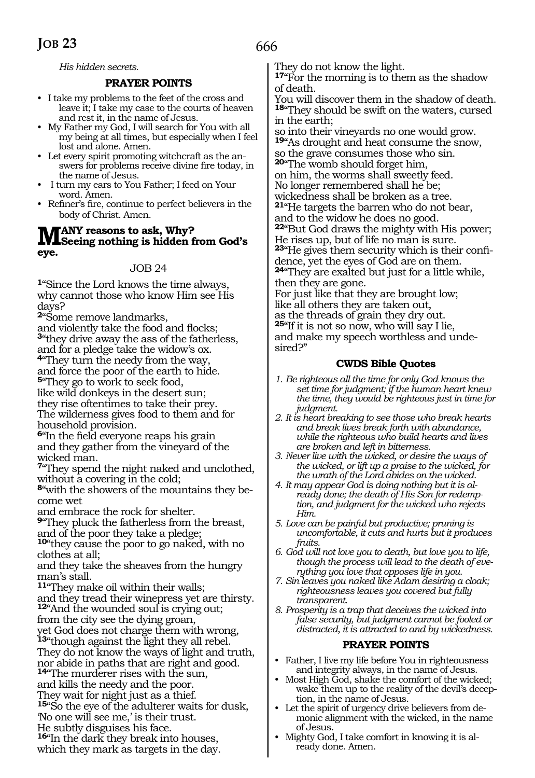*His hidden secrets.*

#### **PRAYER POINTS**

- I take my problems to the feet of the cross and leave it; I take my case to the courts of heaven and rest it, in the name of Jesus.
- My Father my God, I will search for You with all my being at all times, but especially when I feel lost and alone. Amen.
- Let every spirit promoting witchcraft as the answers for problems receive divine fire today, in the name of Jesus.
- I turn my ears to You Father; I feed on Your word. Amen.
- Refiner's fire, continue to perfect believers in the body of Christ. Amen.

# **MANY** reasons to ask, Why?<br>
Seeing nothing is hidden from God's **eye.**

#### JOB 24

**<sup>1</sup>**"Since the Lord knows the time always, why cannot those who know Him see His days?

**<sup>2</sup>**"Some remove landmarks,

and violently take the food and flocks; **<sup>3</sup>**"they drive away the ass of the fatherless, and for a pledge take the widow's ox. **<sup>4</sup>**"They turn the needy from the way, and force the poor of the earth to hide. **<sup>5</sup>**"They go to work to seek food, like wild donkeys in the desert sun;

they rise oftentimes to take their prey. The wilderness gives food to them and for household provision.

**<sup>6</sup>**"In the field everyone reaps his grain and they gather from the vineyard of the wicked man.

**<sup>7</sup>**"They spend the night naked and unclothed, without a covering in the cold;

**8**"with the showers of the mountains they become wet

and embrace the rock for shelter.

**<sup>9</sup>**"They pluck the fatherless from the breast, and of the poor they take a pledge;

**<sup>10</sup>**"they cause the poor to go naked, with no clothes at all;

and they take the sheaves from the hungry man's stall.

**<sup>11</sup>**"They make oil within their walls; and they tread their winepress yet are thirsty. **<sup>12</sup>**"And the wounded soul is crying out; from the city see the dying groan,

yet God does not charge them with wrong, **<sup>13</sup>**"though against the light they all rebel. They do not know the ways of light and truth, nor abide in paths that are right and good.

**<sup>14</sup>**"The murderer rises with the sun, and kills the needy and the poor.

They wait for night just as a thief.

**<sup>15</sup>**"So the eye of the adulterer waits for dusk, 'No one will see me,' is their trust.

He subtly disguises his face.

**<sup>16</sup>**"In the dark they break into houses, which they mark as targets in the day. They do not know the light.

**<sup>17</sup>**"For the morning is to them as the shadow of death.

You will discover them in the shadow of death. **<sup>18</sup>**"They should be swift on the waters, cursed in the earth;

so into their vineyards no one would grow. **<sup>19</sup>**"As drought and heat consume the snow, so the grave consumes those who sin. **<sup>20</sup>**"The womb should forget him, on him, the worms shall sweetly feed. No longer remembered shall he be; wickedness shall be broken as a tree. **<sup>21</sup>**"He targets the barren who do not bear, and to the widow he does no good. **<sup>22</sup>**"But God draws the mighty with His power; He rises up, but of life no man is sure. **23**"He gives them security which is their confidence, yet the eyes of God are on them. **<sup>24</sup>**"They are exalted but just for a little while, then they are gone. For just like that they are brought low; like all others they are taken out,

as the threads of grain they dry out. **<sup>25</sup>**"If it is not so now, who will say I lie, and make my speech worthless and undesired?"

#### **CWDS Bible Quotes**

- *1. Be righteous all the time for only God knows the set time for judgment; if the human heart knew the time, they would be righteous just in time for judgment.*
- *2. It is heart breaking to see those who break hearts and break lives break forth with abundance, while the righteous who build hearts and lives are broken and left in bitterness.*
- *3. Never live with the wicked, or desire the ways of the wicked, or lift up a praise to the wicked, for the wrath of the Lord abides on the wicked.*
- *4. It may appear God is doing nothing but it is already done; the death of His Son for redemption, and judgment for the wicked who rejects Him.*
- *5. Love can be painful but productive; pruning is uncomfortable, it cuts and hurts but it produces fruits.*
- *6. God will not love you to death, but love you to life, though the process will lead to the death of everything you love that opposes life in you.*
- *7. Sin leaves you naked like Adam desiring a cloak; righteousness leaves you covered but fully transparent.*
- *8. Prosperity is a trap that deceives the wicked into false security, but judgment cannot be fooled or distracted, it is attracted to and by wickedness.*

#### **PRAYER POINTS**

- Father, I live my life before You in righteousness and integrity always, in the name of Jesus.
- Most High God, shake the comfort of the wicked; wake them up to the reality of the devil's deception, in the name of Jesus.
- Let the spirit of urgency drive believers from demonic alignment with the wicked, in the name of Jesus.
- Mighty God, I take comfort in knowing it is already done. Amen.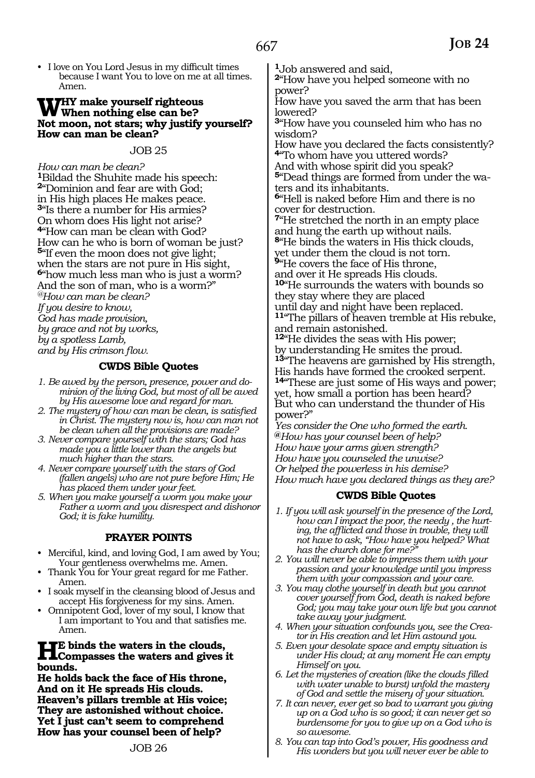• I love on You Lord Jesus in my difficult times because I want You to love on me at all times. Amen.

# WHY make yourself righteous<br>
When nothing else can be?<br>
Not mean not stars why justify **Not moon, not stars; why justify yourself? How can man be clean?**

#### JOB 25

*How can man be clean?* **<sup>1</sup>**Bildad the Shuhite made his speech: **<sup>2</sup>**"Dominion and fear are with God; in His high places He makes peace. **<sup>3</sup>**"Is there a number for His armies? On whom does His light not arise? **<sup>4</sup>**"How can man be clean with God? How can he who is born of woman be just? **<sup>5</sup>**"If even the moon does not give light; when the stars are not pure in His sight, **<sup>6</sup>**"how much less man who is just a worm? And the son of man, who is a worm?" *@How can man be clean? If you desire to know, God has made provision, by grace and not by works, by a spotless Lamb, and by His crimson flow.* 

#### **CWDS Bible Quotes**

- *1. Be awed by the person, presence, power and dominion of the living God, but most of all be awed by His awesome love and regard for man.*
- *2. The mystery of how can man be clean, is satisfied in Christ. The mystery now is, how can man not be clean when all the provisions are made?*
- *3. Never compare yourself with the stars; God has made you a little lower than the angels but much higher than the stars.*
- *4. Never compare yourself with the stars of God (fallen angels) who are not pure before Him; He has placed them under your feet.*
- *5. When you make yourself a worm you make your Father a worm and you disrespect and dishonor God; it is fake humility.*

#### **PRAYER POINTS**

- Merciful, kind, and loving God, I am awed by You; Your gentleness overwhelms me. Amen.
- Thank You for Your great regard for me Father. Amen.
- I soak myself in the cleansing blood of Jesus and accept His forgiveness for my sins. Amen.
- Omnipotent God, lover of my soul, I know that I am important to You and that satisfies me. Amen.

# **He binds the waters in the clouds, Compasses the waters and gives it bounds.**

**He holds back the face of His throne, And on it He spreads His clouds. Heaven's pillars tremble at His voice; They are astonished without choice. Yet I just can't seem to comprehend How has your counsel been of help?** 

**<sup>1</sup>**Job answered and said,

**<sup>2</sup>**"How have you helped someone with no power?

How have you saved the arm that has been lowered?

**<sup>3</sup>**"How have you counseled him who has no wisdom?

How have you declared the facts consistently? **<sup>4</sup>**"To whom have you uttered words?

And with whose spirit did you speak? **5**"Dead things are formed from under the waters and its inhabitants.

**<sup>6</sup>**"Hell is naked before Him and there is no cover for destruction.

**<sup>7</sup>**"He stretched the north in an empty place and hung the earth up without nails.

**<sup>8</sup>**"He binds the waters in His thick clouds, yet under them the cloud is not torn.

**<sup>9</sup>**"He covers the face of His throne, and over it He spreads His clouds. **<sup>10</sup>**"He surrounds the waters with bounds so

they stay where they are placed until day and night have been replaced. **<sup>11</sup>**"The pillars of heaven tremble at His rebuke, and remain astonished.

**<sup>12</sup>**"He divides the seas with His power; by understanding He smites the proud. **<sup>13</sup>**"The heavens are garnished by His strength, His hands have formed the crooked serpent. **<sup>14</sup>**"These are just some of His ways and power; yet, how small a portion has been heard? But who can understand the thunder of His power?"

*Yes consider the One who formed the earth.*  **@***How has your counsel been of help? How have your arms given strength? How have you counseled the unwise? Or helped the powerless in his demise? How much have you declared things as they are?* 

#### **CWDS Bible Quotes**

- *1. If you will ask yourself in the presence of the Lord, how can I impact the poor, the needy , the hurting, the afflicted and those in trouble, they will not have to ask, "How have you helped? What has the church done for me?"*
- *2. You will never be able to impress them with your passion and your knowledge until you impress them with your compassion and your care.*
- *3. You may clothe yourself in death but you cannot cover yourself from God, death is naked before God; you may take your own life but you cannot take away your judgment.*
- *4. When your situation confounds you, see the Creator in His creation and let Him astound you.*
- *5. Even your desolate space and empty situation is under His cloud; at any moment He can empty Himself on you.*
- *6. Let the mysteries of creation (like the clouds filled with water unable to burst) unfold the mastery of God and settle the misery of your situation.*
- *7. It can never, ever get so bad to warrant you giving up on a God who is so good; it can never get so burdensome for you to give up on a God who is so awesome.*
- *8. You can tap into God's power, His goodness and His wonders but you will never ever be able to*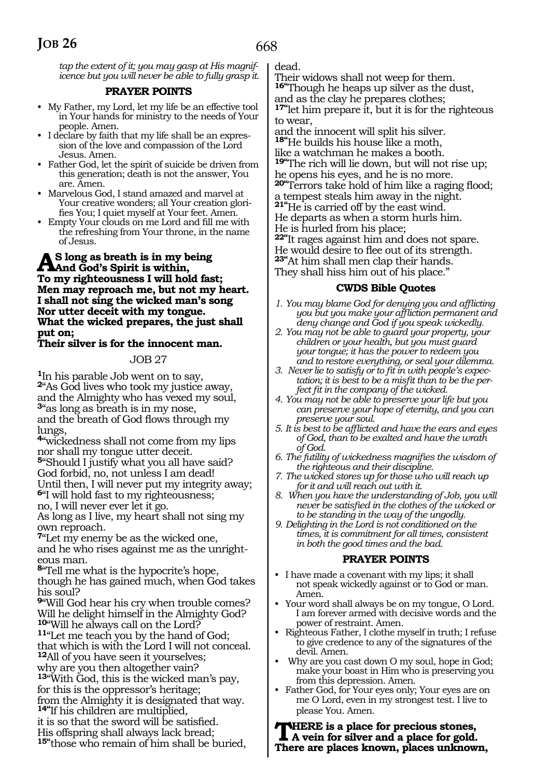*tap the extent of it; you may gasp at His magnificence but you will never be able to fully grasp it.*

#### **PRAYER POINTS**

- My Father, my Lord, let my life be an effective tool in Your hands for ministry to the needs of Your people. Amen.
- I declare by faith that my life shall be an expression of the love and compassion of the Lord Jesus. Amen.
- Father God, let the spirit of suicide be driven from this generation; death is not the answer, You are. Amen.
- Marvelous God, I stand amazed and marvel at Your creative wonders; all Your creation glorifies You; I quiet myself at Your feet. Amen.
- Empty Your clouds on me Lord and fill me with the refreshing from Your throne, in the name of Jesus.

# **As long as breath is in my being And God's Spirit is within, To my righteousness I will hold fast; Men may reproach me, but not my heart. I shall not sing the wicked man's song Nor utter deceit with my tongue. What the wicked prepares, the just shall put on;**

#### **Their silver is for the innocent man.**

#### JOB 27

**<sup>1</sup>**In his parable Job went on to say, **<sup>2</sup>**"As God lives who took my justice away, and the Almighty who has vexed my soul, **<sup>3</sup>**"as long as breath is in my nose, and the breath of God flows through my lungs,

**<sup>4</sup>**"wickedness shall not come from my lips nor shall my tongue utter deceit.

**<sup>5</sup>**"Should I justify what you all have said? God forbid, no, not unless I am dead! Until then, I will never put my integrity away; **<sup>6</sup>**"I will hold fast to my righteousness;

no, I will never ever let it go.

As long as I live, my heart shall not sing my own reproach.

**<sup>7</sup>**"Let my enemy be as the wicked one, and he who rises against me as the unrighteous man.

**<sup>8</sup>**"Tell me what is the hypocrite's hope, though he has gained much, when God takes his soul?

**<sup>9</sup>**"Will God hear his cry when trouble comes? Will he delight himself in the Almighty God?<br><sup>10</sup> Will he always call on the Lord?

**11**"Let me teach you by the hand of God; that which is with the Lord I will not conceal. **<sup>12</sup>**All of you have seen it yourselves;

why are you then altogether vain?

**<sup>13</sup>**"With God, this is the wicked man's pay, for this is the oppressor's heritage;

from the Almighty it is designated that way. **14"**If his children are multiplied,

it is so that the sword will be satisfied. His offspring shall always lack bread; **15"**those who remain of him shall be buried, dead.

Their widows shall not weep for them. **16"**Though he heaps up silver as the dust,

and as the clay he prepares clothes; **17"**let him prepare it, but it is for the righteous to wear,

and the innocent will split his silver. **18"**He builds his house like a moth,

like a watchman he makes a booth. **19"**The rich will lie down, but will not rise up; he opens his eyes, and he is no more.

**20"**Terrors take hold of him like a raging flood; a tempest steals him away in the night.

**21"**He is carried off by the east wind.

He departs as when a storm hurls him.

He is hurled from his place;

**22"**It rages against him and does not spare. He would desire to flee out of its strength.

**23"**At him shall men clap their hands.

They shall hiss him out of his place."

#### **CWDS Bible Quotes**

- *1. You may blame God for denying you and afflicting you but you make your affliction permanent and deny change and God if you speak wickedly.*
- *2. You may not be able to guard your property, your children or your health, but you must guard your tongue; it has the power to redeem you and to restore everything, or seal your dilemma.*
- *3. Never lie to satisfy or to fit in with people's expectation; it is best to be a misfit than to be the perfect fit in the company of the wicked.*
- *4. You may not be able to preserve your life but you can preserve your hope of eternity, and you can preserve your soul.*
- *5. It is best to be afflicted and have the ears and eyes of God, than to be exalted and have the wrath of God.*
- *6. The futility of wickedness magnifies the wisdom of the righteous and their discipline.*
- *7. The wicked stores up for those who will reach up for it and will reach out with it.*
- *8. When you have the understanding of Job, you will never be satisfied in the clothes of the wicked or to be standing in the way of the ungodly.*
- *9. Delighting in the Lord is not conditioned on the times, it is commitment for all times, consistent in both the good times and the bad.*

#### **PRAYER POINTS**

- I have made a covenant with my lips; it shall not speak wickedly against or to God or man. Amen.
- Your word shall always be on my tongue, O Lord. I am forever armed with decisive words and the power of restraint. Amen.
- Righteous Father, I clothe myself in truth; I refuse to give credence to any of the signatures of the devil. Amen.
- Why are you cast down O my soul, hope in God; make your boast in Him who is preserving you from this depression. Amen.
- Father God, for Your eyes only; Your eyes are on me O Lord, even in my strongest test. I live to please You. Amen.

**There is a place for precious stones, A vein for silver and a place for gold. There are places known, places unknown,**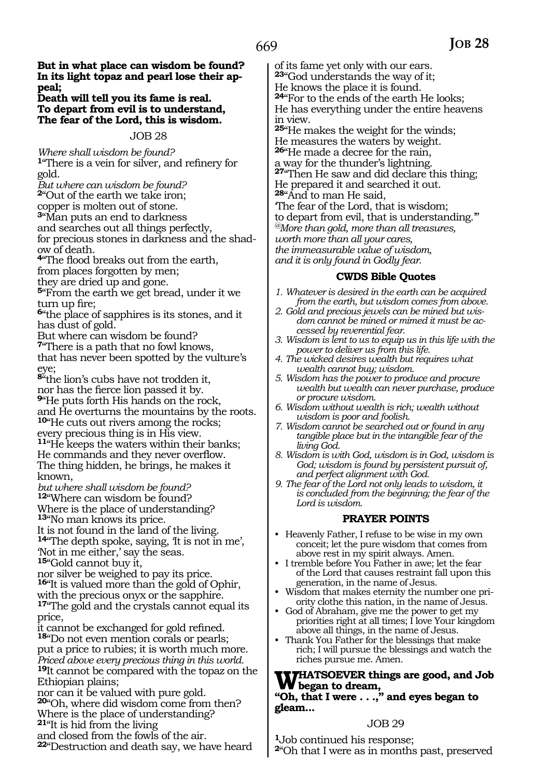**But in what place can wisdom be found? In its light topaz and pearl lose their appeal;** 

**Death will tell you its fame is real. To depart from evil is to understand, The fear of the Lord, this is wisdom.** 

#### JOB 28

*Where shall wisdom be found?*  **<sup>1</sup>**"There is a vein for silver, and refinery for gold.

*But where can wisdom be found?*

**<sup>2</sup>**"Out of the earth we take iron;

copper is molten out of stone.

**<sup>3</sup>**"Man puts an end to darkness

and searches out all things perfectly, for precious stones in darkness and the shad- ow of death.

**<sup>4</sup>**"The flood breaks out from the earth, from places forgotten by men;

they are dried up and gone.

**<sup>5</sup>**"From the earth we get bread, under it we turn up fire;

**<sup>6</sup>**"the place of sapphires is its stones, and it has dust of gold.

But where can wisdom be found? **<sup>7</sup>**"There is a path that no fowl knows, that has never been spotted by the vulture's eye;

**<sup>8</sup>**"the lion's cubs have not trodden it, nor has the fierce lion passed it by. **<sup>9</sup>**"He puts forth His hands on the rock, and He overturns the mountains by the roots. **<sup>10</sup>**"He cuts out rivers among the rocks; every precious thing is in His view. **<sup>11</sup>**"He keeps the waters within their banks; He commands and they never overflow. The thing hidden, he brings, he makes it

known, *but where shall wisdom be found?* 

**<sup>12</sup>**"Where can wisdom be found?

Where is the place of understanding? **<sup>13</sup>**"No man knows its price.

It is not found in the land of the living. **<sup>14</sup>**"The depth spoke, saying, 'It is not in me', 'Not in me either,' say the seas. **<sup>15</sup>**"Gold cannot buy it,

nor silver be weighed to pay its price.

**<sup>16</sup>**"It is valued more than the gold of Ophir, with the precious onyx or the sapphire. **<sup>17</sup>**"The gold and the crystals cannot equal its price,

it cannot be exchanged for gold refined. **<sup>18</sup>**"Do not even mention corals or pearls; put a price to rubies; it is worth much more. *Priced above every precious thing in this world.* **<sup>19</sup>**It cannot be compared with the topaz on the Ethiopian plains;

nor can it be valued with pure gold. **<sup>20</sup>**"Oh, where did wisdom come from then? Where is the place of understanding? **<sup>21</sup>**"It is hid from the living

and closed from the fowls of the air. **<sup>22</sup>**"Destruction and death say, we have heard

of its fame yet only with our ears. **<sup>23</sup>**"God understands the way of it; He knows the place it is found. **<sup>24</sup>**"For to the ends of the earth He looks; He has everything under the entire heavens in view. **<sup>25</sup>**"He makes the weight for the winds; He measures the waters by weight.

**<sup>26</sup>**"He made a decree for the rain, a way for the thunder's lightning. **<sup>27</sup>**"Then He saw and did declare this thing; He prepared it and searched it out. **<sup>28</sup>**"And to man He said,

'The fear of the Lord, that is wisdom; to depart from evil, that is understanding.'" *@More than gold, more than all treasures, worth more than all your cares, the immeasurable value of wisdom, and it is only found in Godly fear.*

### **CWDS Bible Quotes**

- *1. Whatever is desired in the earth can be acquired from the earth, but wisdom comes from above.*
- *2. Gold and precious jewels can be mined but wisdom cannot be mined or mimed it must be accessed by reverential fear.*
- *3. Wisdom is lent to us to equip us in this life with the power to deliver us from this life.*
- *4. The wicked desires wealth but requires what wealth cannot buy; wisdom.*
- *5. Wisdom has the power to produce and procure wealth but wealth can never purchase, produce or procure wisdom.*
- *6. Wisdom without wealth is rich; wealth without wisdom is poor and foolish.*
- *7. Wisdom cannot be searched out or found in any tangible place but in the intangible fear of the living God.*
- *8. Wisdom is with God, wisdom is in God, wisdom is God; wisdom is found by persistent pursuit of, and perfect alignment with God.*
- *9. The fear of the Lord not only leads to wisdom, it is concluded from the beginning; the fear of the Lord is wisdom.*

# **PRAYER POINTS**

- Heavenly Father, I refuse to be wise in my own conceit; let the pure wisdom that comes from above rest in my spirit always. Amen.
- I tremble before You Father in awe; let the fear of the Lord that causes restraint fall upon this generation, in the name of Jesus.
- Wisdom that makes eternity the number one priority clothe this nation, in the name of Jesus.
- God of Abraham, give me the power to get my priorities right at all times; I love Your kingdom above all things, in the name of Jesus.
- Thank You Father for the blessings that make rich; I will pursue the blessings and watch the riches pursue me. Amen.

#### **Whatsoever things are good, and Job began to dream, "Oh, that I were . . .," and eyes began to**

**gleam...** 

# JOB 29

**<sup>1</sup>**Job continued his response;

**<sup>2</sup>**"Oh that I were as in months past, preserved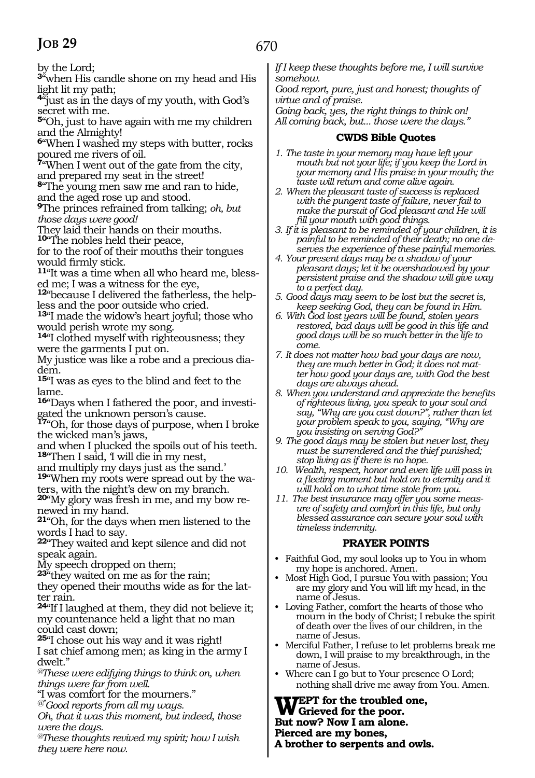by the Lord;

**<sup>3</sup>**"when His candle shone on my head and His light lit my path;

**<sup>4</sup>**"just as in the days of my youth, with God's secret with me.

**<sup>5</sup>**"Oh, just to have again with me my children and the Almighty!

**<sup>6</sup>**"When I washed my steps with butter, rocks poured me rivers of oil.

**<sup>7</sup>**"When I went out of the gate from the city, and prepared my seat in the street!

**<sup>8</sup>**"The young men saw me and ran to hide, and the aged rose up and stood.

**<sup>9</sup>**The princes refrained from talking; *oh, but those days were good!* 

They laid their hands on their mouths.

**<sup>10</sup>**"The nobles held their peace,

for to the roof of their mouths their tongues would firmly stick.

**11**"It was a time when all who heard me, blessed me; I was a witness for the eye,

**12**"because I delivered the fatherless, the helpless and the poor outside who cried.

**<sup>13</sup>**"I made the widow's heart joyful; those who would perish wrote my song.

**<sup>14</sup>**"I clothed myself with righteousness; they were the garments I put on.

My justice was like a robe and a precious diadem.

**<sup>15</sup>**"I was as eyes to the blind and feet to the lame.

**16**"Days when I fathered the poor, and investigated the unknown person's cause.

**<sup>17</sup>**"Oh, for those days of purpose, when I broke the wicked man's jaws,

and when I plucked the spoils out of his teeth. **<sup>18</sup>**"Then I said, 'I will die in my nest,

and multiply my days just as the sand.'

**19**"When my roots were spread out by the waters, with the night's dew on my branch.

**20**"My glory was fresh in me, and my bow renewed in my hand.

**<sup>21</sup>**"Oh, for the days when men listened to the words I had to say.

**<sup>22</sup>**"They waited and kept silence and did not speak again.

My speech dropped on them;

**<sup>23</sup>**"they waited on me as for the rain; they opened their mouths wide as for the lat-

ter rain. **<sup>24</sup>**"If I laughed at them, they did not believe it; my countenance held a light that no man could cast down;

**<sup>25</sup>**"I chose out his way and it was right! I sat chief among men; as king in the army I dwelt."

*@These were edifying things to think on, when things were far from well.*

"I was comfort for the mourners."

*@"Good reports from all my ways.*

*Oh, that it was this moment, but indeed, those were the days.*

*@These thoughts revived my spirit; how I wish they were here now.* 

*If I keep these thoughts before me, I will survive somehow.* 

*Good report, pure, just and honest; thoughts of virtue and of praise.* 

*Going back, yes, the right things to think on! All coming back, but... those were the days."*

#### **CWDS Bible Quotes**

- *1. The taste in your memory may have left your mouth but not your life; if you keep the Lord in your memory and His praise in your mouth; the taste will return and come alive again.*
- *2. When the pleasant taste of success is replaced with the pungent taste of failure, never fail to make the pursuit of God pleasant and He will fill your mouth with good things.*
- *3. If it is pleasant to be reminded of your children, it is painful to be reminded of their death; no one deserves the experience of these painful memories.*
- *4. Your present days may be a shadow of your pleasant days; let it be overshadowed by your persistent praise and the shadow will give way to a perfect day.*
- *5. Good days may seem to be lost but the secret is, keep seeking God, they can be found in Him.*
- *6. With God lost years will be found, stolen years restored, bad days will be good in this life and good days will be so much better in the life to come.*
- *7. It does not matter how bad your days are now, they are much better in God; it does not matter how good your days are, with God the best days are always ahead.*
- *8. When you understand and appreciate the benefits of righteous living, you speak to your soul and say, "Why are you cast down?", rather than let your problem speak to you, saying, "Why are you insisting on serving God?"*
- *9. The good days may be stolen but never lost, they must be surrendered and the thief punished; stop living as if there is no hope.*
- *10. Wealth, respect, honor and even life will pass in a fleeting moment but hold on to eternity and it will hold on to what time stole from you.*
- *11. The best insurance may offer you some measure of safety and comfort in this life, but only blessed assurance can secure your soul with timeless indemnity.*

# **PRAYER POINTS**

- Faithful God, my soul looks up to You in whom my hope is anchored. Amen.
- Most High God, I pursue You with passion; You are my glory and You will lift my head, in the name of Jesus.
- Loving Father, comfort the hearts of those who mourn in the body of Christ; I rebuke the spirit of death over the lives of our children, in the name of Jesus.
- Merciful Father, I refuse to let problems break me down, I will praise to my breakthrough, in the name of Jesus.
- Where can I go but to Your presence O Lord; nothing shall drive me away from You. Amen.

**WEPT** for the troubled one,<br>
But name New Lam along **But now? Now I am alone. Pierced are my bones, A brother to serpents and owls.**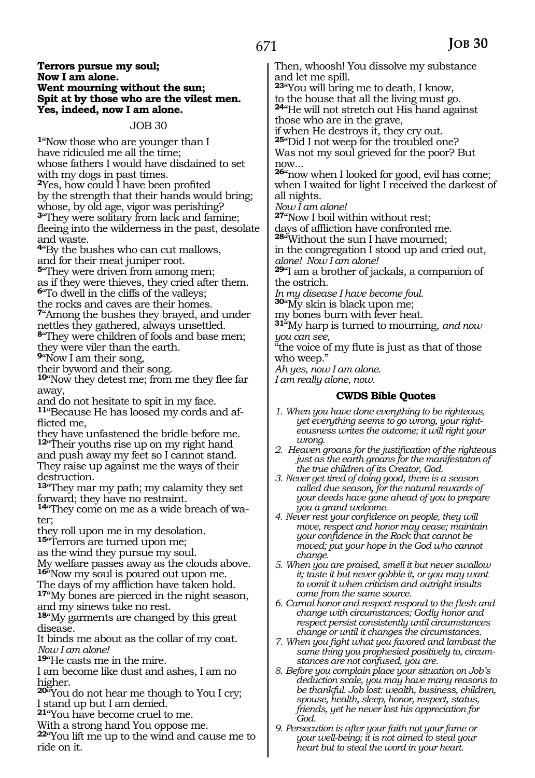#### **Terrors pursue my soul; Now I am alone. Went mourning without the sun; Spit at by those who are the vilest men. Yes, indeed, now I am alone.**

JOB 30

**<sup>1</sup>**"Now those who are younger than I have ridiculed me all the time; whose fathers I would have disdained to set with my dogs in past times. **<sup>2</sup>**Yes, how could I have been profited by the strength that their hands would bring; whose, by old age, vigor was perishing? **<sup>3</sup>**"They were solitary from lack and famine; fleeing into the wilderness in the past, desolate and waste.

**<sup>4</sup>**"By the bushes who can cut mallows, and for their meat juniper root.

**<sup>5</sup>**"They were driven from among men; as if they were thieves, they cried after them. **<sup>6</sup>**"To dwell in the cliffs of the valleys;

the rocks and caves are their homes.

**<sup>7</sup>**"Among the bushes they brayed, and under nettles they gathered, always unsettled.

**<sup>8</sup>**"They were children of fools and base men; they were viler than the earth.

**<sup>9</sup>**"Now I am their song,

their byword and their song.

**<sup>10</sup>**"Now they detest me; from me they flee far away,

and do not hesitate to spit in my face. **11**"Because He has loosed my cords and afflicted me,

they have unfastened the bridle before me. **<sup>12</sup>**"Their youths rise up on my right hand

and push away my feet so I cannot stand. They raise up against me the ways of their destruction.

**<sup>13</sup>**"They mar my path; my calamity they set forward; they have no restraint.

**14**"They come on me as a wide breach of water;

they roll upon me in my desolation. **<sup>15</sup>**"Terrors are turned upon me;

as the wind they pursue my soul.

My welfare passes away as the clouds above. **<sup>16</sup>**"Now my soul is poured out upon me.

The days of my affliction have taken hold. **<sup>17</sup>**"My bones are pierced in the night season, and my sinews take no rest.

**<sup>18</sup>**"My garments are changed by this great disease.

It binds me about as the collar of my coat. *Now I am alone!* 

**<sup>19</sup>**"He casts me in the mire.

I am become like dust and ashes, I am no higher.

**<sup>20</sup>**"You do not hear me though to You I cry; I stand up but I am denied.

**<sup>21</sup>**"You have become cruel to me.

With a strong hand You oppose me.

**<sup>22</sup>**"You lift me up to the wind and cause me to ride on it.

Then, whoosh! You dissolve my substance and let me spill.

**<sup>23</sup>**"You will bring me to death, I know, to the house that all the living must go.

**<sup>24</sup>**"He will not stretch out His hand against those who are in the grave,

if when He destroys it, they cry out.

**<sup>25</sup>**"Did I not weep for the troubled one? Was not my soul grieved for the poor? But now...

**<sup>26</sup>**"now when I looked for good, evil has come; when I waited for light I received the darkest of all nights.

*Now I am alone!*

**<sup>27</sup>**"Now I boil within without rest;

days of affliction have confronted me.

**<sup>28</sup>**"Without the sun I have mourned; in the congregation I stood up and cried out,

*alone! Now I am alone!*

**<sup>29</sup>**"I am a brother of jackals, a companion of the ostrich.

*In my disease I have become foul.*  **<sup>30</sup>**"My skin is black upon me;

my bones burn with fever heat.

**<sup>31</sup>**"My harp is turned to mourning, *and now you can see,* 

"the voice of my flute is just as that of those who weep."

*Ah yes, now I am alone.* 

*I am really alone, now.* 

#### **CWDS Bible Quotes**

- *1. When you have done everything to be righteous, yet everything seems to go wrong, your righteousness writes the outcome; it will right your wrong.*
- *2. Heaven groans for the justification of the righteous just as the earth groans for the manifestaton of the true children of its Creator, God.*
- *3. Never get tired of doing good, there is a season called due season, for the natural rewards of your deeds have gone ahead of you to prepare you a grand welcome.*
- *4. Never rest your confidence on people, they will move, respect and honor may cease; maintain your confidence in the Rock that cannot be moved; put your hope in the God who cannot change.*
- *5. When you are praised, smell it but never swallow it; taste it but never gobble it, or you may want to vomit it when criticism and outright insults come from the same source.*

*6. Carnal honor and respect respond to the flesh and change with circumstances; Godly honor and respect persist consistently until circumstances change or until it changes the circumstances.*

- *7. When you fight what you favored and lambast the same thing you prophesied positively to, circumstances are not confused, you are.*
- *8. Before you complain place your situation on Job's deduction scale, you may have many reasons to be thankful. Job lost: wealth, business, children, spouse, health, sleep, honor, respect, status, friends, yet he never lost his appreciation for God.*
- *9. Persecution is after your faith not your fame or your well-being; it is not aimed to steal your heart but to steal the word in your heart.*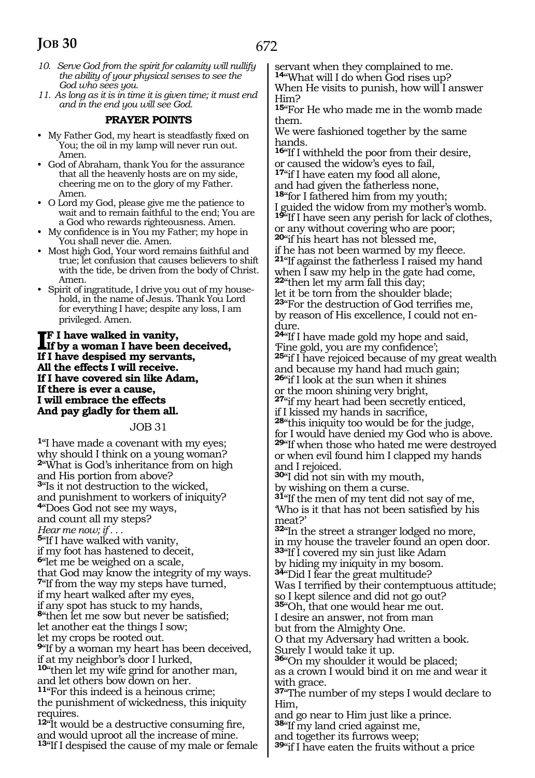- *10. Serve God from the spirit for calamity will nullify the ability of your physical senses to see the God who sees you.*
- *11. As long as it is in time it is given time; it must end and in the end you will see God.*

#### **PRAYER POINTS**

- My Father God, my heart is steadfastly fixed on You; the oil in my lamp will never run out. Amen.
- God of Abraham, thank You for the assurance that all the heavenly hosts are on my side, cheering me on to the glory of my Father. Amen.
- O Lord my God, please give me the patience to wait and to remain faithful to the end; You are a God who rewards righteousness. Amen.
- My confidence is in You my Father; my hope in You shall never die. Amen.
- Most high God, Your word remains faithful and true; let confusion that causes believers to shift with the tide, be driven from the body of Christ. Amen.
- Spirit of ingratitude, I drive you out of my household, in the name of Jesus. Thank You Lord for everything I have; despite any loss, I am privileged. Amen.

#### **IF** I have walked in vanity,<br>If by a woman I have been<br>If I have despited my aggregate **If by a woman I have been deceived, If I have despised my servants, All the effects I will receive. If I have covered sin like Adam, If there is ever a cause, I will embrace the effects And pay gladly for them all.**

#### JOB 31

**<sup>1</sup>**"I have made a covenant with my eyes; why should I think on a young woman? **<sup>2</sup>**"What is God's inheritance from on high and His portion from above? **<sup>3</sup>**"Is it not destruction to the wicked, and punishment to workers of iniquity? **<sup>4</sup>**"Does God not see my ways, and count all my steps? *Hear me now; if . . .* **<sup>5</sup>**"If I have walked with vanity, if my foot has hastened to deceit, **<sup>6</sup>**"let me be weighed on a scale, that God may know the integrity of my ways. **<sup>7</sup>**"If from the way my steps have turned, if my heart walked after my eyes, if any spot has stuck to my hands, **<sup>8</sup>**"then let me sow but never be satisfied; let another eat the things I sow; let my crops be rooted out. **<sup>9</sup>**"If by a woman my heart has been deceived, if at my neighbor's door I lurked, **<sup>10</sup>**"then let my wife grind for another man, and let others bow down on her. **<sup>11</sup>**"For this indeed is a heinous crime; the punishment of wickedness, this iniquity requires. **<sup>12</sup>**"It would be a destructive consuming fire, and would uproot all the increase of mine. **<sup>13</sup>**"If I despised the cause of my male or female servant when they complained to me. **<sup>14</sup>**"What will I do when God rises up?

When He visits to punish, how will I answer Him?

**<sup>15</sup>**"For He who made me in the womb made them.

We were fashioned together by the same hands.

**<sup>16</sup>**"If I withheld the poor from their desire, or caused the widow's eyes to fail,

**<sup>17</sup>**"if I have eaten my food all alone,

and had given the fatherless none, **<sup>18</sup>**"for I fathered him from my youth; guided the widow from my mother's womb.

**<sup>19</sup>**"If I have seen any perish for lack of clothes,

or any without covering who are poor; **<sup>20</sup>**"if his heart has not blessed me,

if he has not been warmed by my fleece. **<sup>21</sup>**"If against the fatherless I raised my hand when  $\overline{I}$  saw my help in the gate had come, **<sup>22</sup>**"then let my arm fall this day;

let it be torn from the shoulder blade; **<sup>23</sup>**"For the destruction of God terrifies me, by reason of His excellence, I could not endure.

**<sup>24</sup>**"If I have made gold my hope and said, 'Fine gold, you are my confidence'; **<sup>25</sup>**"if I have rejoiced because of my great wealth and because my hand had much gain; **<sup>26</sup>**"if I look at the sun when it shines

or the moon shining very bright,

**<sup>27</sup>**"if my heart had been secretly enticed,

if I kissed my hands in sacrifice, **<sup>28</sup>**"this iniquity too would be for the judge,

for I would have denied my God who is above. **<sup>29</sup>**"If when those who hated me were destroyed or when evil found him I clapped my hands and I rejoiced.

**<sup>30</sup>**"I did not sin with my mouth,

by wishing on them a curse.

**<sup>31</sup>**"If the men of my tent did not say of me, 'Who is it that has not been satisfied by his meat?'

**<sup>32</sup>**"In the street a stranger lodged no more, in my house the traveler found an open door. **<sup>33</sup>**"If I covered my sin just like Adam by hiding my iniquity in my bosom.

**<sup>34</sup>**"Did I fear the great multitude? Was I terrified by their contemptuous attitude; so I kept silence and did not go out?

**<sup>35</sup>**"Oh, that one would hear me out. I desire an answer, not from man

but from the Almighty One.

O that my Adversary had written a book. Surely I would take it up.

**<sup>36</sup>**"On my shoulder it would be placed;

as a crown I would bind it on me and wear it with grace.

**<sup>37</sup>**"The number of my steps I would declare to Him,

and go near to Him just like a prince. **<sup>38</sup>**"If my land cried against me,

and together its furrows weep;

**<sup>39</sup>**"if I have eaten the fruits without a price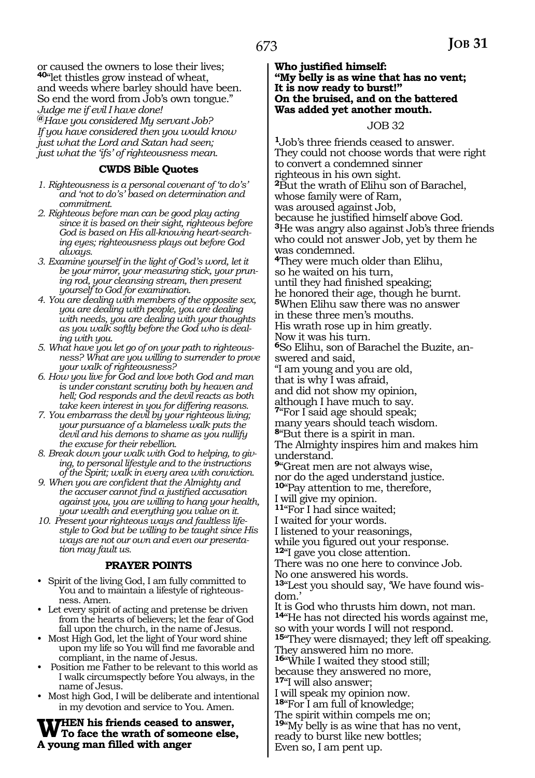or caused the owners to lose their lives; **<sup>40</sup>**"let thistles grow instead of wheat, and weeds where barley should have been. So end the word from Job's own tongue." *Judge me if evil I have done!*  **@***Have you considered My servant Job? If you have considered then you would know just what the Lord and Satan had seen; just what the 'ifs' of righteousness mean.* 

#### **CWDS Bible Quotes**

- *1. Righteousness is a personal covenant of 'to do's' and 'not to do's' based on determination and commitment.*
- *2. Righteous before man can be good play acting since it is based on their sight, righteous before God is based on His all-knowing heart-searching eyes; righteousness plays out before God always.*
- *3. Examine yourself in the light of God's word, let it be your mirror, your measuring stick, your pruning rod, your cleansing stream, then present yourself to God for examination.*
- *4. You are dealing with members of the opposite sex, you are dealing with people, you are dealing with needs, you are dealing with your thoughts as you walk softly before the God who is dealing with you.*
- *5. What have you let go of on your path to righteousness? What are you willing to surrender to prove your walk of righteousness?*
- *6. How you live for God and love both God and man is under constant scrutiny both by heaven and hell; God responds and the devil reacts as both take keen interest in you for differing reasons.*
- *7. You embarrass the devil by your righteous living; your pursuance of a blameless walk puts the devil and his demons to shame as you nullify the excuse for their rebellion.*
- *8. Break down your walk with God to helping, to giving, to personal lifestyle and to the instructions of the Spirit; walk in every area with conviction.*
- *9. When you are confident that the Almighty and the accuser cannot find a justified accusation against you, you are willing to hang your health, your wealth and everything you value on it.*
- *10. Present your righteous ways and faultless lifestyle to God but be willing to be taught since His ways are not our own and even our presentation may fault us.*

#### **PRAYER POINTS**

- Spirit of the living God, I am fully committed to You and to maintain a lifestyle of righteousness. Amen.
- Let every spirit of acting and pretense be driven from the hearts of believers; let the fear of God fall upon the church, in the name of Jesus.
- Most High God, let the light of Your word shine upon my life so You will find me favorable and compliant, in the name of Jesus.
- Position me Father to be relevant to this world as I walk circumspectly before You always, in the name of Jesus.
- Most high God, I will be deliberate and intentional in my devotion and service to You. Amen.

WHEN his friends ceased to answer,<br>
To face the wrath of someone else,<br>
A request man filled with answer **A young man filled with anger** 

#### **Who justified himself: "My belly is as wine that has no vent; It is now ready to burst!" On the bruised, and on the battered Was added yet another mouth.**

#### JOB 32

**<sup>1</sup>**Job's three friends ceased to answer. They could not choose words that were right to convert a condemned sinner righteous in his own sight. **<sup>2</sup>**But the wrath of Elihu son of Barachel, whose family were of Ram, was aroused against Job, because he justified himself above God. **<sup>3</sup>**He was angry also against Job's three friends who could not answer Job, yet by them he was condemned. **<sup>4</sup>**They were much older than Elihu, so he waited on his turn, until they had finished speaking; he honored their age, though he burnt. **<sup>5</sup>**When Elihu saw there was no answer in these three men's mouths. His wrath rose up in him greatly. Now it was his turn. **6**So Elihu, son of Barachel the Buzite, answered and said, "I am young and you are old, that is why I was afraid, and did not show my opinion, although I have much to say. **<sup>7</sup>**"For I said age should speak; many years should teach wisdom. **<sup>8</sup>**"But there is a spirit in man. The Almighty inspires him and makes him understand. **<sup>9</sup>**"Great men are not always wise, nor do the aged understand justice. **<sup>10</sup>**"Pay attention to me, therefore, I will give my opinion. **<sup>11</sup>**"For I had since waited; I waited for your words. I listened to your reasonings, while you figured out your response. **<sup>12</sup>**"I gave you close attention. There was no one here to convince Job. No one answered his words. **13**"Lest you should say, 'We have found wisdom.' It is God who thrusts him down, not man. **<sup>14</sup>**"He has not directed his words against me, so with your words I will not respond. **<sup>15</sup>**"They were dismayed; they left off speaking. They answered him no more.

**<sup>16</sup>**"While I waited they stood still; because they answered no more,

**<sup>17</sup>**"I will also answer;

I will speak my opinion now.

**<sup>18</sup>**"For I am full of knowledge; The spirit within compels me on;

**<sup>19</sup>**"My belly is as wine that has no vent,

ready to burst like new bottles;

Even so, I am pent up.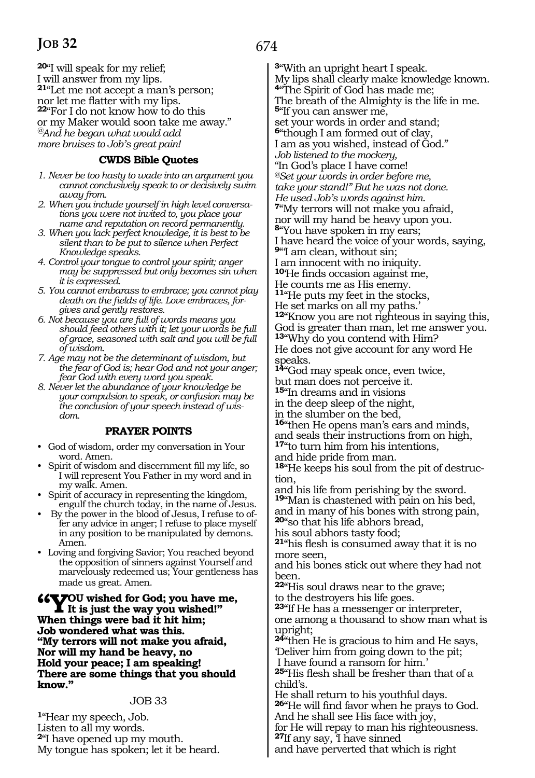**<sup>20</sup>**"I will speak for my relief; I will answer from my lips. **21**"Let me not accept a man's person;<br>nor let me flatter with my lips. **22**"For I do not know how to do this. or my Maker would soon take me away." *@And he began what would add more bruises to Job's great pain!*

### **CWDS Bible Quotes**

- *1. Never be too hasty to wade into an argument you cannot conclusively speak to or decisively swim away from.*
- *2. When you include yourself in high level conversations you were not invited to, you place your name and reputation on record permanently.*
- *3. When you lack perfect knowledge, it is best to be silent than to be put to silence when Perfect Knowledge speaks.*
- *4. Control your tongue to control your spirit; anger may be suppressed but only becomes sin when it is expressed.*
- *5. You cannot embarass to embrace; you cannot play death on the fields of life. Love embraces, forgives and gently restores.*
- *6. Not because you are full of words means you should feed others with it; let your words be full of grace, seasoned with salt and you will be full of wisdom.*
- *7. Age may not be the determinant of wisdom, but the fear of God is; hear God and not your anger; fear God with every word you speak.*
- *8. Never let the abundance of your knowledge be your compulsion to speak, or confusion may be the conclusion of your speech instead of wisdom.*

#### **PRAYER POINTS**

- God of wisdom, order my conversation in Your word. Amen.
- Spirit of wisdom and discernment fill my life, so I will represent You Father in my word and in my walk. Amen.
- Spirit of accuracy in representing the kingdom, engulf the church today, in the name of Jesus.
- By the power in the blood of Jesus, I refuse to offer any advice in anger; I refuse to place myself in any position to be manipulated by demons. Amen.
- Loving and forgiving Savior; You reached beyond the opposition of sinners against Yourself and marvelously redeemed us; Your gentleness has made us great. Amen.

**"You wished for God; you have me, It is just the way you wished!" When things were bad it hit him; Job wondered what was this. "My terrors will not make you afraid, Nor will my hand be heavy, no Hold your peace; I am speaking! There are some things that you should know."**

#### JOB 33

**<sup>1</sup>**"Hear my speech, Job. Listen to all my words. **<sup>2</sup>**"I have opened up my mouth. My tongue has spoken; let it be heard.

**<sup>3</sup>**"With an upright heart I speak. My lips shall clearly make knowledge known. **<sup>4</sup>**"The Spirit of God has made me; The breath of the Almighty is the life in me. **<sup>5</sup>**"If you can answer me, set your words in order and stand; **<sup>6</sup>**"though I am formed out of clay, I am as you wished, instead of God." *Job listened to the mockery,*  "In God's place I have come! *@Set your words in order before me, take your stand!" But he was not done. He used Job's words against him.*  **<sup>7</sup>**"My terrors will not make you afraid, nor will my hand be heavy upon you. **<sup>8</sup>**"You have spoken in my ears; I have heard the voice of your words, saying, **<sup>9</sup>**"'I am clean, without sin; I am innocent with no iniquity. **<sup>10</sup>**'He finds occasion against me, He counts me as His enemy. **<sup>11</sup>**"He puts my feet in the stocks, He set marks on all my paths.' **<sup>12</sup>**"Know you are not righteous in saying this, God is greater than man, let me answer you. **<sup>13</sup>**"Why do you contend with Him? He does not give account for any word He speaks. **<sup>14</sup>**"God may speak once, even twice, but man does not perceive it. **<sup>15</sup>**"In dreams and in visions in the deep sleep of the night, in the slumber on the bed, **<sup>16</sup>**"then He opens man's ears and minds, and seals their instructions from on high, **<sup>17</sup>**"to turn him from his intentions, and hide pride from man. **18**"He keeps his soul from the pit of destruction, and his life from perishing by the sword. **<sup>19</sup>**"Man is chastened with pain on his bed, and in many of his bones with strong pain, **<sup>20</sup>**"so that his life abhors bread, his soul abhors tasty food; **<sup>21</sup>**"his flesh is consumed away that it is no more seen, and his bones stick out where they had not been. **<sup>22</sup>**"His soul draws near to the grave; to the destroyers his life goes. **<sup>23</sup>**"If He has a messenger or interpreter, one among a thousand to show man what is upright; **<sup>24</sup>**"then He is gracious to him and He says, 'Deliver him from going down to the pit; I have found a ransom for him.' **<sup>25</sup>**"His flesh shall be fresher than that of a child's. He shall return to his youthful days. **<sup>26</sup>**"He will find favor when he prays to God.

And he shall see His face with joy,

for He will repay to man his righteousness. **<sup>27</sup>**If any say, 'I have sinned

and have perverted that which is right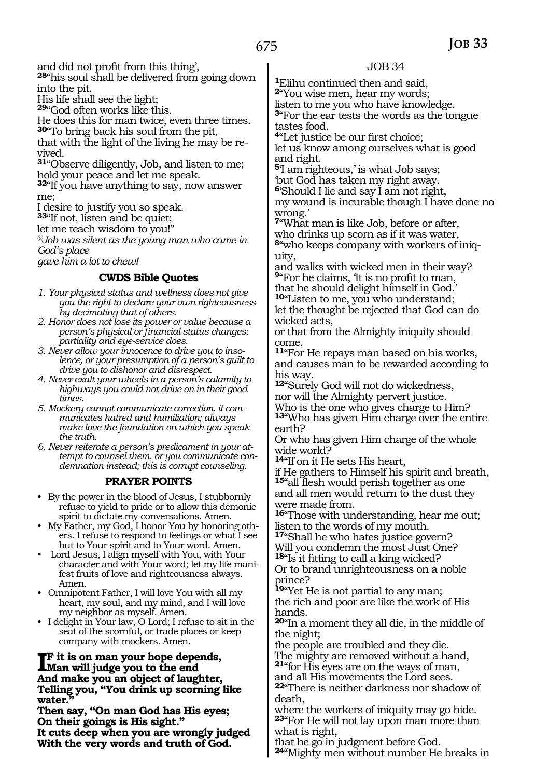and did not profit from this thing',

**<sup>28</sup>**"his soul shall be delivered from going down into the pit.

His life shall see the light;

**<sup>29</sup>**"God often works like this.

He does this for man twice, even three times.

**<sup>30</sup>**"To bring back his soul from the pit, that with the light of the living he may be revived.

**<sup>31</sup>**"Observe diligently, Job, and listen to me; hold your peace and let me speak.

**<sup>32</sup>**"If you have anything to say, now answer me;

I desire to justify you so speak.

**<sup>33</sup>**"If not, listen and be quiet;

let me teach wisdom to you!"

*@Job was silent as the young man who came in God's place* 

*gave him a lot to chew!*

# **CWDS Bible Quotes**

- *1. Your physical status and wellness does not give you the right to declare your own righteousness by decimating that of others.*
- *2. Honor does not lose its power or value because a person's physical or financial status changes; partiality and eye-service does.*
- *3. Never allow your innocence to drive you to insolence, or your presumption of a person's guilt to drive you to dishonor and disrespect.*
- *4. Never exalt your wheels in a person's calamity to highways you could not drive on in their good times.*
- *5. Mockery cannot communicate correction, it communicates hatred and humiliation; always make love the foundation on which you speak the truth.*
- *6. Never reiterate a person's predicament in your attempt to counsel them, or you communicate condemnation instead; this is corrupt counseling.*

# **PRAYER POINTS**

- By the power in the blood of Jesus, I stubbornly refuse to yield to pride or to allow this demonic spirit to dictate my conversations. Amen.
- My Father, my God, I honor You by honoring others. I refuse to respond to feelings or what I see but to Your spirit and to Your word. Amen.
- Lord Jesus, I align myself with You, with Your character and with Your word; let my life manifest fruits of love and righteousness always. Amen.
- Omnipotent Father, I will love You with all my heart, my soul, and my mind, and I will love my neighbor as myself. Amen.
- I delight in Your law, O Lord; I refuse to sit in the seat of the scornful, or trade places or keep company with mockers. Amen.

#### **IF** it is on man your hope depends,<br>
Man will judge you to the end<br>
And make you an abient of lawships **Man will judge you to the end And make you an object of laughter, Telling you, "You drink up scorning like water."**

**Then say, "On man God has His eyes; On their goings is His sight." It cuts deep when you are wrongly judged With the very words and truth of God.** 

# JOB 34

**<sup>1</sup>**Elihu continued then and said, **<sup>2</sup>**"You wise men, hear my words; listen to me you who have knowledge. **<sup>3</sup>**"For the ear tests the words as the tongue tastes food.

**<sup>4</sup>**"Let justice be our first choice; let us know among ourselves what is good and right.

**<sup>5</sup>**'I am righteous,' is what Job says; 'but God has taken my right away.

**<sup>6</sup>**'Should I lie and say I am not right,

my wound is incurable though I have done no wrong.'

**<sup>7</sup>**"What man is like Job, before or after, who drinks up scorn as if it was water, **8**"who keeps company with workers of iniquity,

and walks with wicked men in their way? **<sup>9</sup>**"For he claims, 'It is no profit to man, that he should delight himself in God.'

**<sup>10</sup>**"Listen to me, you who understand; let the thought be rejected that God can do wicked acts,

or that from the Almighty iniquity should come.

**<sup>11</sup>**"For He repays man based on his works, and causes man to be rewarded according to his way.

**<sup>12</sup>**"Surely God will not do wickedness,

nor will the Almighty pervert justice. Who is the one who gives charge to Him? **<sup>13</sup>**"Who has given Him charge over the entire earth?

Or who has given Him charge of the whole wide world?

**<sup>14</sup>**"If on it He sets His heart,

if He gathers to Himself his spirit and breath, **<sup>15</sup>**"all flesh would perish together as one and all men would return to the dust they were made from.

**<sup>16</sup>**"Those with understanding, hear me out; listen to the words of my mouth.

**<sup>17</sup>**"Shall he who hates justice govern? Will you condemn the most Just One? **<sup>18</sup>**"Is it fitting to call a king wicked?

Or to brand unrighteousness on a noble prince?

**<sup>19</sup>**"Yet He is not partial to any man; the rich and poor are like the work of His hands.

**<sup>20</sup>**"In a moment they all die, in the middle of the night;

the people are troubled and they die.

The mighty are removed without a hand, **<sup>21</sup>**"for His eyes are on the ways of man,

and all His movements the Lord sees.

**<sup>22</sup>**"There is neither darkness nor shadow of death,

where the workers of iniquity may go hide. **<sup>23</sup>**"For He will not lay upon man more than what is right,

that he go in judgment before God. **<sup>24</sup>**"Mighty men without number He breaks in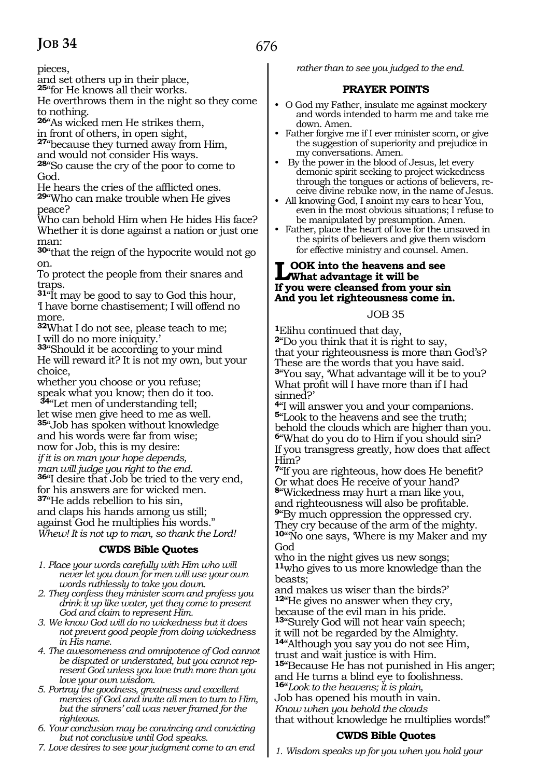pieces,

and set others up in their place,

**<sup>25</sup>**"for He knows all their works.

He overthrows them in the night so they come to nothing.

**<sup>26</sup>**"As wicked men He strikes them,

in front of others, in open sight,

**<sup>27</sup>**"because they turned away from Him, and would not consider His ways.

**<sup>28</sup>**"So cause the cry of the poor to come to God.

He hears the cries of the afflicted ones. **<sup>29</sup>**"Who can make trouble when He gives peace?

Who can behold Him when He hides His face? Whether it is done against a nation or just one man:

**<sup>30</sup>**"that the reign of the hypocrite would not go on.

To protect the people from their snares and traps.

**<sup>31</sup>**"It may be good to say to God this hour, 'I have borne chastisement; I will offend no more.

**<sup>32</sup>**What I do not see, please teach to me; I will do no more iniquity.'

**<sup>33</sup>**"Should it be according to your mind He will reward it? It is not my own, but your choice,

whether you choose or you refuse; speak what you know; then do it too.

**<sup>34</sup>**"Let men of understanding tell; let wise men give heed to me as well. **<sup>35</sup>**"Job has spoken without knowledge and his words were far from wise; now for Job, this is my desire: *if it is on man your hope depends, man will judge you right to the end.* **<sup>36</sup>**"I desire that Job be tried to the very end, for his answers are for wicked men. **<sup>37</sup>**"He adds rebellion to his sin, and claps his hands among us still; against God he multiplies his words." *Whew! It is not up to man, so thank the Lord!* 

# **CWDS Bible Quotes**

- *1. Place your words carefully with Him who will never let you down for men will use your own words ruthlessly to take you down.*
- *2. They confess they minister scorn and profess you drink it up like water, yet they come to present God and claim to represent Him.*
- *3. We know God will do no wickedness but it does not prevent good people from doing wickedness in His name.*
- *4. The awesomeness and omnipotence of God cannot be disputed or understated, but you cannot represent God unless you love truth more than you love your own wisdom.*
- *5. Portray the goodness, greatness and excellent mercies of God and invite all men to turn to Him, but the sinners' call was never framed for the righteous.*
- *6. Your conclusion may be convincing and convicting but not conclusive until God speaks.*
- *7. Love desires to see your judgment come to an end*

*rather than to see you judged to the end.*

# **PRAYER POINTS**

- O God my Father, insulate me against mockery and words intended to harm me and take me down. Amen.
- Father forgive me if I ever minister scorn, or give the suggestion of superiority and prejudice in my conversations. Amen.
- By the power in the blood of Jesus, let every demonic spirit seeking to project wickedness through the tongues or actions of believers, receive divine rebuke now, in the name of Jesus.
- All knowing God, I anoint my ears to hear You, even in the most obvious situations; I refuse to be manipulated by presumption. Amen.
- Father, place the heart of love for the unsaved in the spirits of believers and give them wisdom for effective ministry and counsel. Amen.

#### **Look into the heavens and see What advantage it will be If you were cleansed from your sin And you let righteousness come in.**

### JOB 35

**<sup>1</sup>**Elihu continued that day, **<sup>2</sup>**"Do you think that it is right to say, that your righteousness is more than God's? These are the words that you have said. **<sup>3</sup>**"You say, 'What advantage will it be to you? What profit will I have more than if I had sinned?'

**<sup>4</sup>**"I will answer you and your companions. **<sup>5</sup>**"Look to the heavens and see the truth; behold the clouds which are higher than you. **<sup>6</sup>**"What do you do to Him if you should sin? If you transgress greatly, how does that affect Him?

**<sup>7</sup>**"If you are righteous, how does He benefit? Or what does He receive of your hand? **<sup>8</sup>**"Wickedness may hurt a man like you, and righteousness will also be profitable. **<sup>9</sup>**"By much oppression the oppressed cry. They cry because of the arm of the mighty. **<sup>10</sup>**"'No one says, 'Where is my Maker and my God

who in the night gives us new songs; **<sup>11</sup>**who gives to us more knowledge than the beasts;

and makes us wiser than the birds?' **<sup>12</sup>**"He gives no answer when they cry, because of the evil man in his pride. **<sup>13</sup>**"Surely God will not hear vain speech; it will not be regarded by the Almighty. **<sup>14</sup>**"Although you say you do not see Him, trust and wait justice is with Him. **<sup>15</sup>**"Because He has not punished in His anger; and He turns a blind eye to foolishness. **<sup>16</sup>**"*Look to the heavens; it is plain,*  Job has opened his mouth in vain. *Know when you behold the clouds* 

that without knowledge he multiplies words!"

# **CWDS Bible Quotes**

*1. Wisdom speaks up for you when you hold your*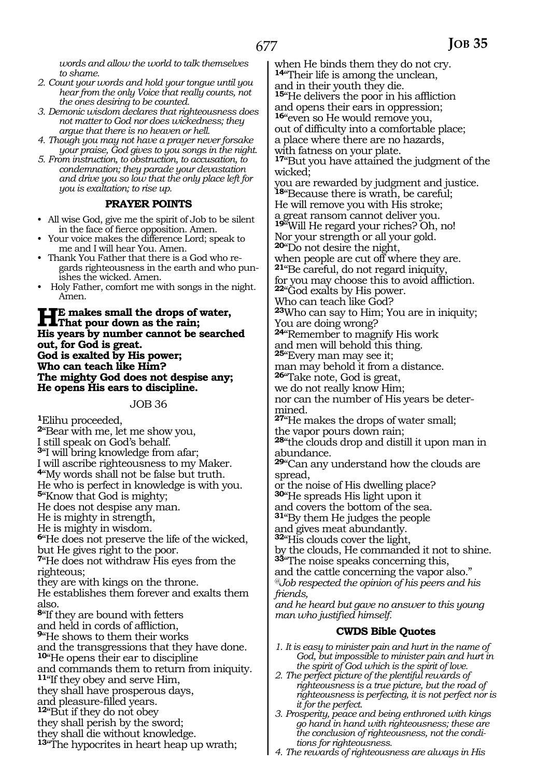*words and allow the world to talk themselves to shame.*

- *2. Count your words and hold your tongue until you hear from the only Voice that really counts, not the ones desiring to be counted.*
- *3. Demonic wisdom declares that righteousness does not matter to God nor does wickedness; they argue that there is no heaven or hell.*
- *4. Though you may not have a prayer never forsake your praise, God gives to you songs in the night.*
- *5. From instruction, to obstruction, to accusation, to condemnation; they parade your devastation and drive you so low that the only place left for you is exaltation; to rise up.*

#### **PRAYER POINTS**

- All wise God, give me the spirit of Job to be silent in the face of fierce opposition. Amen.
- Your voice makes the difference Lord; speak to me and I will hear You. Amen.
- Thank You Father that there is a God who regards righteousness in the earth and who punishes the wicked. Amen.
- Holy Father, comfort me with songs in the night. Amen.

**HE** makes small the drops of water,<br>That pour down as the rain;<br>We make a second the seconds **His years by number cannot be searched out, for God is great. God is exalted by His power; Who can teach like Him? The mighty God does not despise any; He opens His ears to discipline.**

JOB 36

**<sup>1</sup>**Elihu proceeded,

**<sup>2</sup>**"Bear with me, let me show you, I still speak on God's behalf. **<sup>3</sup>**"I will bring knowledge from afar; I will ascribe righteousness to my Maker. **<sup>4</sup>**"My words shall not be false but truth. He who is perfect in knowledge is with you. **<sup>5</sup>**"Know that God is mighty; He does not despise any man. He is mighty in strength, He is mighty in wisdom. **<sup>6</sup>**"He does not preserve the life of the wicked, but He gives right to the poor. **<sup>7</sup>**"He does not withdraw His eyes from the righteous; they are with kings on the throne. He establishes them forever and exalts them also. **<sup>8</sup>**"If they are bound with fetters and held in cords of affliction, **<sup>9</sup>**"He shows to them their works and the transgressions that they have done. **<sup>10</sup>**"He opens their ear to discipline and commands them to return from iniquity. **<sup>11</sup>**"If they obey and serve Him, they shall have prosperous days, and pleasure-filled years. **<sup>12</sup>**"But if they do not obey they shall perish by the sword; they shall die without knowledge. **<sup>13</sup>**"The hypocrites in heart heap up wrath;

when He binds them they do not cry. **<sup>14</sup>**"Their life is among the unclean, and in their youth they die.

**<sup>15</sup>**"He delivers the poor in his affliction and opens their ears in oppression; **<sup>16</sup>**"even so He would remove you,

out of difficulty into a comfortable place; a place where there are no hazards, with fatness on your plate.

**<sup>17</sup>**"But you have attained the judgment of the wicked;

you are rewarded by judgment and justice. **<sup>18</sup>**"Because there is wrath, be careful; He will remove you with His stroke;

a great ransom cannot deliver you.

**<sup>19</sup>**"Will He regard your riches? Oh, no!

Nor your strength or all your gold.

**<sup>20</sup>**"Do not desire the night,

when people are cut off where they are.

**<sup>21</sup>**"Be careful, do not regard iniquity, for you may choose this to avoid affliction. **<sup>22</sup>**"God exalts by His power.

Who can teach like God?

**<sup>23</sup>**Who can say to Him; You are in iniquity; You are doing wrong?

**<sup>24</sup>**"Remember to magnify His work and men will behold this thing.

**<sup>25</sup>**"Every man may see it; man may behold it from a distance.

**<sup>26</sup>**"Take note, God is great,

we do not really know Him;

nor can the number of His years be determined.

**<sup>27</sup>**"He makes the drops of water small;

the vapor pours down rain;

**<sup>28</sup>**"the clouds drop and distill it upon man in abundance.

**<sup>29</sup>**"Can any understand how the clouds are spread,

or the noise of His dwelling place?

**<sup>30</sup>**"He spreads His light upon it

and covers the bottom of the sea.

**<sup>31</sup>**"By them He judges the people

and gives meat abundantly.

**<sup>32</sup>**"His clouds cover the light, by the clouds, He commanded it not to shine.

**<sup>33</sup>**"The noise speaks concerning this,

and the cattle concerning the vapor also." *@Job respected the opinion of his peers and his friends,*

*and he heard but gave no answer to this young man who justified himself.*

# **CWDS Bible Quotes**

- *1. It is easy to minister pain and hurt in the name of God, but impossible to minister pain and hurt in the spirit of God which is the spirit of love.*
- *2. The perfect picture of the plentiful rewards of righteousness is a true picture, but the road of righteousness is perfecting, it is not perfect nor is it for the perfect.*
- *3. Prosperity, peace and being enthroned with kings go hand in hand with righteousness; these are the conclusion of righteousness, not the conditions for righteousness.*
- *4. The rewards of righteousness are always in His*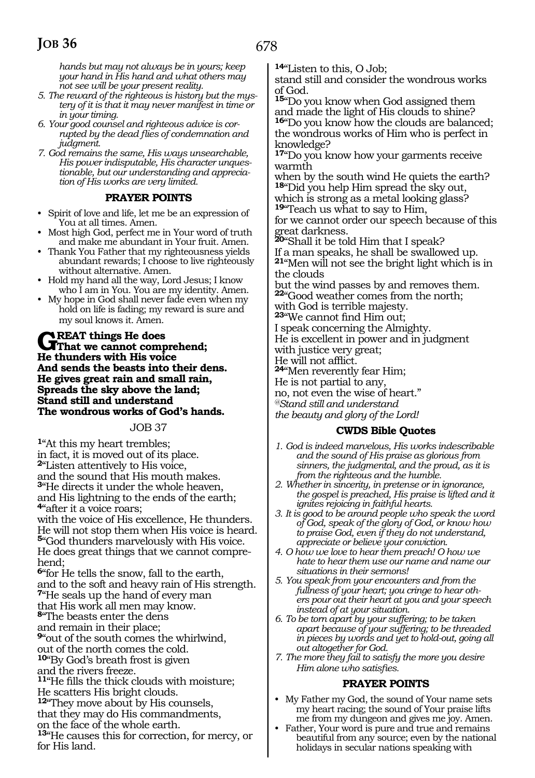*hands but may not always be in yours; keep your hand in His hand and what others may not see will be your present reality.*

- *5. The reward of the righteous is history but the mystery of it is that it may never manifest in time or in your timing.*
- *6. Your good counsel and righteous advice is corrupted by the dead flies of condemnation and judgment.*
- *7. God remains the same, His ways unsearchable, His power indisputable, His character unquestionable, but our understanding and appreciation of His works are very limited.*

#### **PRAYER POINTS**

- Spirit of love and life, let me be an expression of You at all times. Amen.
- Most high God, perfect me in Your word of truth and make me abundant in Your fruit. Amen.
- Thank You Father that my righteousness yields abundant rewards; I choose to live righteously without alternative. Amen.
- Hold my hand all the way, Lord Jesus; I know who I am in You. You are my identity. Amen.
- My hope in God shall never fade even when my hold on life is fading; my reward is sure and my soul knows it. Amen.

### **GREAT things He does**<br> **That we cannot comprehend;**<br> **Its thunders with His present He thunders with His voice And sends the beasts into their dens. He gives great rain and small rain, Spreads the sky above the land; Stand still and understand The wondrous works of God's hands.**

#### JOB 37

**<sup>1</sup>**"At this my heart trembles; in fact, it is moved out of its place. **<sup>2</sup>**"Listen attentively to His voice, and the sound that His mouth makes. **<sup>3</sup>**"He directs it under the whole heaven, and His lightning to the ends of the earth; **<sup>4</sup>**"after it a voice roars;

with the voice of His excellence, He thunders. He will not stop them when His voice is heard. **<sup>5</sup>**"God thunders marvelously with His voice. He does great things that we cannot comprehend;

**<sup>6</sup>**"for He tells the snow, fall to the earth, and to the soft and heavy rain of His strength. **<sup>7</sup>**"He seals up the hand of every man that His work all men may know.

**<sup>8</sup>**"The beasts enter the dens

and remain in their place;

**<sup>9</sup>**"out of the south comes the whirlwind, out of the north comes the cold.

**<sup>10</sup>**"By God's breath frost is given

and the rivers freeze.

**<sup>11</sup>**"He fills the thick clouds with moisture; He scatters His bright clouds.

**<sup>12</sup>**"They move about by His counsels,

that they may do His commandments,

on the face of the whole earth.

**<sup>13</sup>**"He causes this for correction, for mercy, or for His land.

**<sup>14</sup>**"Listen to this, O Job;

stand still and consider the wondrous works of God.

**<sup>15</sup>**"Do you know when God assigned them and made the light of His clouds to shine? **<sup>16</sup>**"Do you know how the clouds are balanced; the wondrous works of Him who is perfect in knowledge?

**<sup>17</sup>**"Do you know how your garments receive warmth

when by the south wind He quiets the earth? **<sup>18</sup>**"Did you help Him spread the sky out, which is strong as a metal looking glass?

**<sup>19</sup>**"Teach us what to say to Him,

for we cannot order our speech because of this great darkness.

**<sup>20</sup>**"Shall it be told Him that I speak? If a man speaks, he shall be swallowed up. **<sup>21</sup>**"Men will not see the bright light which is in the clouds

but the wind passes by and removes them. **<sup>22</sup>**"Good weather comes from the north; with God is terrible majesty.

**<sup>23</sup>**"We cannot find Him out;

I speak concerning the Almighty.

He is excellent in power and in judgment

with justice very great;

He will not afflict.

**<sup>24</sup>**"Men reverently fear Him;

He is not partial to any,

no, not even the wise of heart."

*@Stand still and understand* 

# *the beauty and glory of the Lord!*

#### **CWDS Bible Quotes**

- *1. God is indeed marvelous, His works indescribable and the sound of His praise as glorious from sinners, the judgmental, and the proud, as it is from the righteous and the humble.*
- *2. Whether in sincerity, in pretense or in ignorance, the gospel is preached, His praise is lifted and it ignites rejoicing in faithful hearts.*
- *3. It is good to be around people who speak the word of God, speak of the glory of God, or know how to praise God, even if they do not understand, appreciate or believe your conviction.*
- *4. O how we love to hear them preach! O how we hate to hear them use our name and name our situations in their sermons!*
- *5. You speak from your encounters and from the fullness of your heart; you cringe to hear others pour out their heart at you and your speech instead of at your situation.*
- *6. To be torn apart by your suffering; to be taken apart because of your suffering; to be threaded in pieces by words and yet to hold-out, going all out altogether for God.*
- *7. The more they fail to satisfy the more you desire Him alone who satisfies.*

#### **PRAYER POINTS**

- My Father my God, the sound of Your name sets my heart racing; the sound of Your praise lifts me from my dungeon and gives me joy. Amen.
- Father, Your word is pure and true and remains beautiful from any source; even by the national holidays in secular nations speaking with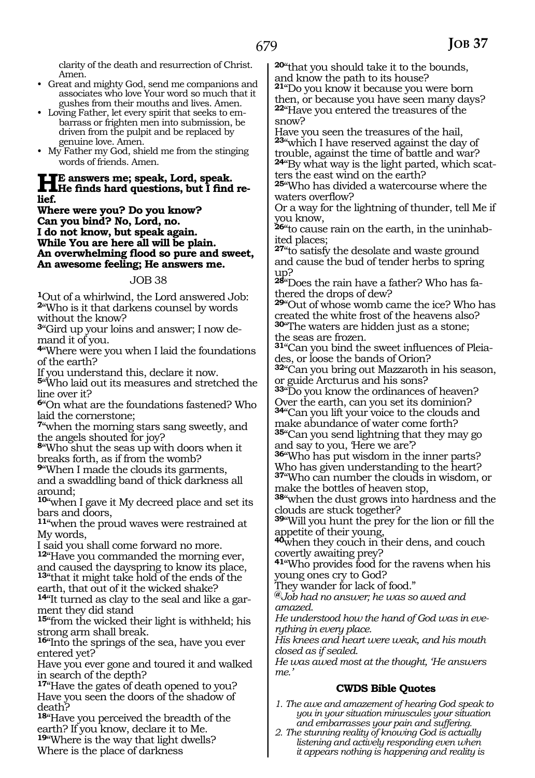clarity of the death and resurrection of Christ. Amen.

- Great and mighty God, send me companions and associates who love Your word so much that it gushes from their mouths and lives. Amen.
- Loving Father, let every spirit that seeks to embarrass or frighten men into submission, be driven from the pulpit and be replaced by genuine love. Amen.
- My Father my God, shield me from the stinging words of friends. Amen.

# **He answers me; speak, Lord, speak. He finds hard questions, but I find re- lief.**

**Where were you? Do you know? Can you bind? No, Lord, no. I do not know, but speak again. While You are here all will be plain. An overwhelming flood so pure and sweet, An awesome feeling; He answers me.**

#### JOB 38

**<sup>1</sup>**Out of a whirlwind, the Lord answered Job: **<sup>2</sup>**"Who is it that darkens counsel by words

without the know? **3**"Gird up your loins and answer; I now de-

mand it of you.

**<sup>4</sup>**"Where were you when I laid the foundations of the earth?

If you understand this, declare it now.

**<sup>5</sup>**"Who laid out its measures and stretched the line over it?

**<sup>6</sup>**"On what are the foundations fastened? Who laid the cornerstone;

**<sup>7</sup>**"when the morning stars sang sweetly, and the angels shouted for joy?

**<sup>8</sup>**"Who shut the seas up with doors when it breaks forth, as if from the womb?

**<sup>9</sup>**"When I made the clouds its garments, and a swaddling band of thick darkness all around;

**<sup>10</sup>**"when I gave it My decreed place and set its bars and doors,

**<sup>11</sup>**"when the proud waves were restrained at My words,

I said you shall come forward no more.

**<sup>12</sup>**"Have you commanded the morning ever, and caused the dayspring to know its place,

**<sup>13</sup>**"that it might take hold of the ends of the earth, that out of it the wicked shake?

**14**"It turned as clay to the seal and like a garment they did stand

**<sup>15</sup>**"from the wicked their light is withheld; his strong arm shall break.

**<sup>16</sup>**"Into the springs of the sea, have you ever entered yet?

Have you ever gone and toured it and walked in search of the depth?

**<sup>17</sup>**"Have the gates of death opened to you? Have you seen the doors of the shadow of death?

**<sup>18</sup>**"Have you perceived the breadth of the earth? If you know, declare it to Me. **<sup>19</sup>**"Where is the way that light dwells?

Where is the place of darkness

**<sup>20</sup>**"that you should take it to the bounds, and know the path to its house?

**<sup>21</sup>**"Do you know it because you were born then, or because you have seen many days? **<sup>22</sup>**"Have you entered the treasures of the snow?

Have you seen the treasures of the hail, **<sup>23</sup>**"which I have reserved against the day of trouble, against the time of battle and war? **24**"By what way is the light parted, which scatters the east wind on the earth?

**<sup>25</sup>**"Who has divided a watercourse where the waters overflow?

Or a way for the lightning of thunder, tell Me if you know,

**26**"to cause rain on the earth, in the uninhabited places;

**<sup>27</sup>**"to satisfy the desolate and waste ground and cause the bud of tender herbs to spring up?

**28**"Does the rain have a father? Who has fathered the drops of dew?

**<sup>29</sup>**"Out of whose womb came the ice? Who has created the white frost of the heavens also? **<sup>30</sup>**"The waters are hidden just as a stone; the seas are frozen.

**31**"Can you bind the sweet influences of Pleiades, or loose the bands of Orion?

**<sup>32</sup>**"Can you bring out Mazzaroth in his season, or guide Arcturus and his sons?

**<sup>33</sup>**"Do you know the ordinances of heaven? Over the earth, can you set its dominion?

**<sup>34</sup>**"Can you lift your voice to the clouds and make abundance of water come forth?

**<sup>35</sup>**"Can you send lightning that they may go and say to you, 'Here we are'?

**<sup>36</sup>**"Who has put wisdom in the inner parts? Who has given understanding to the heart? **<sup>37</sup>**"Who can number the clouds in wisdom, or

make the bottles of heaven stop,

**<sup>38</sup>**"when the dust grows into hardness and the clouds are stuck together?

**<sup>39</sup>**"Will you hunt the prey for the lion or fill the appetite of their young,

**<sup>40</sup>**when they couch in their dens, and couch covertly awaiting prey?

**<sup>41</sup>**"Who provides food for the ravens when his young ones cry to God?

They wander for lack of food."

**@***Job had no answer; he was so awed and amazed.* 

*He understood how the hand of God was in everything in every place.*

*His knees and heart were weak, and his mouth closed as if sealed.* 

*He was awed most at the thought, 'He answers me.'* 

# **CWDS Bible Quotes**

- *1. The awe and amazement of hearing God speak to you in your situation minuscules your situation and embarrasses your pain and suffering.*
- *2. The stunning reality of knowing God is actually listening and actively responding even when it appears nothing is happening and reality is*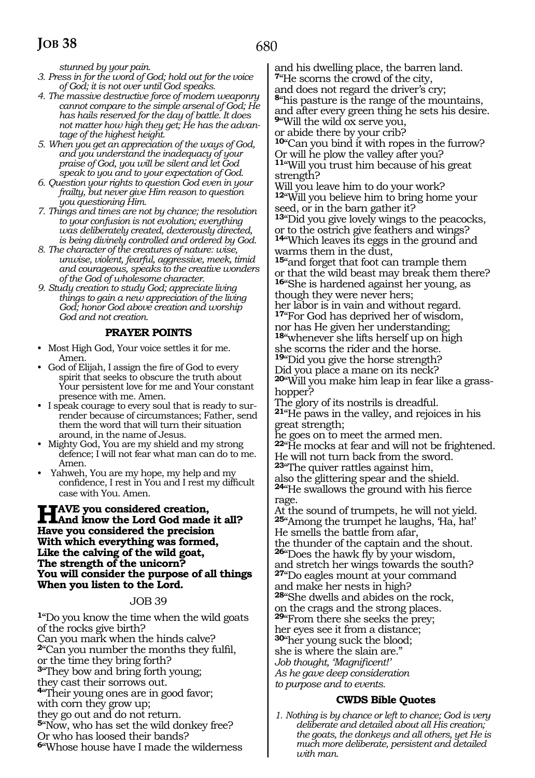*stunned by your pain.*

- *3. Press in for the word of God; hold out for the voice of God; it is not over until God speaks.*
- *4. The massive destructive force of modern weaponry cannot compare to the simple arsenal of God; He has hails reserved for the day of battle. It does not matter how high they get; He has the advantage of the highest height.*
- *5. When you get an appreciation of the ways of God, and you understand the inadequacy of your praise of God, you will be silent and let God speak to you and to your expectation of God.*
- *6. Question your rights to question God even in your frailty, but never give Him reason to question you questioning Him.*
- *7. Things and times are not by chance; the resolution to your confusion is not evolution; everything was deliberately created, dexterously directed, is being divinely controlled and ordered by God.*
- *8. The character of the creatures of nature: wise, unwise, violent, fearful, aggressive, meek, timid and courageous, speaks to the creative wonders of the God of wholesome character.*
- *9. Study creation to study God; appreciate living things to gain a new appreciation of the living God; honor God above creation and worship God and not creation.*

# **PRAYER POINTS**

- Most High God, Your voice settles it for me. Amen.
- God of Elijah, I assign the fire of God to every spirit that seeks to obscure the truth about Your persistent love for me and Your constant presence with me. Amen.
- I speak courage to every soul that is ready to surrender because of circumstances; Father, send them the word that will turn their situation around, in the name of Jesus.
- Mighty God, You are my shield and my strong defence; I will not fear what man can do to me. Amen.
- Yahweh, You are my hope, my help and my confidence, I rest in You and I rest my difficult case with You. Amen.

# **HAVE you considered creation,<br>
Hand know the Lord God made it all?**<br> **Have you considered the president Have you considered the precision With which everything was formed, Like the calving of the wild goat, The strength of the unicorn? You will consider the purpose of all things When you listen to the Lord.**

#### JOB 39

**<sup>1</sup>**"Do you know the time when the wild goats of the rocks give birth? Can you mark when the hinds calve? **<sup>2</sup>**"Can you number the months they fulfil, or the time they bring forth? **<sup>3</sup>**"They bow and bring forth young; they cast their sorrows out. **<sup>4</sup>**"Their young ones are in good favor; with corn they grow up; they go out and do not return. **<sup>5</sup>**"Now, who has set the wild donkey free? Or who has loosed their bands? **<sup>6</sup>**"Whose house have I made the wilderness

and his dwelling place, the barren land. **<sup>7</sup>**"He scorns the crowd of the city,

and does not regard the driver's cry; **<sup>8</sup>**"his pasture is the range of the mountains, and after every green thing he sets his desire. **<sup>9</sup>**"Will the wild ox serve you,

or abide there by your crib?

**<sup>10</sup>**"Can you bind it with ropes in the furrow? Or will he plow the valley after you? **<sup>11</sup>**"Will you trust him because of his great strength?

Will you leave him to do your work? **<sup>12</sup>**"Will you believe him to bring home your seed, or in the barn gather it?

**<sup>13</sup>**"Did you give lovely wings to the peacocks, or to the ostrich give feathers and wings? **<sup>14</sup>**"Which leaves its eggs in the ground and warms them in the dust,

**<sup>15</sup>**"and forget that foot can trample them or that the wild beast may break them there? **<sup>16</sup>**"She is hardened against her young, as though they were never hers;

her labor is in vain and without regard. **<sup>17</sup>**"For God has deprived her of wisdom,

nor has He given her understanding; **<sup>18</sup>**"whenever she lifts herself up on high she scorns the rider and the horse. **<sup>19</sup>**"Did you give the horse strength?

Did you place a mane on its neck? **20**"Will you make him leap in fear like a grasshopper?

The glory of its nostrils is dreadful. **<sup>21</sup>**"He paws in the valley, and rejoices in his great strength;

he goes on to meet the armed men. **<sup>22</sup>**"He mocks at fear and will not be frightened. He will not turn back from the sword. **<sup>23</sup>**"The quiver rattles against him, also the glittering spear and the shield. **<sup>24</sup>**"He swallows the ground with his fierce rage.

At the sound of trumpets, he will not yield. **<sup>25</sup>**"Among the trumpet he laughs, 'Ha, ha!' He smells the battle from afar, the thunder of the captain and the shout. **<sup>26</sup>**"Does the hawk fly by your wisdom, and stretch her wings towards the south? **<sup>27</sup>**"Do eagles mount at your command

and make her nests in high? **<sup>28</sup>**"She dwells and abides on the rock, on the crags and the strong places. **29**"From there she seeks the prey; her eyes see it from a distance; **<sup>30</sup>**"her young suck the blood; she is where the slain are." *Job thought, 'Magnificent!' As he gave deep consideration to purpose and to events.*

#### **CWDS Bible Quotes**

*1. Nothing is by chance or left to chance; God is very deliberate and detailed about all His creation; the goats, the donkeys and all others, yet He is much more deliberate, persistent and detailed with man.*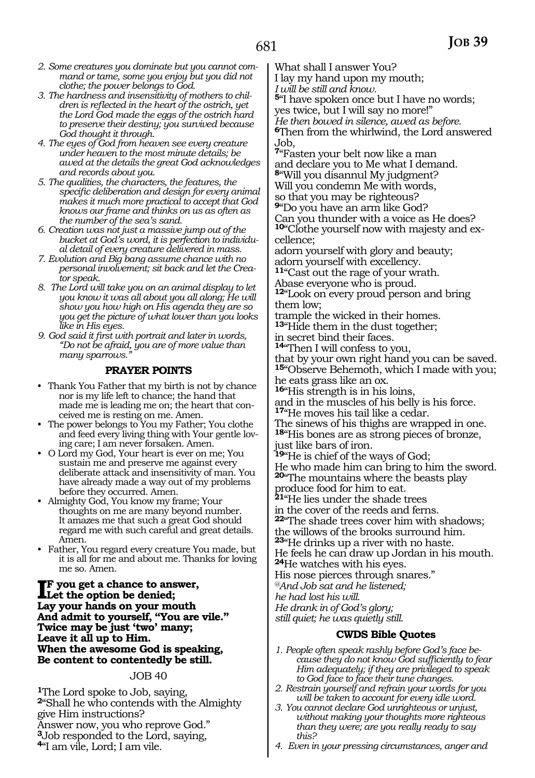- *2. Some creatures you dominate but you cannot command or tame, some you enjoy but you did not clothe; the power belongs to God.*
- *3. The hardness and insensitivity of mothers to children is reflected in the heart of the ostrich, yet the Lord God made the eggs of the ostrich hard to preserve their destiny; you survived because God thought it through.*
- *4. The eyes of God from heaven see every creature under heaven to the most minute details; be awed at the details the great God acknowledges and records about you.*
- *5. The qualities, the characters, the features, the specific deliberation and design for every animal makes it much more practical to accept that God knows our frame and thinks on us as often as the number of the sea's sand.*
- *6. Creation was not just a massive jump out of the bucket at God's word, it is perfection to individual detail of every creature delivered in mass.*
- *7. Evolution and Big bang assume chance with no personal involvement; sit back and let the Creator speak.*
- *8. The Lord will take you on an animal display to let you know it was all about you all along; He will show you how high on His agenda they are so you get the picture of what lower than you looks like in His eyes.*
- *9. God said it first with portrait and later in words, "Do not be afraid, you are of more value than many sparrows."*

#### **PRAYER POINTS**

- Thank You Father that my birth is not by chance nor is my life left to chance; the hand that made me is leading me on; the heart that conceived me is resting on me. Amen.
- The power belongs to You my Father; You clothe and feed every living thing with Your gentle loving care; I am never forsaken. Amen.
- O Lord my God, Your heart is ever on me; You sustain me and preserve me against every deliberate attack and insensitivity of man. You have already made a way out of my problems before they occurred. Amen.
- Almighty God, You know my frame; Your thoughts on me are many beyond number. It amazes me that such a great God should regard me with such careful and great details. Amen.
- Father, You regard every creature You made, but it is all for me and about me. Thanks for loving me so. Amen.

**I**F you get a chance to answer,<br>Let the option be denied;<br> **I** an unumbands an unum matth **Let the option be denied; Lay your hands on your mouth And admit to yourself, "You are vile." Twice may be just 'two' many; Leave it all up to Him. When the awesome God is speaking, Be content to contentedly be still.**

#### JOB 40

The Lord spoke to Job, saying, "Shall he who contends with the Almighty give Him instructions? Answer now, you who reprove God." Job responded to the Lord, saying, "I am vile, Lord; I am vile.

What shall I answer You?

I lay my hand upon my mouth;

*I will be still and know.* 

**<sup>5</sup>**"I have spoken once but I have no words;

yes twice, but I will say no more!"

*He then bowed in silence, awed as before.* 

**<sup>6</sup>**Then from the whirlwind, the Lord answered Job,

**<sup>7</sup>**"Fasten your belt now like a man and declare you to Me what I demand. **<sup>8</sup>**"Will you disannul My judgment?

Will you condemn Me with words,

so that you may be righteous?

**<sup>9</sup>**"Do you have an arm like God? Can you thunder with a voice as He does? **10**"Clothe yourself now with majesty and excellence;

adorn yourself with glory and beauty; adorn yourself with excellency.

**<sup>11</sup>**"Cast out the rage of your wrath. Abase everyone who is proud.

**<sup>12</sup>**"Look on every proud person and bring them low;

trample the wicked in their homes. **<sup>13</sup>**"Hide them in the dust together;

in secret bind their faces.

**<sup>14</sup>**"Then I will confess to you,

that by your own right hand you can be saved. **<sup>15</sup>**"Observe Behemoth, which I made with you;

he eats grass like an ox.

**<sup>16</sup>**"His strength is in his loins, and in the muscles of his belly is his force. **<sup>17</sup>**"He moves his tail like a cedar.

The sinews of his thighs are wrapped in one. **<sup>18</sup>**"His bones are as strong pieces of bronze,

just like bars of iron.

**<sup>19</sup>**"He is chief of the ways of God;

He who made him can bring to him the sword. **<sup>20</sup>**"The mountains where the beasts play

produce food for him to eat.

**<sup>21</sup>**"He lies under the shade trees

in the cover of the reeds and ferns.

**<sup>22</sup>**"The shade trees cover him with shadows; the willows of the brooks surround him.

**<sup>23</sup>**"He drinks up a river with no haste.

He feels he can draw up Jordan in his mouth. **<sup>24</sup>**He watches with his eyes.

His nose pierces through snares."

*@And Job sat and he listened;*

*he had lost his will.*

*He drank in of God's glory;*

*still quiet; he was quietly still.*

#### **CWDS Bible Quotes**

*1. People often speak rashly before God's face because they do not know God sufficiently to fear Him adequately; if they are privileged to speak to God face to face their tune changes.*

- *2. Restrain yourself and refrain your words for you will be taken to account for every idle word.*
- *3. You cannot declare God unrighteous or unjust, without making your thoughts more righteous than they were; are you really ready to say this?*
- *4. Even in your pressing circumstances, anger and*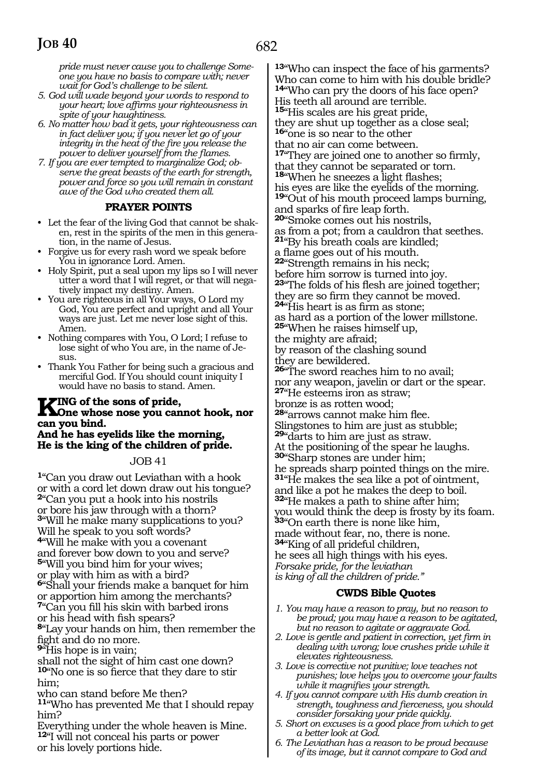*pride must never cause you to challenge Someone you have no basis to compare with; never wait for God's challenge to be silent.*

- *5. God will wade beyond your words to respond to your heart; love affirms your righteousness in spite of your haughtiness.*
- *6. No matter how bad it gets, your righteousness can in fact deliver you; if you never let go of your integrity in the heat of the fire you release the power to deliver yourself from the flames.*
- *7. If you are ever tempted to marginalize God; observe the great beasts of the earth for strength, power and force so you will remain in constant awe of the God who created them all.*

#### **PRAYER POINTS**

- Let the fear of the living God that cannot be shaken, rest in the spirits of the men in this generation, in the name of Jesus.
- Forgive us for every rash word we speak before You in ignorance Lord. Amen.
- Holy Spirit, put a seal upon my lips so I will never utter a word that I will regret, or that will negatively impact my destiny. Amen.
- You are righteous in all Your ways, O Lord my God, You are perfect and upright and all Your ways are just. Let me never lose sight of this. Amen.
- Nothing compares with You, O Lord; I refuse to lose sight of who You are, in the name of Jesus.
- Thank You Father for being such a gracious and merciful God. If You should count iniquity I would have no basis to stand. Amen.

# **KING of the sons of pride,<br>
Sone whose nose you cannot hook, nor<br>
see may hind. can you bind.**

#### **And he has eyelids like the morning, He is the king of the children of pride.**

#### JOB 41

**<sup>1</sup>**"Can you draw out Leviathan with a hook or with a cord let down draw out his tongue? **<sup>2</sup>**"Can you put a hook into his nostrils or bore his jaw through with a thorn? **<sup>3</sup>**"Will he make many supplications to you? Will he speak to you soft words? **<sup>4</sup>**"Will he make with you a covenant

and forever bow down to you and serve? **<sup>5</sup>**"Will you bind him for your wives; or play with him as with a bird? **<sup>6</sup>**"Shall your friends make a banquet for him or apportion him among the merchants?

**<sup>7</sup>**"Can you fill his skin with barbed irons or his head with fish spears?

**<sup>8</sup>**"Lay your hands on him, then remember the fight and do no more.

**<sup>9</sup>**"His hope is in vain;

shall not the sight of him cast one down? **<sup>10</sup>**"No one is so fierce that they dare to stir him;

who can stand before Me then?

**<sup>11</sup>**"Who has prevented Me that I should repay him?

Everything under the whole heaven is Mine. **<sup>12</sup>**"I will not conceal his parts or power or his lovely portions hide.

**<sup>13</sup>**"Who can inspect the face of his garments? Who can come to him with his double bridle? **<sup>14</sup>**"Who can pry the doors of his face open? His teeth all around are terrible.

**<sup>15</sup>**"His scales are his great pride, they are shut up together as a close seal; **<sup>16</sup>**"one is so near to the other that no air can come between.

**<sup>17</sup>**"They are joined one to another so firmly, that they cannot be separated or torn.

**<sup>18</sup>**"When he sneezes a light flashes; his eyes are like the eyelids of the morning. **<sup>19</sup>**"Out of his mouth proceed lamps burning, and sparks of fire leap forth.

**<sup>20</sup>**"Smoke comes out his nostrils, as from a pot; from a cauldron that seethes.

**<sup>21</sup>**"By his breath coals are kindled;

a flame goes out of his mouth. **22**"Strength remains in his neck; before him sorrow is turned into joy. **<sup>23</sup>**"The folds of his flesh are joined together;

they are so firm they cannot be moved. **<sup>24</sup>**"His heart is as firm as stone;

as hard as a portion of the lower millstone. **<sup>25</sup>**"When he raises himself up, the mighty are afraid;

by reason of the clashing sound they are bewildered.

**<sup>26</sup>**"The sword reaches him to no avail; nor any weapon, javelin or dart or the spear. **<sup>27</sup>**"He esteems iron as straw;

bronze is as rotten wood;

**<sup>28</sup>**"arrows cannot make him flee. Slingstones to him are just as stubble; **<sup>29</sup>**"darts to him are just as straw.

At the positioning of the spear he laughs. **<sup>30</sup>**"Sharp stones are under him; he spreads sharp pointed things on the mire. **<sup>31</sup>**"He makes the sea like a pot of ointment, and like a pot he makes the deep to boil.

**<sup>32</sup>**"He makes a path to shine after him; you would think the deep is frosty by its foam. **<sup>33</sup>**"On earth there is none like him, made without fear, no, there is none. **<sup>34</sup>**"King of all prideful children,

he sees all high things with his eyes. *Forsake pride, for the leviathan is king of all the children of pride."*

# **CWDS Bible Quotes**

- *1. You may have a reason to pray, but no reason to be proud; you may have a reason to be agitated, but no reason to agitate or aggravate God.*
- *2. Love is gentle and patient in correction, yet firm in dealing with wrong; love crushes pride while it elevates righteousness.*
- *3. Love is corrective not punitive; love teaches not punishes; love helps you to overcome your faults while it magnifies your strength.*
- *4. If you cannot compare with His dumb creation in strength, toughness and fierceness, you should consider forsaking your pride quickly.*
- *5. Short on excuses is a good place from which to get a better look at God.*
- *6. The Leviathan has a reason to be proud because of its image, but it cannot compare to God and*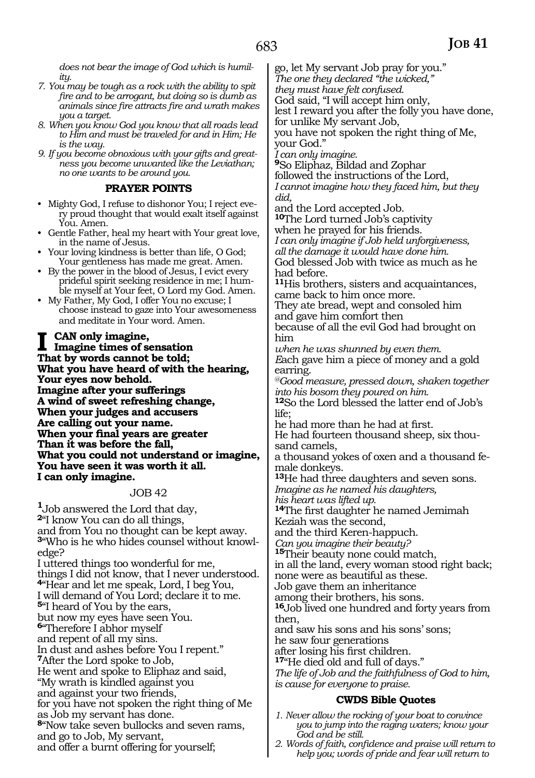*does not bear the image of God which is humility.*

- *7. You may be tough as a rock with the ability to spit fire and to be arrogant, but doing so is dumb as animals since fire attracts fire and wrath makes you a target.*
- *8. When you know God you know that all roads lead to Him and must be traveled for and in Him; He is the way.*
- *9. If you become obnoxious with your gifts and greatness you become unwanted like the Leviathan; no one wants to be around you.*

#### **PRAYER POINTS**

- Mighty God, I refuse to dishonor You; I reject every proud thought that would exalt itself against You. Amen.
- Gentle Father, heal my heart with Your great love, in the name of Jesus.
- Your loving kindness is better than life, O God; Your gentleness has made me great. Amen.
- By the power in the blood of Jesus, I evict every prideful spirit seeking residence in me; I humble myself at Your feet, O Lord my God. Amen.
- My Father, My God, I offer You no excuse; I choose instead to gaze into Your awesomeness and meditate in Your word. Amen.

#### **CAN** only imagine,

**Imagine times of sensation That by words cannot be told; What you have heard of with the hearing, Your eyes now behold. Imagine after your sufferings A wind of sweet refreshing change, When your judges and accusers Are calling out your name. When your final years are greater Than it was before the fall, What you could not understand or imagine, You have seen it was worth it all. I can only imagine.**

#### JOB 42

**<sup>1</sup>**Job answered the Lord that day, **<sup>2</sup>**"I know You can do all things, and from You no thought can be kept away. **3**"Who is he who hides counsel without knowledge? I uttered things too wonderful for me, things I did not know, that I never understood. **<sup>4</sup>**"Hear and let me speak, Lord, I beg You, I will demand of You Lord; declare it to me. **<sup>5</sup>**"I heard of You by the ears, but now my eyes have seen You. **<sup>6</sup>**"Therefore I abhor myself and repent of all my sins. In dust and ashes before You I repent." **<sup>7</sup>**After the Lord spoke to Job, He went and spoke to Eliphaz and said, "My wrath is kindled against you and against your two friends, for you have not spoken the right thing of Me as Job my servant has done. **<sup>8</sup>**"Now take seven bullocks and seven rams, and go to Job, My servant, and offer a burnt offering for yourself;

go, let My servant Job pray for you." *The one they declared "the wicked," they must have felt confused.* 

God said, "I will accept him only,

lest I reward you after the folly you have done, for unlike My servant Job,

you have not spoken the right thing of Me, your God."

*I can only imagine.*

**<sup>9</sup>**So Eliphaz, Bildad and Zophar followed the instructions of the Lord, *I cannot imagine how they faced him, but they did,* 

and the Lord accepted Job.

**<sup>10</sup>**The Lord turned Job's captivity

when he prayed for his friends.

*I can only imagine if Job held unforgiveness, all the damage it would have done him.* God blessed Job with twice as much as he had before.

**<sup>11</sup>**His brothers, sisters and acquaintances, came back to him once more.

They ate bread, wept and consoled him and gave him comfort then because of all the evil God had brought on

him *when he was shunned by even them.* 

*E*ach gave him a piece of money and a gold earring.

*@Good measure, pressed down, shaken together into his bosom they poured on him.*

**<sup>12</sup>**So the Lord blessed the latter end of Job's life;

he had more than he had at first.

He had fourteen thousand sheep, six thousand camels,

a thousand yokes of oxen and a thousand female donkeys.

**<sup>13</sup>**He had three daughters and seven sons. *Imagine as he named his daughters, his heart was lifted up.* **<sup>14</sup>**The first daughter he named Jemimah Keziah was the second,

and the third Keren-happuch.

*Can you imagine their beauty?* 

**<sup>15</sup>**Their beauty none could match, in all the land, every woman stood right back; none were as beautiful as these.

Job gave them an inheritance

among their brothers, his sons.

**<sup>16</sup>**Job lived one hundred and forty years from then,

and saw his sons and his sons' sons;

he saw four generations

after losing his first children.

**<sup>17</sup>**"He died old and full of days."

*The life of Job and the faithfulness of God to him, is cause for everyone to praise.*

#### **CWDS Bible Quotes**

- *1. Never allow the rocking of your boat to convince you to jump into the raging waters; know your God and be still.*
- *2. Words of faith, confidence and praise will return to help you; words of pride and fear will return to*